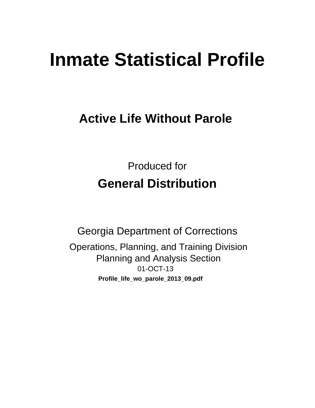# **Inmate Statistical Profile**

## **Active Life Without Parole**

**Produced for General Distribution** 

**Georgia Department of Corrections** Operations, Planning, and Training Division **Planning and Analysis Section** 01-OCT-13 Profile\_life\_wo\_parole\_2013\_09.pdf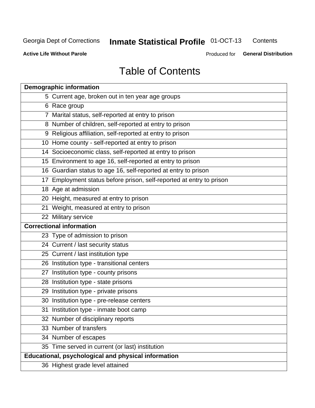#### **Inmate Statistical Profile 01-OCT-13** Contents

**Active Life Without Parole** 

Produced for General Distribution

## **Table of Contents**

| <b>Demographic information</b>                                       |
|----------------------------------------------------------------------|
| 5 Current age, broken out in ten year age groups                     |
| 6 Race group                                                         |
| 7 Marital status, self-reported at entry to prison                   |
| 8 Number of children, self-reported at entry to prison               |
| 9 Religious affiliation, self-reported at entry to prison            |
| 10 Home county - self-reported at entry to prison                    |
| 14 Socioeconomic class, self-reported at entry to prison             |
| 15 Environment to age 16, self-reported at entry to prison           |
| 16 Guardian status to age 16, self-reported at entry to prison       |
| 17 Employment status before prison, self-reported at entry to prison |
| 18 Age at admission                                                  |
| 20 Height, measured at entry to prison                               |
| 21 Weight, measured at entry to prison                               |
| 22 Military service                                                  |
| <b>Correctional information</b>                                      |
| 23 Type of admission to prison                                       |
| 24 Current / last security status                                    |
| 25 Current / last institution type                                   |
| 26 Institution type - transitional centers                           |
| 27 Institution type - county prisons                                 |
| 28 Institution type - state prisons                                  |
| 29 Institution type - private prisons                                |
| 30 Institution type - pre-release centers                            |
| 31 Institution type - inmate boot camp                               |
| 32 Number of disciplinary reports                                    |
| 33 Number of transfers                                               |
| 34 Number of escapes                                                 |
| 35 Time served in current (or last) institution                      |
| Educational, psychological and physical information                  |
| 36 Highest grade level attained                                      |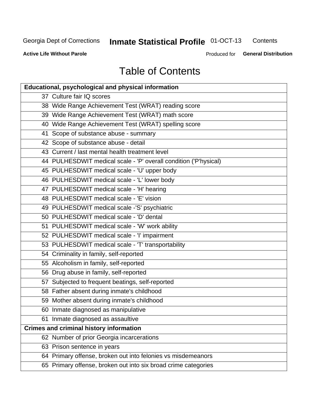#### **Inmate Statistical Profile 01-OCT-13** Contents

**Active Life Without Parole** 

Produced for General Distribution

## **Table of Contents**

| <b>Educational, psychological and physical information</b>       |
|------------------------------------------------------------------|
| 37 Culture fair IQ scores                                        |
| 38 Wide Range Achievement Test (WRAT) reading score              |
| 39 Wide Range Achievement Test (WRAT) math score                 |
| 40 Wide Range Achievement Test (WRAT) spelling score             |
| 41 Scope of substance abuse - summary                            |
| 42 Scope of substance abuse - detail                             |
| 43 Current / last mental health treatment level                  |
| 44 PULHESDWIT medical scale - 'P' overall condition ('P'hysical) |
| 45 PULHESDWIT medical scale - 'U' upper body                     |
| 46 PULHESDWIT medical scale - 'L' lower body                     |
| 47 PULHESDWIT medical scale - 'H' hearing                        |
| 48 PULHESDWIT medical scale - 'E' vision                         |
| 49 PULHESDWIT medical scale -'S' psychiatric                     |
| 50 PULHESDWIT medical scale - 'D' dental                         |
| 51 PULHESDWIT medical scale - 'W' work ability                   |
| 52 PULHESDWIT medical scale - 'I' impairment                     |
| 53 PULHESDWIT medical scale - 'T' transportability               |
| 54 Criminality in family, self-reported                          |
| 55 Alcoholism in family, self-reported                           |
| 56 Drug abuse in family, self-reported                           |
| 57 Subjected to frequent beatings, self-reported                 |
| 58 Father absent during inmate's childhood                       |
| 59 Mother absent during inmate's childhood                       |
| 60 Inmate diagnosed as manipulative                              |
| 61 Inmate diagnosed as assaultive                                |
| <b>Crimes and criminal history information</b>                   |
| 62 Number of prior Georgia incarcerations                        |
| 63 Prison sentence in years                                      |
| 64 Primary offense, broken out into felonies vs misdemeanors     |
| 65 Primary offense, broken out into six broad crime categories   |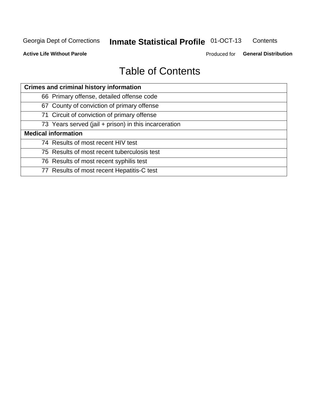#### **Inmate Statistical Profile 01-OCT-13** Contents

**Active Life Without Parole** 

Produced for General Distribution

## **Table of Contents**

| <b>Crimes and criminal history information</b>        |
|-------------------------------------------------------|
| 66 Primary offense, detailed offense code             |
| 67 County of conviction of primary offense            |
| 71 Circuit of conviction of primary offense           |
| 73 Years served (jail + prison) in this incarceration |
| <b>Medical information</b>                            |
| 74 Results of most recent HIV test                    |
| 75 Results of most recent tuberculosis test           |
| 76 Results of most recent syphilis test               |
| 77 Results of most recent Hepatitis-C test            |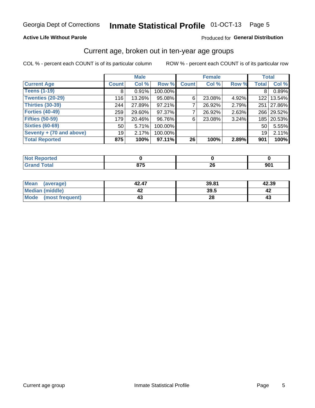## Inmate Statistical Profile 01-OCT-13 Page 5

### **Active Life Without Parole**

### Produced for General Distribution

## Current age, broken out in ten-year age groups

COL % - percent each COUNT is of its particular column

|                          |              | <b>Male</b> |         |              | <b>Female</b> |       |              | <b>Total</b> |
|--------------------------|--------------|-------------|---------|--------------|---------------|-------|--------------|--------------|
| <b>Current Age</b>       | <b>Count</b> | Col %       | Row %   | <b>Count</b> | Col %         | Row % | <b>Total</b> | Col %        |
| <b>Teens (1-19)</b>      | 8            | 0.91%       | 100.00% |              |               |       | 8            | 0.89%        |
| <b>Twenties (20-29)</b>  | 116          | 13.26%      | 95.08%  | 6            | 23.08%        | 4.92% | 122          | 13.54%       |
| <b>Thirties (30-39)</b>  | 244          | 27.89%      | 97.21%  |              | 26.92%        | 2.79% | 251          | 27.86%       |
| <b>Forties (40-49)</b>   | 259          | 29.60%      | 97.37%  |              | 26.92%        | 2.63% |              | 266 29.52%   |
| <b>Fifties (50-59)</b>   | 179          | 20.46%      | 96.76%  | 6            | 23.08%        | 3.24% |              | 185 20.53%   |
| <b>Sixties (60-69)</b>   | 50           | 5.71%       | 100.00% |              |               |       | 50           | 5.55%        |
| Seventy + (70 and above) | 19           | 2.17%       | 100.00% |              |               |       | 19           | 2.11%        |
| <b>Total Reported</b>    | 875          | 100%        | 97.11%  | 26           | 100%          | 2.89% | 901          | 100%         |

| m.                         |        |    |     |
|----------------------------|--------|----|-----|
| $\mathcal{L} = 4 \times 1$ | $\sim$ | or | --- |
| ______                     | $ -$   | ΔU | JV. |

| <b>Mean</b><br>(average) | 42.47 | 39.81 | 42.39 |
|--------------------------|-------|-------|-------|
| Median (middle)          |       | 39.5  |       |
| Mode<br>(most frequent)  | 43    | 28    | 4.    |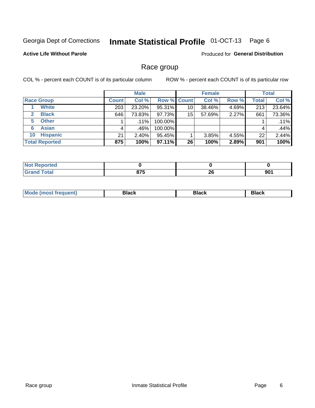#### Inmate Statistical Profile 01-OCT-13 Page 6

### **Active Life Without Parole**

**Produced for General Distribution** 

## Race group

COL % - percent each COUNT is of its particular column

|                              |              | <b>Male</b> |                    |    | <b>Female</b> |       |              | <b>Total</b> |
|------------------------------|--------------|-------------|--------------------|----|---------------|-------|--------------|--------------|
| <b>Race Group</b>            | <b>Count</b> | Col %       | <b>Row % Count</b> |    | Col %         | Row % | <b>Total</b> | Col %        |
| <b>White</b>                 | 203          | 23.20%      | 95.31%             | 10 | 38.46%        | 4.69% | 213          | 23.64%       |
| <b>Black</b><br>$\mathbf{2}$ | 646          | 73.83%      | 97.73%             | 15 | 57.69%        | 2.27% | 661          | 73.36%       |
| <b>Other</b><br>5.           |              | $.11\%$     | 100.00%            |    |               |       |              | .11%         |
| <b>Asian</b><br>6            | 4            | .46%        | 100.00%            |    |               |       | 4            | .44%         |
| <b>Hispanic</b><br>10        | 21           | $2.40\%$    | 95.45%             |    | 3.85%         | 4.55% | 22           | 2.44%        |
| <b>Total Reported</b>        | 875          | 100%        | $97.11\%$          | 26 | 100%          | 2.89% | 901          | 100%         |

| <b>rted</b>            |                    |          |                      |
|------------------------|--------------------|----------|----------------------|
| <b>Total</b><br>______ | $\sim$<br>.<br>$-$ | ኅር<br>ΔV | ഹ⊿<br>່ ວບ ເ<br>$ -$ |

| M | - - - | Piavn |
|---|-------|-------|
|   |       |       |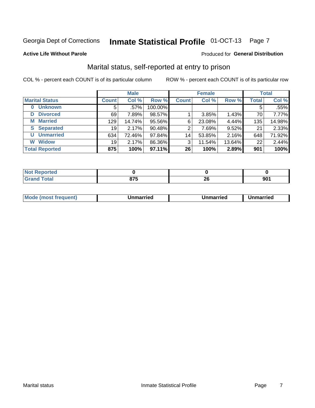## Inmate Statistical Profile 01-OCT-13 Page 7

#### **Active Life Without Parole**

#### Produced for General Distribution

## Marital status, self-reported at entry to prison

COL % - percent each COUNT is of its particular column

|                            |                 | <b>Male</b> |         |              | <b>Female</b> |        |              | <b>Total</b> |
|----------------------------|-----------------|-------------|---------|--------------|---------------|--------|--------------|--------------|
| <b>Marital Status</b>      | <b>Count</b>    | Col %       | Row %   | <b>Count</b> | Col %         | Row %  | <b>Total</b> | Col %        |
| <b>Unknown</b><br>$\bf{0}$ | 5               | $.57\%$     | 100.00% |              |               |        | 5            | .55%         |
| <b>Divorced</b><br>D       | 69              | 7.89%       | 98.57%  |              | 3.85%         | 1.43%  | 70           | 7.77%        |
| <b>Married</b><br>М        | 129             | 14.74%      | 95.56%  | 6            | 23.08%        | 4.44%  | 135          | 14.98%       |
| <b>Separated</b><br>S      | 19              | 2.17%       | 90.48%  | 2            | 7.69%         | 9.52%  | 21           | 2.33%        |
| <b>Unmarried</b><br>U      | 634             | 72.46%      | 97.84%  | 14           | 53.85%        | 2.16%  | 648          | 71.92%       |
| <b>Widow</b><br>W          | 19 <sup>°</sup> | 2.17%       | 86.36%  | 3            | 11.54%        | 13.64% | 22           | 2.44%        |
| <b>Total Reported</b>      | 875             | 100%        | 97.11%  | 26           | 100%          | 2.89%  | 901          | 100%         |

| <b><i><u>A</u></i></b><br>πεα<br>NO |     |                                            |          |
|-------------------------------------|-----|--------------------------------------------|----------|
|                                     | 07E | ົ<br>LV<br>the contract of the contract of | ωr<br>JU |

|--|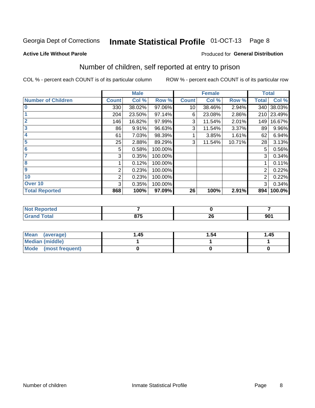#### Inmate Statistical Profile 01-OCT-13 Page 8

#### **Active Life Without Parole**

### **Produced for General Distribution**

## Number of children, self reported at entry to prison

COL % - percent each COUNT is of its particular column

|                           |              | <b>Male</b> |         |              | <b>Female</b> |        |                | <b>Total</b> |
|---------------------------|--------------|-------------|---------|--------------|---------------|--------|----------------|--------------|
| <b>Number of Children</b> | <b>Count</b> | Col %       | Row %   | <b>Count</b> | Col %         | Row %  | <b>Total</b>   | Col %        |
| $\overline{\mathbf{0}}$   | 330          | 38.02%      | 97.06%  | 10           | 38.46%        | 2.94%  | 340            | 38.03%       |
|                           | 204          | 23.50%      | 97.14%  | 6            | 23.08%        | 2.86%  | 210            | 23.49%       |
| $\overline{2}$            | 146          | 16.82%      | 97.99%  | 3            | 11.54%        | 2.01%  | 149            | 16.67%       |
| 3                         | 86           | 9.91%       | 96.63%  | 3            | 11.54%        | 3.37%  | 89             | 9.96%        |
| 4                         | 61           | 7.03%       | 98.39%  |              | 3.85%         | 1.61%  | 62             | 6.94%        |
| 5                         | 25           | 2.88%       | 89.29%  | 3            | 11.54%        | 10.71% | 28             | 3.13%        |
| 6                         | 5            | 0.58%       | 100.00% |              |               |        | 5              | 0.56%        |
| 7                         | 3            | 0.35%       | 100.00% |              |               |        | 3              | 0.34%        |
| 8                         |              | 0.12%       | 100.00% |              |               |        |                | 0.11%        |
| 9                         | 2            | 0.23%       | 100.00% |              |               |        | $\overline{2}$ | 0.22%        |
| 10                        | 2            | 0.23%       | 100.00% |              |               |        | 2              | 0.22%        |
| Over 10                   | 3            | 0.35%       | 100.00% |              |               |        | 3              | 0.34%        |
| <b>Total Reported</b>     | 868          | 100%        | 97.09%  | 26           | 100%          | 2.91%  | 894            | 100.0%       |

| neo    |         |           |                   |
|--------|---------|-----------|-------------------|
| $\sim$ | $- - -$ | oc.<br>Δv | <b>001</b><br>ึงเ |

| <b>Mean</b><br>(average) | 1.45 | 1.54 | 1.45 |
|--------------------------|------|------|------|
| <b>Median (middle)</b>   |      |      |      |
| Mode (most frequent)     |      |      |      |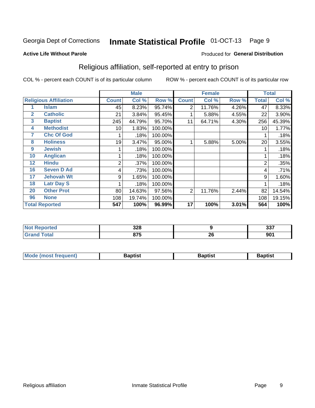#### Inmate Statistical Profile 01-OCT-13 Page 9

#### **Active Life Without Parole**

#### Produced for General Distribution

## Religious affiliation, self-reported at entry to prison

COL % - percent each COUNT is of its particular column

|              |                              |              | <b>Male</b> |         |              | <b>Female</b> |       |              | <b>Total</b> |
|--------------|------------------------------|--------------|-------------|---------|--------------|---------------|-------|--------------|--------------|
|              | <b>Religious Affiliation</b> | <b>Count</b> | Col %       | Row %   | <b>Count</b> | Col %         | Row % | <b>Total</b> | Col %        |
|              | <b>Islam</b>                 | 45           | 8.23%       | 95.74%  | 2            | 11.76%        | 4.26% | 47           | 8.33%        |
| $\mathbf{2}$ | <b>Catholic</b>              | 21           | 3.84%       | 95.45%  |              | 5.88%         | 4.55% | 22           | 3.90%        |
| 3            | <b>Baptist</b>               | 245          | 44.79%      | 95.70%  | 11           | 64.71%        | 4.30% | 256          | 45.39%       |
| 4            | <b>Methodist</b>             | 10           | 1.83%       | 100.00% |              |               |       | 10           | 1.77%        |
| 7            | <b>Chc Of God</b>            |              | .18%        | 100.00% |              |               |       |              | .18%         |
| 8            | <b>Holiness</b>              | 19           | 3.47%       | 95.00%  |              | 5.88%         | 5.00% | 20           | 3.55%        |
| 9            | <b>Jewish</b>                |              | .18%        | 100.00% |              |               |       |              | .18%         |
| 10           | <b>Anglican</b>              |              | .18%        | 100.00% |              |               |       |              | .18%         |
| 12           | <b>Hindu</b>                 | 2            | .37%        | 100.00% |              |               |       | 2            | .35%         |
| 16           | <b>Seven D Ad</b>            | 4            | .73%        | 100.00% |              |               |       | 4            | .71%         |
| 17           | <b>Jehovah Wt</b>            | 9            | 1.65%       | 100.00% |              |               |       | 9            | 1.60%        |
| 18           | <b>Latr Day S</b>            |              | .18%        | 100.00% |              |               |       |              | .18%         |
| 20           | <b>Other Prot</b>            | 80           | 14.63%      | 97.56%  | 2            | 11.76%        | 2.44% | 82           | 14.54%       |
| 96           | <b>None</b>                  | 108          | 19.74%      | 100.00% |              |               |       | 108          | 19.15%       |
|              | <b>Total Reported</b>        | 547          | 100%        | 96.99%  | 17           | 100%          | 3.01% | 564          | 100%         |

| rtea   | $\sim$     |    | 22         |
|--------|------------|----|------------|
| $\sim$ | JZU        |    | ່ ວວ.      |
|        | <b>075</b> | ZU | nn/<br>JV. |

| <b>Mode (most frequent)</b> | եaptist | 3aptisเ | aptist |
|-----------------------------|---------|---------|--------|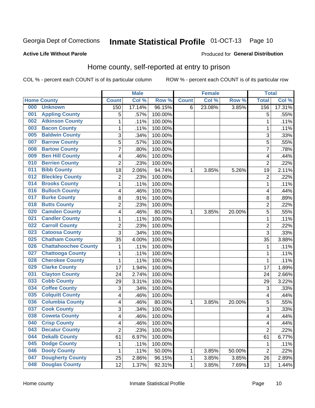#### Inmate Statistical Profile 01-OCT-13 Page 10

### **Active Life Without Parole**

#### Produced for General Distribution

## Home county, self-reported at entry to prison

COL % - percent each COUNT is of its particular column

|     |                             |                         | <b>Male</b> |         |              | <b>Female</b> |        | <b>Total</b>   |        |
|-----|-----------------------------|-------------------------|-------------|---------|--------------|---------------|--------|----------------|--------|
|     | <b>Home County</b>          | <b>Count</b>            | Col %       | Row %   | <b>Count</b> | Col %         | Row %  | <b>Total</b>   | Col %  |
| 000 | <b>Unknown</b>              | 150                     | 17.14%      | 96.15%  | 6            | 23.08%        | 3.85%  | 156            | 17.31% |
| 001 | <b>Appling County</b>       | 5                       | .57%        | 100.00% |              |               |        | 5              | .55%   |
| 002 | <b>Atkinson County</b>      | $\mathbf 1$             | .11%        | 100.00% |              |               |        | 1              | .11%   |
| 003 | <b>Bacon County</b>         | $\mathbf 1$             | .11%        | 100.00% |              |               |        | 1              | .11%   |
| 005 | <b>Baldwin County</b>       | 3                       | .34%        | 100.00% |              |               |        | 3              | .33%   |
| 007 | <b>Barrow County</b>        | 5                       | .57%        | 100.00% |              |               |        | 5              | .55%   |
| 008 | <b>Bartow County</b>        | $\overline{7}$          | .80%        | 100.00% |              |               |        | 7              | .78%   |
| 009 | <b>Ben Hill County</b>      | 4                       | .46%        | 100.00% |              |               |        | 4              | .44%   |
| 010 | <b>Berrien County</b>       | $\overline{2}$          | .23%        | 100.00% |              |               |        | $\overline{2}$ | .22%   |
| 011 | <b>Bibb County</b>          | 18                      | 2.06%       | 94.74%  | 1            | 3.85%         | 5.26%  | 19             | 2.11%  |
| 012 | <b>Bleckley County</b>      | $\overline{c}$          | .23%        | 100.00% |              |               |        | $\overline{2}$ | .22%   |
| 014 | <b>Brooks County</b>        | $\mathbf 1$             | .11%        | 100.00% |              |               |        | 1              | .11%   |
| 016 | <b>Bulloch County</b>       | 4                       | .46%        | 100.00% |              |               |        | 4              | .44%   |
| 017 | <b>Burke County</b>         | 8                       | .91%        | 100.00% |              |               |        | 8              | .89%   |
| 018 | <b>Butts County</b>         | $\overline{c}$          | .23%        | 100.00% |              |               |        | $\overline{2}$ | .22%   |
| 020 | <b>Camden County</b>        | 4                       | .46%        | 80.00%  | 1            | 3.85%         | 20.00% | 5              | .55%   |
| 021 | <b>Candler County</b>       | $\mathbf 1$             | .11%        | 100.00% |              |               |        | 1              | .11%   |
| 022 | <b>Carroll County</b>       | $\overline{\mathbf{c}}$ | .23%        | 100.00% |              |               |        | $\overline{2}$ | .22%   |
| 023 | <b>Catoosa County</b>       | 3                       | .34%        | 100.00% |              |               |        | 3              | .33%   |
| 025 | <b>Chatham County</b>       | 35                      | 4.00%       | 100.00% |              |               |        | 35             | 3.88%  |
| 026 | <b>Chattahoochee County</b> | $\mathbf 1$             | .11%        | 100.00% |              |               |        | 1              | .11%   |
| 027 | <b>Chattooga County</b>     | $\mathbf 1$             | .11%        | 100.00% |              |               |        | 1              | .11%   |
| 028 | <b>Cherokee County</b>      | $\mathbf 1$             | .11%        | 100.00% |              |               |        | 1              | .11%   |
| 029 | <b>Clarke County</b>        | 17                      | 1.94%       | 100.00% |              |               |        | 17             | 1.89%  |
| 031 | <b>Clayton County</b>       | 24                      | 2.74%       | 100.00% |              |               |        | 24             | 2.66%  |
| 033 | <b>Cobb County</b>          | 29                      | 3.31%       | 100.00% |              |               |        | 29             | 3.22%  |
| 034 | <b>Coffee County</b>        | 3                       | .34%        | 100.00% |              |               |        | 3              | .33%   |
| 035 | <b>Colquitt County</b>      | 4                       | .46%        | 100.00% |              |               |        | 4              | .44%   |
| 036 | <b>Columbia County</b>      | 4                       | .46%        | 80.00%  | 1            | 3.85%         | 20.00% | 5              | .55%   |
| 037 | <b>Cook County</b>          | 3                       | .34%        | 100.00% |              |               |        | 3              | .33%   |
| 038 | <b>Coweta County</b>        | 4                       | .46%        | 100.00% |              |               |        | 4              | .44%   |
| 040 | <b>Crisp County</b>         | 4                       | .46%        | 100.00% |              |               |        | 4              | .44%   |
| 043 | <b>Decatur County</b>       | $\overline{2}$          | .23%        | 100.00% |              |               |        | $\overline{2}$ | .22%   |
| 044 | <b>Dekalb County</b>        | 61                      | 6.97%       | 100.00% |              |               |        | 61             | 6.77%  |
| 045 | <b>Dodge County</b>         | 1                       | .11%        | 100.00% |              |               |        | 1              | .11%   |
| 046 | <b>Dooly County</b>         | 1                       | .11%        | 50.00%  | 1            | 3.85%         | 50.00% | $\overline{2}$ | .22%   |
| 047 | <b>Dougherty County</b>     | 25                      | 2.86%       | 96.15%  | 1            | 3.85%         | 3.85%  | 26             | 2.89%  |
| 048 | <b>Douglas County</b>       | 12                      | 1.37%       | 92.31%  | 1            | 3.85%         | 7.69%  | 13             | 1.44%  |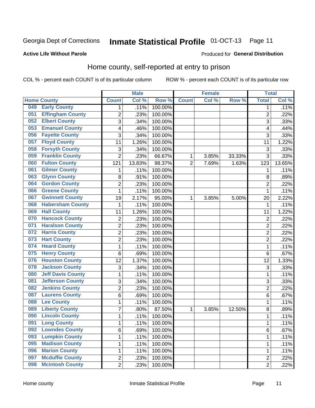## Inmate Statistical Profile 01-OCT-13 Page 11

### **Active Life Without Parole**

#### Produced for General Distribution

## Home county, self-reported at entry to prison

COL % - percent each COUNT is of its particular column

|     |                          |                          | <b>Male</b> |                  |                | <b>Female</b> |        | <b>Total</b>   |        |
|-----|--------------------------|--------------------------|-------------|------------------|----------------|---------------|--------|----------------|--------|
|     | <b>Home County</b>       | <b>Count</b>             | Col %       | Row <sup>%</sup> | <b>Count</b>   | Col %         | Row %  | <b>Total</b>   | Col %  |
| 049 | <b>Early County</b>      | 1                        | .11%        | 100.00%          |                |               |        | 1              | .11%   |
| 051 | <b>Effingham County</b>  | $\overline{2}$           | .23%        | 100.00%          |                |               |        | $\overline{2}$ | .22%   |
| 052 | <b>Elbert County</b>     | 3                        | .34%        | 100.00%          |                |               |        | 3              | .33%   |
| 053 | <b>Emanuel County</b>    | $\overline{\mathcal{A}}$ | .46%        | 100.00%          |                |               |        | 4              | .44%   |
| 056 | <b>Fayette County</b>    | 3                        | .34%        | 100.00%          |                |               |        | 3              | .33%   |
| 057 | <b>Floyd County</b>      | 11                       | 1.26%       | 100.00%          |                |               |        | 11             | 1.22%  |
| 058 | <b>Forsyth County</b>    | 3                        | .34%        | 100.00%          |                |               |        | 3              | .33%   |
| 059 | <b>Franklin County</b>   | $\overline{2}$           | .23%        | 66.67%           | 1              | 3.85%         | 33.33% | 3              | .33%   |
| 060 | <b>Fulton County</b>     | 121                      | 13.83%      | 98.37%           | $\overline{2}$ | 7.69%         | 1.63%  | 123            | 13.65% |
| 061 | <b>Gilmer County</b>     | 1                        | .11%        | 100.00%          |                |               |        | 1              | .11%   |
| 063 | <b>Glynn County</b>      | 8                        | .91%        | 100.00%          |                |               |        | 8              | .89%   |
| 064 | <b>Gordon County</b>     | $\overline{2}$           | .23%        | 100.00%          |                |               |        | $\overline{2}$ | .22%   |
| 066 | <b>Greene County</b>     | $\mathbf{1}$             | .11%        | 100.00%          |                |               |        | 1              | .11%   |
| 067 | <b>Gwinnett County</b>   | 19                       | 2.17%       | 95.00%           | 1              | 3.85%         | 5.00%  | 20             | 2.22%  |
| 068 | <b>Habersham County</b>  | 1                        | .11%        | 100.00%          |                |               |        | 1              | .11%   |
| 069 | <b>Hall County</b>       | 11                       | 1.26%       | 100.00%          |                |               |        | 11             | 1.22%  |
| 070 | <b>Hancock County</b>    | $\boldsymbol{2}$         | .23%        | 100.00%          |                |               |        | 2              | .22%   |
| 071 | <b>Haralson County</b>   | $\overline{2}$           | .23%        | 100.00%          |                |               |        | $\overline{2}$ | .22%   |
| 072 | <b>Harris County</b>     | $\overline{2}$           | .23%        | 100.00%          |                |               |        | $\overline{c}$ | .22%   |
| 073 | <b>Hart County</b>       | $\overline{2}$           | .23%        | 100.00%          |                |               |        | $\overline{2}$ | .22%   |
| 074 | <b>Heard County</b>      | 1                        | .11%        | 100.00%          |                |               |        | 1              | .11%   |
| 075 | <b>Henry County</b>      | 6                        | .69%        | 100.00%          |                |               |        | 6              | .67%   |
| 076 | <b>Houston County</b>    | 12                       | 1.37%       | 100.00%          |                |               |        | 12             | 1.33%  |
| 078 | <b>Jackson County</b>    | 3                        | .34%        | 100.00%          |                |               |        | 3              | .33%   |
| 080 | <b>Jeff Davis County</b> | 1                        | .11%        | 100.00%          |                |               |        | 1              | .11%   |
| 081 | <b>Jefferson County</b>  | 3                        | .34%        | 100.00%          |                |               |        | 3              | .33%   |
| 082 | <b>Jenkins County</b>    | $\overline{2}$           | .23%        | 100.00%          |                |               |        | $\overline{c}$ | .22%   |
| 087 | <b>Laurens County</b>    | 6                        | .69%        | 100.00%          |                |               |        | 6              | .67%   |
| 088 | <b>Lee County</b>        | $\mathbf{1}$             | .11%        | 100.00%          |                |               |        | 1              | .11%   |
| 089 | <b>Liberty County</b>    | $\overline{7}$           | .80%        | 87.50%           | 1              | 3.85%         | 12.50% | 8              | .89%   |
| 090 | <b>Lincoln County</b>    | $\mathbf{1}$             | .11%        | 100.00%          |                |               |        | 1              | .11%   |
| 091 | <b>Long County</b>       | 1                        | .11%        | 100.00%          |                |               |        | 1              | .11%   |
| 092 | <b>Lowndes County</b>    | $6\phantom{1}$           | .69%        | 100.00%          |                |               |        | 6              | .67%   |
| 093 | <b>Lumpkin County</b>    | $\mathbf 1$              | .11%        | 100.00%          |                |               |        | 1              | .11%   |
| 095 | <b>Madison County</b>    | 1                        | .11%        | 100.00%          |                |               |        | 1              | .11%   |
| 096 | <b>Marion County</b>     | 1                        | .11%        | 100.00%          |                |               |        | 1              | .11%   |
| 097 | <b>Mcduffie County</b>   | $\overline{2}$           | .23%        | 100.00%          |                |               |        | 2              | .22%   |
| 098 | <b>Mcintosh County</b>   | $\overline{2}$           | .23%        | 100.00%          |                |               |        | $\overline{2}$ | .22%   |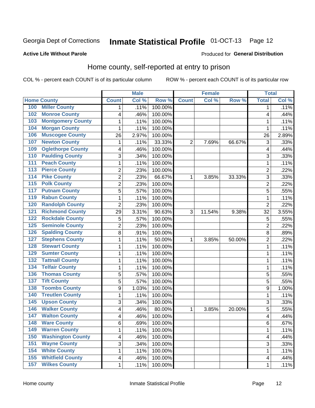## Inmate Statistical Profile 01-OCT-13 Page 12

### **Active Life Without Parole**

### **Produced for General Distribution**

## Home county, self-reported at entry to prison

COL % - percent each COUNT is of its particular column

|                  |                          |                         | <b>Male</b> |         |                | <b>Female</b> |        | <b>Total</b>   |         |
|------------------|--------------------------|-------------------------|-------------|---------|----------------|---------------|--------|----------------|---------|
|                  | <b>Home County</b>       | <b>Count</b>            | Col %       | Row %   | <b>Count</b>   | Col %         | Row %  | <b>Total</b>   | Col %   |
| 100              | <b>Miller County</b>     | 1                       | .11%        | 100.00% |                |               |        | 1              | .11%    |
| 102              | <b>Monroe County</b>     | 4                       | .46%        | 100.00% |                |               |        | 4              | .44%    |
| 103              | <b>Montgomery County</b> | $\mathbf 1$             | .11%        | 100.00% |                |               |        | 1              | .11%    |
| 104              | <b>Morgan County</b>     | 1                       | .11%        | 100.00% |                |               |        | 1              | .11%    |
| 106              | <b>Muscogee County</b>   | 26                      | 2.97%       | 100.00% |                |               |        | 26             | 2.89%   |
| 107              | <b>Newton County</b>     | 1                       | .11%        | 33.33%  | $\overline{2}$ | 7.69%         | 66.67% | 3              | .33%    |
| 109              | <b>Oglethorpe County</b> | 4                       | .46%        | 100.00% |                |               |        | 4              | .44%    |
| 110              | <b>Paulding County</b>   | 3                       | .34%        | 100.00% |                |               |        | 3              | .33%    |
| 111              | <b>Peach County</b>      | $\mathbf 1$             | .11%        | 100.00% |                |               |        | 1              | .11%    |
| $\overline{113}$ | <b>Pierce County</b>     | $\overline{c}$          | .23%        | 100.00% |                |               |        | $\overline{2}$ | .22%    |
| 114              | <b>Pike County</b>       | $\overline{c}$          | .23%        | 66.67%  | 1              | 3.85%         | 33.33% | 3              | .33%    |
| $\overline{115}$ | <b>Polk County</b>       | $\overline{2}$          | .23%        | 100.00% |                |               |        | $\overline{2}$ | .22%    |
| 117              | <b>Putnam County</b>     | 5                       | .57%        | 100.00% |                |               |        | 5              | .55%    |
| 119              | <b>Rabun County</b>      | 1                       | .11%        | 100.00% |                |               |        | 1              | .11%    |
| 120              | <b>Randolph County</b>   | $\overline{2}$          | .23%        | 100.00% |                |               |        | $\overline{2}$ | .22%    |
| 121              | <b>Richmond County</b>   | 29                      | 3.31%       | 90.63%  | 3              | 11.54%        | 9.38%  | 32             | 3.55%   |
| 122              | <b>Rockdale County</b>   | 5                       | .57%        | 100.00% |                |               |        | 5              | .55%    |
| 125              | <b>Seminole County</b>   | $\overline{c}$          | .23%        | 100.00% |                |               |        | $\overline{2}$ | .22%    |
| 126              | <b>Spalding County</b>   | 8                       | .91%        | 100.00% |                |               |        | 8              | .89%    |
| 127              | <b>Stephens County</b>   | 1                       | .11%        | 50.00%  | 1              | 3.85%         | 50.00% | $\overline{2}$ | .22%    |
| 128              | <b>Stewart County</b>    | $\mathbf 1$             | .11%        | 100.00% |                |               |        | 1              | .11%    |
| 129              | <b>Sumter County</b>     | $\mathbf 1$             | .11%        | 100.00% |                |               |        | 1              | .11%    |
| 132              | <b>Tattnall County</b>   | $\mathbf 1$             | .11%        | 100.00% |                |               |        | 1              | .11%    |
| 134              | <b>Telfair County</b>    | $\mathbf 1$             | .11%        | 100.00% |                |               |        | 1              | .11%    |
| 136              | <b>Thomas County</b>     | 5                       | .57%        | 100.00% |                |               |        | 5              | .55%    |
| 137              | <b>Tift County</b>       | 5                       | .57%        | 100.00% |                |               |        | 5              | .55%    |
| 138              | <b>Toombs County</b>     | 9                       | 1.03%       | 100.00% |                |               |        | 9              | 1.00%   |
| 140              | <b>Treutlen County</b>   | 1                       | .11%        | 100.00% |                |               |        | 1              | .11%    |
| 145              | <b>Upson County</b>      | 3                       | .34%        | 100.00% |                |               |        | 3              | .33%    |
| 146              | <b>Walker County</b>     | 4                       | .46%        | 80.00%  | 1              | 3.85%         | 20.00% | 5              | .55%    |
| 147              | <b>Walton County</b>     | 4                       | .46%        | 100.00% |                |               |        | 4              | .44%    |
| 148              | <b>Ware County</b>       | 6                       | .69%        | 100.00% |                |               |        | 6              | $.67\%$ |
| 149              | <b>Warren County</b>     | $\mathbf{1}$            | .11%        | 100.00% |                |               |        | 1              | .11%    |
| 150              | <b>Washington County</b> | $\overline{\mathbf{4}}$ | .46%        | 100.00% |                |               |        | 4              | .44%    |
| 151              | <b>Wayne County</b>      | $\overline{3}$          | .34%        | 100.00% |                |               |        | 3              | .33%    |
| 154              | <b>White County</b>      | $\mathbf{1}$            | .11%        | 100.00% |                |               |        | 1              | .11%    |
| 155              | <b>Whitfield County</b>  | $\overline{\mathbf{4}}$ | .46%        | 100.00% |                |               |        | 4              | .44%    |
| 157              | <b>Wilkes County</b>     | 1                       | .11%        | 100.00% |                |               |        | 1              | .11%    |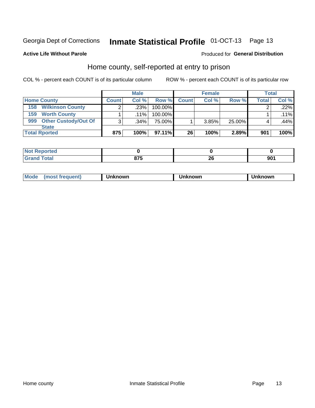## Inmate Statistical Profile 01-OCT-13 Page 13

#### **Active Life Without Parole**

### **Produced for General Distribution**

## Home county, self-reported at entry to prison

COL % - percent each COUNT is of its particular column

|                                    |              | <b>Male</b> |         |              | <b>Female</b> |        | <b>Total</b> |         |
|------------------------------------|--------------|-------------|---------|--------------|---------------|--------|--------------|---------|
| <b>Home County</b>                 | <b>Count</b> | Col%        | Row %   | <b>Count</b> | Col %         | Row %  | <b>Total</b> | Col %   |
| <b>Wilkinson County</b><br>158     | ⌒            | .23%        | 100.00% |              |               |        |              | .22%    |
| <b>Worth County</b><br>159         |              | $.11\%$     | 100.00% |              |               |        |              | $.11\%$ |
| <b>Other Custody/Out Of</b><br>999 | 3            | $.34\%$     | 75.00%  |              | 3.85%         | 25.00% |              | .44%    |
| <b>State</b>                       |              |             |         |              |               |        |              |         |
| <b>Total Rported</b>               | 875          | 100%        | 97.11%  | 26           | 100%          | 2.89%  | 901          | 100%    |

| <b>rted</b>  |            |    |     |
|--------------|------------|----|-----|
| <b>Total</b> | <b>07E</b> | Zv | 001 |
| $\sim$       |            | __ | งบ  |

| Mode<br>known<br>nown<br>nowr<br>reguent)<br>os<br>. |
|------------------------------------------------------|
|------------------------------------------------------|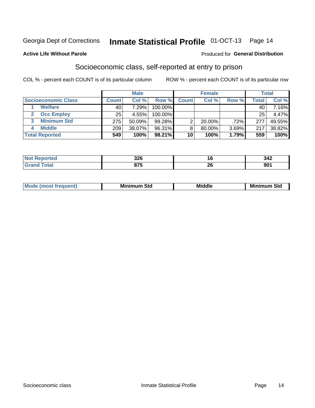## Inmate Statistical Profile 01-OCT-13 Page 14

#### **Active Life Without Parole**

### **Produced for General Distribution**

## Socioeconomic class, self-reported at entry to prison

COL % - percent each COUNT is of its particular column

|                       |        | <b>Male</b> |         |              | <b>Female</b> |       |        | <b>Total</b> |
|-----------------------|--------|-------------|---------|--------------|---------------|-------|--------|--------------|
| Socioeconomic Class   | Count⊺ | Col %       | Row %   | <b>Count</b> | Col %         | Row % | Total, | Col %        |
| <b>Welfare</b>        | 40     | 7.29%       | 100.00% |              |               |       | 40     | 7.16%        |
| <b>Occ Employ</b>     | 25     | 4.55%       | 100.00% |              |               |       | 25     | 4.47%        |
| <b>Minimum Std</b>    | 275    | 50.09%      | 99.28%  |              | $20.00\%$     | .72%  | 277    | 49.55%       |
| <b>Middle</b>         | 209    | 38.07%      | 96.31%  | 8            | 80.00%        | 3.69% | 217    | 38.82%       |
| <b>Total Reported</b> | 549    | 100%        | 98.21%  | 10           | 100%          | 1.79% | 559    | 100%         |

| <b>220</b><br>ט∡כ<br>__ | 10<br>__ | 312<br>---         |
|-------------------------|----------|--------------------|
| 07F<br>91 J<br>- -      | n,<br>ΔV | <b>001</b><br>ו טע |

|  | M | Min<br>- - - -<br>οια<br>___ | Middle<br>____ | Min<br>Std<br>.<br>. |
|--|---|------------------------------|----------------|----------------------|
|--|---|------------------------------|----------------|----------------------|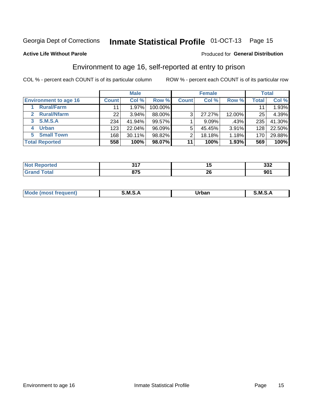## Inmate Statistical Profile 01-OCT-13 Page 15

### **Active Life Without Parole**

### **Produced for General Distribution**

## Environment to age 16, self-reported at entry to prison

COL % - percent each COUNT is of its particular column

|                                      |                 | <b>Male</b> |         |                | <b>Female</b> |        |              | <b>Total</b> |
|--------------------------------------|-----------------|-------------|---------|----------------|---------------|--------|--------------|--------------|
| <b>Environment to age 16</b>         | <b>Count</b>    | Col %       | Row %   | <b>Count</b>   | Col %         | Row %  | <b>Total</b> | Col %        |
| <b>Rural/Farm</b>                    | 11              | 1.97%       | 100.00% |                |               |        |              | 1.93%        |
| <b>Rural/Nfarm</b><br>$\overline{2}$ | 22 <sub>1</sub> | $3.94\%$    | 88.00%  | 3 <sub>1</sub> | 27.27%        | 12.00% | 25           | 4.39%        |
| 3 S.M.S.A                            | 234             | 41.94%      | 99.57%  |                | $9.09\%$      | .43%   | 235          | 41.30%       |
| <b>Urban</b><br>4                    | 123             | 22.04%      | 96.09%  | 5              | 45.45%        | 3.91%  | 128          | 22.50%       |
| <b>Small Town</b><br>5               | 168             | 30.11%      | 98.82%  | ົ              | 18.18%        | 1.18%  | 170          | 29.88%       |
| <b>Total Reported</b>                | 558             | 100%        | 98.07%  | 11             | 100%          | 1.93%  | 569          | 100%         |

| 247<br>.                        | יי       | ົ້<br>⊾טט  |
|---------------------------------|----------|------------|
| 0.7 <sub>F</sub><br>. .<br>$ -$ | ∽•<br>ΔU | <b>001</b> |

| Mo | M      | ----- | M |
|----|--------|-------|---|
|    | ______ | _____ |   |
|    |        |       |   |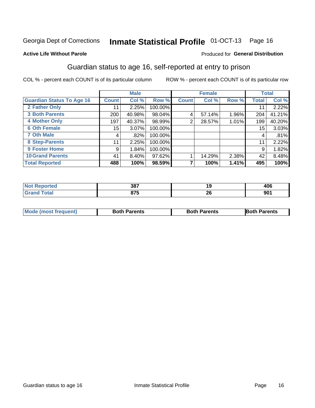## Inmate Statistical Profile 01-OCT-13 Page 16

### **Active Life Without Parole**

#### Produced for General Distribution

## Guardian status to age 16, self-reported at entry to prison

COL % - percent each COUNT is of its particular column

|                                  |                  | <b>Male</b> |         |              | <b>Female</b> |       |                 | <b>Total</b> |
|----------------------------------|------------------|-------------|---------|--------------|---------------|-------|-----------------|--------------|
| <b>Guardian Status To Age 16</b> | <b>Count</b>     | Col %       | Row %   | <b>Count</b> | Col %         | Row % | <b>Total</b>    | Col %        |
| 2 Father Only                    | 11               | 2.25%       | 100.00% |              |               |       | 11              | 2.22%        |
| <b>3 Both Parents</b>            | 200              | 40.98%      | 98.04%  | 4            | 57.14%        | 1.96% | 204             | 41.21%       |
| <b>4 Mother Only</b>             | 197              | 40.37%      | 98.99%  | 2            | 28.57%        | 1.01% | 199             | 40.20%       |
| <b>6 Oth Female</b>              | 15 <sub>15</sub> | 3.07%       | 100.00% |              |               |       | 15 <sub>1</sub> | 3.03%        |
| <b>7 Oth Male</b>                | 4                | .82%        | 100.00% |              |               |       | 4               | .81%         |
| 8 Step-Parents                   | 11               | 2.25%       | 100.00% |              |               |       | 11              | 2.22%        |
| 9 Foster Home                    | 9                | 1.84%       | 100.00% |              |               |       | 9               | 1.82%        |
| <b>10 Grand Parents</b>          | 41               | 8.40%       | 97.62%  |              | 14.29%        | 2.38% | 42              | 8.48%        |
| <b>Total Reported</b>            | 488              | 100%        | 98.59%  |              | 100%          | 1.41% | 495             | 100%         |

| 'ted        | 207<br>. טע | ت ا | 406 |
|-------------|-------------|-----|-----|
| <b>otal</b> | $\sim$      | oc. | nn/ |
|             | ช เ ซ       | ZU  | JV. |

| <b>Mode (most frequent)</b> | <b>Both Parents</b> | <b>Both Parents</b> | <b>Both Parents</b> |
|-----------------------------|---------------------|---------------------|---------------------|
|                             |                     |                     |                     |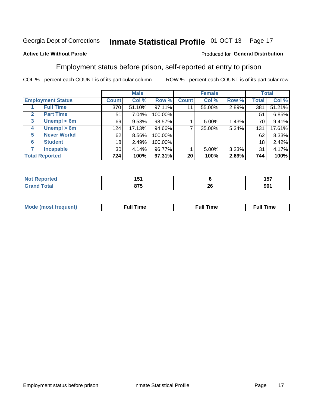#### Inmate Statistical Profile 01-OCT-13 Page 17

### **Active Life Without Parole**

#### Produced for General Distribution

## Employment status before prison, self-reported at entry to prison

COL % - percent each COUNT is of its particular column

|              |                          |              | <b>Male</b> |         |              | <b>Female</b> |       |              | <b>Total</b> |
|--------------|--------------------------|--------------|-------------|---------|--------------|---------------|-------|--------------|--------------|
|              | <b>Employment Status</b> | <b>Count</b> | Col %       | Row %   | <b>Count</b> | Col %         | Row % | <b>Total</b> | Col %        |
|              | <b>Full Time</b>         | 370          | 51.10%      | 97.11%  | 11           | 55.00%        | 2.89% | 381          | 51.21%       |
| $\mathbf{2}$ | <b>Part Time</b>         | 51           | 7.04%       | 100.00% |              |               |       | 51           | 6.85%        |
| 3            | Unempl $<$ 6m            | 69           | 9.53%       | 98.57%  |              | 5.00%         | 1.43% | 70           | 9.41%        |
| 4            | $U$ nempl > 6m           | 124          | 17.13%      | 94.66%  |              | 35.00%        | 5.34% | 131          | 17.61%       |
| 5            | <b>Never Workd</b>       | 62           | 8.56%       | 100.00% |              |               |       | 62           | 8.33%        |
| 6            | <b>Student</b>           | 18           | 2.49%       | 100.00% |              |               |       | 18           | 2.42%        |
| 7            | <b>Incapable</b>         | 30           | 4.14%       | 96.77%  |              | 5.00%         | 3.23% | 31           | 4.17%        |
|              | <b>Total Reported</b>    | 724          | 100%        | 97.31%  | 20           | 100%          | 2.69% | 744          | 100%         |

| тес. | -<br>. .<br>1 J I |          | .<br>1 J I |
|------|-------------------|----------|------------|
|      | $\sim$<br>. . J   | 06<br>ZV | 901        |

| Mc | ∴ull | ----<br>ıme<br>w |
|----|------|------------------|
|    |      |                  |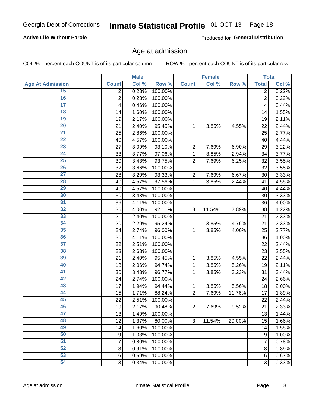## Inmate Statistical Profile 01-OCT-13 Page 18

### **Active Life Without Parole**

Produced for General Distribution

## Age at admission

COL % - percent each COUNT is of its particular column

|                         |                 | <b>Male</b> |         |                | <b>Female</b> |        |                | <b>Total</b> |
|-------------------------|-----------------|-------------|---------|----------------|---------------|--------|----------------|--------------|
| <b>Age At Admission</b> | <b>Count</b>    | Col %       | Row %   | <b>Count</b>   | Col %         | Row %  | <b>Total</b>   | Col %        |
| 15                      | 2               | 0.23%       | 100.00% |                |               |        | 2              | 0.22%        |
| 16                      | $\overline{2}$  | 0.23%       | 100.00% |                |               |        | $\overline{2}$ | 0.22%        |
| $\overline{17}$         | 4               | 0.46%       | 100.00% |                |               |        | 4              | 0.44%        |
| 18                      | 14              | 1.60%       | 100.00% |                |               |        | 14             | 1.55%        |
| 19                      | 19              | 2.17%       | 100.00% |                |               |        | 19             | 2.11%        |
| $\overline{20}$         | 21              | 2.40%       | 95.45%  | 1              | 3.85%         | 4.55%  | 22             | 2.44%        |
| 21                      | 25              | 2.86%       | 100.00% |                |               |        | 25             | 2.77%        |
| 22                      | 40              | 4.57%       | 100.00% |                |               |        | 40             | 4.44%        |
| 23                      | 27              | 3.09%       | 93.10%  | $\overline{2}$ | 7.69%         | 6.90%  | 29             | 3.22%        |
| 24                      | 33              | 3.77%       | 97.06%  | 1              | 3.85%         | 2.94%  | 34             | 3.77%        |
| $\overline{25}$         | 30              | 3.43%       | 93.75%  | $\overline{2}$ | 7.69%         | 6.25%  | 32             | 3.55%        |
| 26                      | 32              | 3.66%       | 100.00% |                |               |        | 32             | 3.55%        |
| $\overline{27}$         | 28              | 3.20%       | 93.33%  | $\overline{2}$ | 7.69%         | 6.67%  | 30             | 3.33%        |
| 28                      | 40              | 4.57%       | 97.56%  | 1              | 3.85%         | 2.44%  | 41             | 4.55%        |
| 29                      | 40              | 4.57%       | 100.00% |                |               |        | 40             | 4.44%        |
| 30                      | 30              | 3.43%       | 100.00% |                |               |        | 30             | 3.33%        |
| 31                      | 36              | 4.11%       | 100.00% |                |               |        | 36             | 4.00%        |
| 32                      | 35              | 4.00%       | 92.11%  | 3              | 11.54%        | 7.89%  | 38             | 4.22%        |
| 33                      | 21              | 2.40%       | 100.00% |                |               |        | 21             | 2.33%        |
| 34                      | 20              | 2.29%       | 95.24%  | 1              | 3.85%         | 4.76%  | 21             | 2.33%        |
| 35                      | 24              | 2.74%       | 96.00%  | 1              | 3.85%         | 4.00%  | 25             | 2.77%        |
| 36                      | 36              | 4.11%       | 100.00% |                |               |        | 36             | 4.00%        |
| $\overline{37}$         | 22              | 2.51%       | 100.00% |                |               |        | 22             | 2.44%        |
| 38                      | 23              | 2.63%       | 100.00% |                |               |        | 23             | 2.55%        |
| 39                      | 21              | 2.40%       | 95.45%  | 1              | 3.85%         | 4.55%  | 22             | 2.44%        |
| 40                      | 18              | 2.06%       | 94.74%  | 1              | 3.85%         | 5.26%  | 19             | 2.11%        |
| 41                      | 30              | 3.43%       | 96.77%  | 1              | 3.85%         | 3.23%  | 31             | 3.44%        |
| 42                      | 24              | 2.74%       | 100.00% |                |               |        | 24             | 2.66%        |
| 43                      | 17              | 1.94%       | 94.44%  | 1              | 3.85%         | 5.56%  | 18             | 2.00%        |
| 44                      | 15              | 1.71%       | 88.24%  | $\overline{2}$ | 7.69%         | 11.76% | 17             | 1.89%        |
| 45                      | 22              | 2.51%       | 100.00% |                |               |        | 22             | 2.44%        |
| 46                      | 19              | 2.17%       | 90.48%  | $\overline{2}$ | 7.69%         | 9.52%  | 21             | 2.33%        |
| 47                      | 13              | 1.49%       | 100.00% |                |               |        | 13             | 1.44%        |
| 48                      | 12              | 1.37%       | 80.00%  | 3              | 11.54%        | 20.00% | 15             | 1.66%        |
| 49                      | 14              | 1.60%       | 100.00% |                |               |        | 14             | 1.55%        |
| 50                      | 9               | 1.03%       | 100.00% |                |               |        | 9              | 1.00%        |
| $\overline{51}$         | $\overline{7}$  | 0.80%       | 100.00% |                |               |        | 7              | 0.78%        |
| 52                      | 8               | 0.91%       | 100.00% |                |               |        | 8              | 0.89%        |
| 53                      | $6\phantom{1}6$ | 0.69%       | 100.00% |                |               |        | 6              | 0.67%        |
| 54                      | 3               | 0.34%       | 100.00% |                |               |        | 3              | 0.33%        |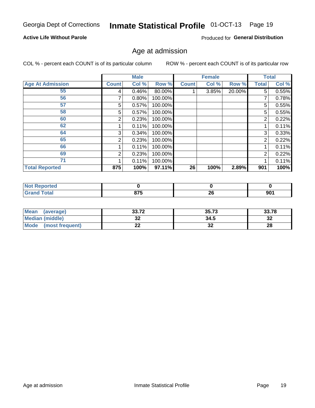## Inmate Statistical Profile 01-OCT-13 Page 19

### **Active Life Without Parole**

Produced for General Distribution

## Age at admission

COL % - percent each COUNT is of its particular column

|                         |              | <b>Male</b> |         |              | <b>Female</b> |        |                | <b>Total</b> |
|-------------------------|--------------|-------------|---------|--------------|---------------|--------|----------------|--------------|
| <b>Age At Admission</b> | <b>Count</b> | Col %       | Row %   | <b>Count</b> | Col %         | Row %  | Total          | Col %        |
| 55                      | 4            | 0.46%       | 80.00%  |              | 3.85%         | 20.00% | 5              | 0.55%        |
| 56                      |              | 0.80%       | 100.00% |              |               |        | 7              | 0.78%        |
| 57                      | 5            | 0.57%       | 100.00% |              |               |        | 5              | 0.55%        |
| 58                      | 5            | 0.57%       | 100.00% |              |               |        | 5              | 0.55%        |
| 60                      | 2            | 0.23%       | 100.00% |              |               |        | 2              | 0.22%        |
| 62                      |              | 0.11%       | 100.00% |              |               |        |                | 0.11%        |
| 64                      | 3            | 0.34%       | 100.00% |              |               |        | 3              | 0.33%        |
| 65                      | 2            | 0.23%       | 100.00% |              |               |        | $\overline{2}$ | 0.22%        |
| 66                      |              | 0.11%       | 100.00% |              |               |        |                | 0.11%        |
| 69                      | 2            | 0.23%       | 100.00% |              |               |        | 2              | 0.22%        |
| 71                      |              | 0.11%       | 100.00% |              |               |        |                | 0.11%        |
| <b>Total Reported</b>   | 875          | 100%        | 97.11%  | 26           | 100%          | 2.89%  | 901            | 100%         |

| prtedi |        |     |     |
|--------|--------|-----|-----|
|        | $\sim$ | . . | nn4 |
|        | U I J  | Zu  | JV. |

| <b>Mean</b><br>(average)       | 33.72    | 35.73    | 33.78    |
|--------------------------------|----------|----------|----------|
| Median (middle)                | ົ<br>JŁ  | 34.5     | ົາ<br>⊾ت |
| <b>Mode</b><br>(most frequent) | ^^<br>-- | ^^<br>ЭZ | 28       |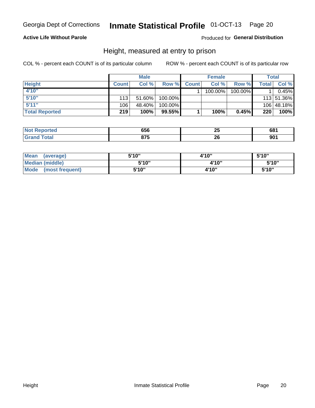## Inmate Statistical Profile 01-OCT-13 Page 20

### **Active Life Without Parole**

### Produced for General Distribution

## Height, measured at entry to prison

COL % - percent each COUNT is of its particular column

|                       |              | <b>Male</b> |         |              | <b>Female</b> |         |       | Total      |
|-----------------------|--------------|-------------|---------|--------------|---------------|---------|-------|------------|
| <b>Height</b>         | <b>Count</b> | Col %       | Row %   | <b>Count</b> | Col %         | Row %   | Total | Col %      |
| 4'10"                 |              |             |         |              | 100.00%       | 100.00% |       | 0.45%      |
| 5'10"                 | 113          | $51.60\%$   | 100.00% |              |               |         |       | 113 51.36% |
| 5'11''                | 106          | 48.40%      | 100.00% |              |               |         |       | 106 48.18% |
| <b>Total Reported</b> | 219          | 100%        | 99.55%  |              | 100%          | 0.45%   | 220   | 100%       |

| <b>Not</b><br><b>orted</b><br>eno | 656   | <b>TIL</b><br>~~<br>$\sim$ | CO4        |
|-----------------------------------|-------|----------------------------|------------|
| <b>Total</b>                      | 07E   | oc                         | <b>004</b> |
| ' Grand                           | U I J | 44                         | JV.        |

| <b>Mean</b><br>(average)       | 5'10"  | 4'10" | 5'10"  |
|--------------------------------|--------|-------|--------|
| <b>Median (middle)</b>         | 5'10"  | 4'10" | 5'10"  |
| <b>Mode</b><br>(most frequent) | 5'10'' | 4'10" | 5'10'' |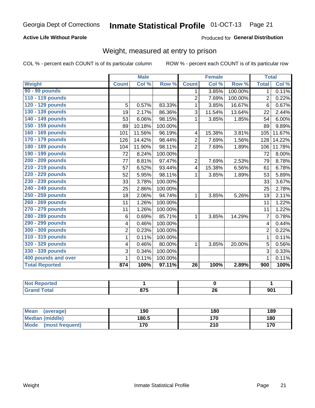## Inmate Statistical Profile 01-OCT-13 Page 21

### **Active Life Without Parole**

Produced for General Distribution

## Weight, measured at entry to prison

COL % - percent each COUNT is of its particular column

|                       |                | <b>Male</b> |         |                | <b>Female</b> |         | <b>Total</b>   |        |
|-----------------------|----------------|-------------|---------|----------------|---------------|---------|----------------|--------|
| <b>Weight</b>         | <b>Count</b>   | Col %       | Row %   | <b>Count</b>   | Col %         | Row %   | <b>Total</b>   | Col %  |
| 90 - 99 pounds        |                |             |         | 1              | 3.85%         | 100.00% | $\mathbf{1}$   | 0.11%  |
| 110 - 119 pounds      |                |             |         | $\overline{2}$ | 7.69%         | 100.00% | $\overline{2}$ | 0.22%  |
| 120 - 129 pounds      | 5              | 0.57%       | 83.33%  | 1              | 3.85%         | 16.67%  | 6              | 0.67%  |
| 130 - 139 pounds      | 19             | 2.17%       | 86.36%  | 3              | 11.54%        | 13.64%  | 22             | 2.44%  |
| 140 - 149 pounds      | 53             | 6.06%       | 98.15%  | 1              | 3.85%         | 1.85%   | 54             | 6.00%  |
| 150 - 159 pounds      | 89             | 10.18%      | 100.00% |                |               |         | 89             | 9.89%  |
| 160 - 169 pounds      | 101            | 11.56%      | 96.19%  | 4              | 15.38%        | 3.81%   | 105            | 11.67% |
| 170 - 179 pounds      | 126            | 14.42%      | 98.44%  | $\overline{2}$ | 7.69%         | 1.56%   | 128            | 14.22% |
| 180 - 189 pounds      | 104            | 11.90%      | 98.11%  | $\overline{2}$ | 7.69%         | 1.89%   | 106            | 11.78% |
| 190 - 199 pounds      | 72             | 8.24%       | 100.00% |                |               |         | 72             | 8.00%  |
| 200 - 209 pounds      | 77             | 8.81%       | 97.47%  | $\overline{2}$ | 7.69%         | 2.53%   | 79             | 8.78%  |
| 210 - 219 pounds      | 57             | 6.52%       | 93.44%  | 4              | 15.38%        | 6.56%   | 61             | 6.78%  |
| 220 - 229 pounds      | 52             | 5.95%       | 98.11%  | 1              | 3.85%         | 1.89%   | 53             | 5.89%  |
| 230 - 239 pounds      | 33             | 3.78%       | 100.00% |                |               |         | 33             | 3.67%  |
| 240 - 249 pounds      | 25             | 2.86%       | 100.00% |                |               |         | 25             | 2.78%  |
| 250 - 259 pounds      | 18             | 2.06%       | 94.74%  | 1              | 3.85%         | 5.26%   | 19             | 2.11%  |
| 260 - 269 pounds      | 11             | 1.26%       | 100.00% |                |               |         | 11             | 1.22%  |
| 270 - 279 pounds      | 11             | 1.26%       | 100.00% |                |               |         | 11             | 1.22%  |
| 280 - 289 pounds      | 6              | 0.69%       | 85.71%  | 1              | 3.85%         | 14.29%  | $\overline{7}$ | 0.78%  |
| 290 - 299 pounds      | 4              | 0.46%       | 100.00% |                |               |         | 4              | 0.44%  |
| 300 - 309 pounds      | $\overline{2}$ | 0.23%       | 100.00% |                |               |         | $\overline{2}$ | 0.22%  |
| 310 - 319 pounds      | 1              | 0.11%       | 100.00% |                |               |         | $\mathbf{1}$   | 0.11%  |
| 320 - 329 pounds      | 4              | 0.46%       | 80.00%  | 1              | 3.85%         | 20.00%  | 5              | 0.56%  |
| 330 - 339 pounds      | 3              | 0.34%       | 100.00% |                |               |         | 3              | 0.33%  |
| 400 pounds and over   | 1              | 0.11%       | 100.00% |                |               |         | $\mathbf 1$    | 0.11%  |
| <b>Total Reported</b> | 874            | 100%        | 97.11%  | 26             | 100%          | 2.89%   | 900            | 100%   |

| <b>Not Reported</b> |            |    |     |
|---------------------|------------|----|-----|
| Total               | ~--<br>பா. | ΔU | 901 |

| <b>Mean</b><br>(average) | 190   | 180 | 189 |
|--------------------------|-------|-----|-----|
| <b>Median (middle)</b>   | 180.5 | 170 | 180 |
| Mode<br>(most frequent)  | 170   | 210 | 170 |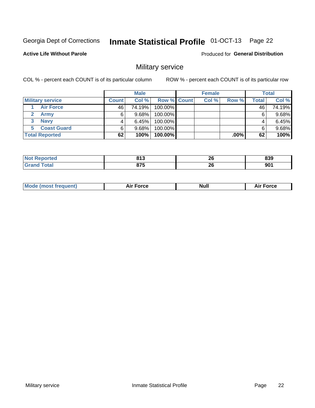#### **Inmate Statistical Profile 01-OCT-13** Page 22

**Active Life Without Parole** 

Produced for General Distribution

## Military service

COL % - percent each COUNT is of its particular column

|                         |              | <b>Male</b> |                    | <b>Female</b> |        |       | <b>Total</b> |
|-------------------------|--------------|-------------|--------------------|---------------|--------|-------|--------------|
| <b>Military service</b> | <b>Count</b> | Col%        | <b>Row % Count</b> | Col %         | Row %  | Total | Col %        |
| <b>Air Force</b>        | 46           | 74.19%      | 100.00%            |               |        | 46    | 74.19%       |
| <b>Army</b>             |              | $9.68\%$    | 100.00%            |               |        | 6     | 9.68%        |
| <b>Navy</b>             |              | 6.45%       | 100.00%            |               |        |       | 6.45%        |
| <b>Coast Guard</b>      |              | $9.68\%$    | 100.00%            |               |        | 6     | 9.68%        |
| <b>Total Reported</b>   | 62           | 100%        | 100.00%            |               | .00% l | 62    | 100%         |

|         | <b>042</b><br>. וי | ኅረ<br>ZU | 839  |
|---------|--------------------|----------|------|
| المقمار | $- - -$            | ኅረ       | nn.  |
| .       | $\cdot$ . $\cdot$  | ZU       | JV I |

|  | <b>Mode (most frequent)</b> | Force<br><b>NU</b> | <b>Null</b> | ™orce<br>۹۱. |
|--|-----------------------------|--------------------|-------------|--------------|
|--|-----------------------------|--------------------|-------------|--------------|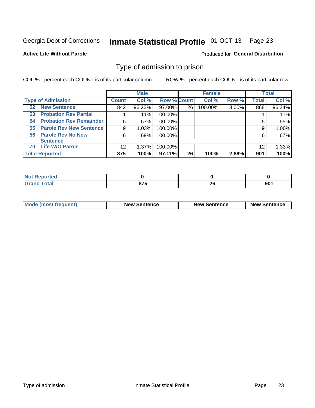## Inmate Statistical Profile 01-OCT-13 Page 23

#### **Active Life Without Parole**

#### Produced for General Distribution

## Type of admission to prison

COL % - percent each COUNT is of its particular column

|                                      |         | <b>Male</b> |                    |    | <b>Female</b> |       |              | <b>Total</b> |
|--------------------------------------|---------|-------------|--------------------|----|---------------|-------|--------------|--------------|
| <b>Type of Admission</b>             | Count l | Col %       | <b>Row % Count</b> |    | Col %         | Row % | <b>Total</b> | Col %        |
| <b>New Sentence</b><br>52            | 842     | 96.23%      | 97.00%             | 26 | 100.00%       | 3.00% | 868          | 96.34%       |
| <b>Probation Rev Partial</b><br>53   |         | .11%        | 100.00%            |    |               |       |              | .11%         |
| <b>Probation Rev Remainder</b><br>54 | 5       | .57%        | 100.00%            |    |               |       | 5            | .55%         |
| <b>Parole Rev New Sentence</b><br>55 | 9       | 1.03%       | 100.00%            |    |               |       | 9            | 1.00%        |
| <b>Parole Rev No New</b><br>56       | 6       | .69%        | 100.00%            |    |               |       | 6            | .67%         |
| <b>Sentence</b>                      |         |             |                    |    |               |       |              |              |
| <b>Life W/O Parole</b><br>70         | 12      | 1.37%       | 100.00%            |    |               |       | 12           | 1.33%        |
| <b>Total Reported</b>                | 875     | 100%        | 97.11%             | 26 | 100%          | 2.89% | 901          | 100%         |

| ported<br><b>NOT</b><br>nel |      |     |            |
|-----------------------------|------|-----|------------|
| <b>otal</b>                 | ---  | nr. | <b>004</b> |
| -                           | 91 J | ~   | JV.        |

| <b>Mode (most frequent)</b> | <b>New Sentence</b> | <b>New Sentence</b> | <b>New Sentence</b> |
|-----------------------------|---------------------|---------------------|---------------------|
|                             |                     |                     |                     |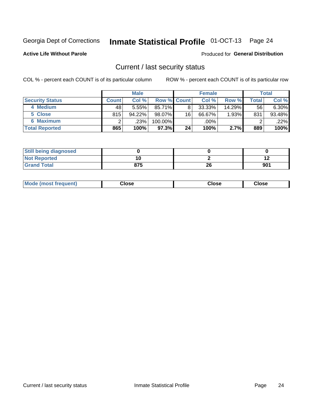## Inmate Statistical Profile 01-OCT-13 Page 24

**Active Life Without Parole** 

#### Produced for General Distribution

## Current / last security status

COL % - percent each COUNT is of its particular column

|                        |              | <b>Male</b> |                    |                 | <b>Female</b> |           |       | <b>Total</b> |
|------------------------|--------------|-------------|--------------------|-----------------|---------------|-----------|-------|--------------|
| <b>Security Status</b> | <b>Count</b> | Col %       | <b>Row % Count</b> |                 | Col %         | Row %     | Total | Col %        |
| 4 Medium               | 481          | 5.55%       | $85.71\%$          | 8               | 33.33%        | $14.29\%$ | 56    | 6.30%        |
| 5 Close                | 815          | 94.22%      | 98.07%             | 16              | 66.67%        | 1.93%     | 831   | 93.48%       |
| <b>6 Maximum</b>       |              | .23%        | 100.00%            |                 | .00%          |           |       | .22%         |
| <b>Total Reported</b>  | 865          | 100%        | 97.3%              | 24 <sub>1</sub> | 100%          | 2.7%      | 889   | 100%         |

| <b>Still being diagnosed</b> |     |    |     |
|------------------------------|-----|----|-----|
| <b>Not Reported</b>          |     |    |     |
| <b>Grand Total</b>           | 875 | 26 | 901 |

| Mode (most frequent) | Close | Close | <b>Close</b> |
|----------------------|-------|-------|--------------|
|                      |       |       |              |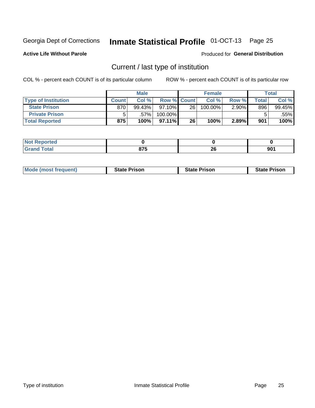## Inmate Statistical Profile 01-OCT-13 Page 25

**Active Life Without Parole** 

Produced for General Distribution

## Current / last type of institution

COL % - percent each COUNT is of its particular column

|                            |              | <b>Male</b> |                    |    | <b>Female</b> |          |       | <b>Total</b> |
|----------------------------|--------------|-------------|--------------------|----|---------------|----------|-------|--------------|
| <b>Type of Institution</b> | <b>Count</b> | Col %       | <b>Row % Count</b> |    | Col %         | Row %    | Total | Col %        |
| <b>State Prison</b>        | 870          | 99.43%      | $97.10\%$          | 26 | 100.00%       | $2.90\%$ | 896   | 99.45%       |
| <b>Private Prison</b>      |              | .57%        | 100.00%            |    |               |          |       | .55% l       |
| <b>Total Reported</b>      | 875          | 100%        | $97.11\%$          | 26 | 100%          | 2.89%    | 901   | 100%         |

| ام د ۱۰۰<br>τeα |     |     |            |
|-----------------|-----|-----|------------|
| <b>otal</b>     | 07E | oc. | <b>001</b> |
|                 | ,   | ΖV  | JU         |

| <b>Mode (most frequent)</b> | <b>State Prison</b> | <b>State Prison</b> | <b>State Prison</b> |
|-----------------------------|---------------------|---------------------|---------------------|
|                             |                     |                     |                     |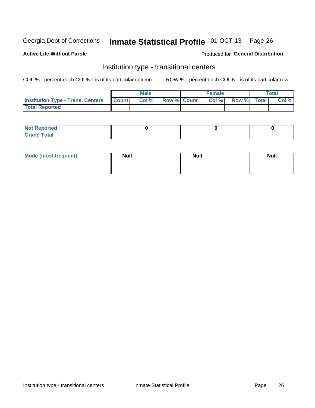## Inmate Statistical Profile 01-OCT-13 Page 26

#### **Active Life Without Parole**

#### Produced for General Distribution

## Institution type - transitional centers

COL % - percent each COUNT is of its particular column

|                                                | Male  |                    | <b>Female</b> |                   | Total |
|------------------------------------------------|-------|--------------------|---------------|-------------------|-------|
| <b>Institution Type - Trans. Centers Count</b> | Col % | <b>Row % Count</b> |               | Col % Row % Total | Col % |
| <b>Total Reported</b>                          |       |                    |               |                   |       |

| <b>Reported</b><br><b>NOT</b><br>$\sim$            |  |  |
|----------------------------------------------------|--|--|
| $f$ $f \circ f \circ f$<br>$C = 1$<br><b>TULAI</b> |  |  |

| Mode (most frequent) | <b>Null</b> | <b>Null</b> | <b>Null</b> |
|----------------------|-------------|-------------|-------------|
|                      |             |             |             |
|                      |             |             |             |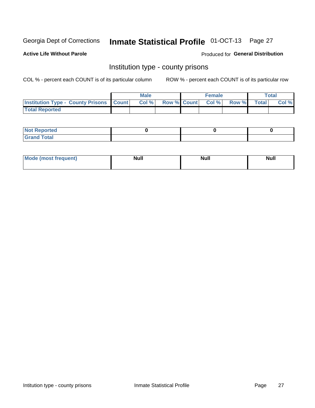## Inmate Statistical Profile 01-OCT-13 Page 27

**Active Life Without Parole** 

Produced for General Distribution

## Institution type - county prisons

COL % - percent each COUNT is of its particular column

|                                                    | <b>Male</b> |       |                          | <b>Female</b> |  |             | <b>Total</b> |       |
|----------------------------------------------------|-------------|-------|--------------------------|---------------|--|-------------|--------------|-------|
| <b>Institution Type - County Prisons   Count  </b> |             | Col % | <b>Row % Count Col %</b> |               |  | Row % Total |              | Col % |
| <b>Total Reported</b>                              |             |       |                          |               |  |             |              |       |

| <b>Not Reported</b>   |  |  |
|-----------------------|--|--|
| <b>Total</b><br>Granc |  |  |

| Mode (most<br>frequent) | <b>Modl</b><br>1uı. | <b>Null</b> | <b>Null</b> |
|-------------------------|---------------------|-------------|-------------|
|                         |                     |             |             |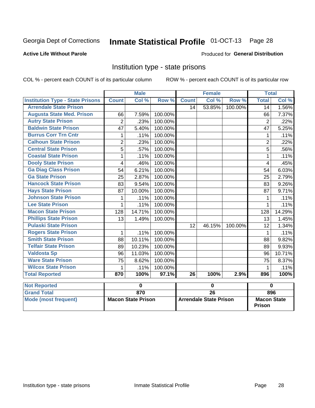## Inmate Statistical Profile 01-OCT-13 Page 28

#### **Active Life Without Parole**

### **Produced for General Distribution**

## Institution type - state prisons

COL % - percent each COUNT is of its particular column

|                                         | <b>Male</b>               |             |         |                               | <b>Female</b> |         |                                     | <b>Total</b> |  |
|-----------------------------------------|---------------------------|-------------|---------|-------------------------------|---------------|---------|-------------------------------------|--------------|--|
| <b>Institution Type - State Prisons</b> | <b>Count</b>              | Col%        | Row %   | <b>Count</b>                  | Col %         | Row %   | <b>Total</b>                        | Col %        |  |
| <b>Arrendale State Prison</b>           |                           |             |         | 14                            | 53.85%        | 100.00% | 14                                  | 1.56%        |  |
| <b>Augusta State Med. Prison</b>        | 66                        | 7.59%       | 100.00% |                               |               |         | 66                                  | 7.37%        |  |
| <b>Autry State Prison</b>               | $\overline{2}$            | .23%        | 100.00% |                               |               |         | $\overline{2}$                      | .22%         |  |
| <b>Baldwin State Prison</b>             | 47                        | 5.40%       | 100.00% |                               |               |         | 47                                  | 5.25%        |  |
| <b>Burrus Corr Trn Cntr</b>             | 1                         | .11%        | 100.00% |                               |               |         | 1                                   | .11%         |  |
| <b>Calhoun State Prison</b>             | $\overline{2}$            | .23%        | 100.00% |                               |               |         | $\overline{2}$                      | .22%         |  |
| <b>Central State Prison</b>             | 5                         | .57%        | 100.00% |                               |               |         | 5                                   | .56%         |  |
| <b>Coastal State Prison</b>             | 1                         | .11%        | 100.00% |                               |               |         | 1                                   | .11%         |  |
| <b>Dooly State Prison</b>               | 4                         | .46%        | 100.00% |                               |               |         | $\overline{4}$                      | .45%         |  |
| <b>Ga Diag Class Prison</b>             | 54                        | 6.21%       | 100.00% |                               |               |         | 54                                  | 6.03%        |  |
| <b>Ga State Prison</b>                  | 25                        | 2.87%       | 100.00% |                               |               |         | 25                                  | 2.79%        |  |
| <b>Hancock State Prison</b>             | 83                        | 9.54%       | 100.00% |                               |               |         | 83                                  | 9.26%        |  |
| <b>Hays State Prison</b>                | 87                        | 10.00%      | 100.00% |                               |               |         | 87                                  | 9.71%        |  |
| <b>Johnson State Prison</b>             | 1                         | .11%        | 100.00% |                               |               |         | 1                                   | .11%         |  |
| <b>Lee State Prison</b>                 | 1                         | .11%        | 100.00% |                               |               |         | 1                                   | .11%         |  |
| <b>Macon State Prison</b>               | 128                       | 14.71%      | 100.00% |                               |               |         | 128                                 | 14.29%       |  |
| <b>Phillips State Prison</b>            | 13                        | 1.49%       | 100.00% |                               |               |         | 13                                  | 1.45%        |  |
| <b>Pulaski State Prison</b>             |                           |             |         | 12                            | 46.15%        | 100.00% | 12                                  | 1.34%        |  |
| <b>Rogers State Prison</b>              | 1                         | .11%        | 100.00% |                               |               |         | 1                                   | .11%         |  |
| <b>Smith State Prison</b>               | 88                        | 10.11%      | 100.00% |                               |               |         | 88                                  | 9.82%        |  |
| <b>Telfair State Prison</b>             | 89                        | 10.23%      | 100.00% |                               |               |         | 89                                  | 9.93%        |  |
| <b>Valdosta Sp</b>                      | 96                        | 11.03%      | 100.00% |                               |               |         | 96                                  | 10.71%       |  |
| <b>Ware State Prison</b>                | 75                        | 8.62%       | 100.00% |                               |               |         | 75                                  | 8.37%        |  |
| <b>Wilcox State Prison</b>              | 1                         | .11%        | 100.00% |                               |               |         | 1                                   | .11%         |  |
| <b>Total Reported</b>                   | 870                       | 100%        | 97.1%   | $\overline{26}$               | 100%          | 2.9%    | 896                                 | 100%         |  |
| <b>Not Reported</b>                     |                           | $\mathbf 0$ |         |                               | $\mathbf 0$   |         |                                     | $\bf{0}$     |  |
| <b>Grand Total</b>                      |                           | 870         |         | $\overline{26}$               |               |         |                                     | 896          |  |
| <b>Mode (most frequent)</b>             | <b>Macon State Prison</b> |             |         | <b>Arrendale State Prison</b> |               |         | <b>Macon State</b><br><b>Prison</b> |              |  |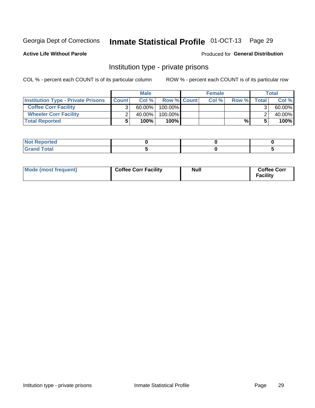## Inmate Statistical Profile 01-OCT-13 Page 29

**Active Life Without Parole** 

#### Produced for General Distribution

## Institution type - private prisons

COL % - percent each COUNT is of its particular column

|                                           | <b>Male</b>  |           |                    | <b>Female</b> |      |       |       | <b>Total</b> |
|-------------------------------------------|--------------|-----------|--------------------|---------------|------|-------|-------|--------------|
| <b>Institution Type - Private Prisons</b> | <b>Count</b> | Col %     | <b>Row % Count</b> |               | Col% | Row % | Total | Col %        |
| <b>Coffee Corr Facility</b>               |              | $60.00\%$ | $100.00\%$         |               |      |       |       | 60.00%       |
| <b>Wheeler Corr Facility</b>              |              | 40.00%    | $100.00\%$         |               |      |       |       | 40.00%       |
| <b>Total Reported</b>                     |              | 100%      | 100%               |               |      | %     |       | 100%         |

| <b>Not Reported</b>    |  |  |
|------------------------|--|--|
| <u>i Utal</u><br>_____ |  |  |

| Mode (most frequent) | <b>Coffee Corr Facility</b> | <b>Null</b> | <b>Coffee Corr</b><br><b>Facility</b> |
|----------------------|-----------------------------|-------------|---------------------------------------|
|----------------------|-----------------------------|-------------|---------------------------------------|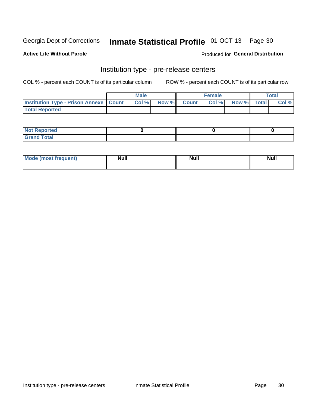## Inmate Statistical Profile 01-OCT-13 Page 30

**Active Life Without Parole** 

Produced for General Distribution

## Institution type - pre-release centers

COL % - percent each COUNT is of its particular column

|                                                   | <b>Male</b> |       |              |       | <b>Female</b> | <b>Total</b>       |  |       |
|---------------------------------------------------|-------------|-------|--------------|-------|---------------|--------------------|--|-------|
| <b>Institution Type - Prison Annexe   Count  </b> |             | Col % | <b>Row %</b> | Count | Col %         | <b>Row %</b> Total |  | Col % |
| <b>Total Reported</b>                             |             |       |              |       |               |                    |  |       |

| <b>Reported</b><br>I NOT |  |  |
|--------------------------|--|--|
| <b>Total</b><br>$C$ ren  |  |  |

| <b>Mo</b><br>frequent)<br>(most | <b>Null</b> | <b>Null</b> | <b>Null</b> |
|---------------------------------|-------------|-------------|-------------|
|                                 |             |             |             |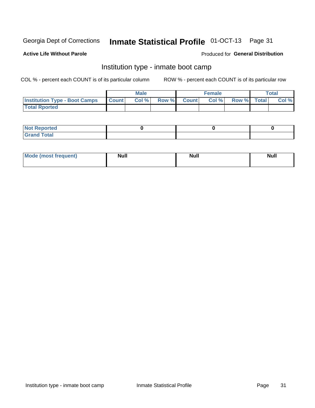## Inmate Statistical Profile 01-OCT-13 Page 31

### **Active Life Without Parole**

### Produced for General Distribution

## Institution type - inmate boot camp

COL % - percent each COUNT is of its particular column

|                                      | <b>Male</b>  |       |               | <b>Female</b> |       |             | <b>Total</b> |       |
|--------------------------------------|--------------|-------|---------------|---------------|-------|-------------|--------------|-------|
| <b>Institution Type - Boot Camps</b> | <b>Count</b> | Col % | <b>Row %I</b> | <b>Count</b>  | Col % | Row % Total |              | Col % |
| <b>Total Rported</b>                 |              |       |               |               |       |             |              |       |

| <b>Not Reported</b> |  |  |
|---------------------|--|--|
| <b>Total</b><br>Cro |  |  |

| Mode (most<br>Treauent) | <b>Null</b> | . .<br><b>Nu</b> |  |
|-------------------------|-------------|------------------|--|
|                         |             |                  |  |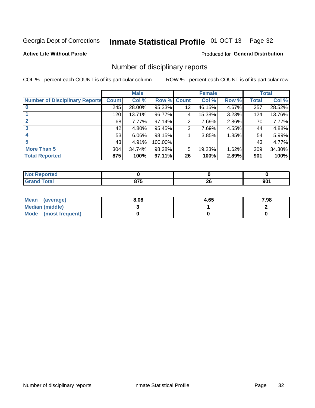## Inmate Statistical Profile 01-OCT-13 Page 32

### **Active Life Without Parole**

#### Produced for General Distribution

## Number of disciplinary reports

COL % - percent each COUNT is of its particular column

|                                       |              | <b>Male</b> |             |                 | <b>Female</b> |       |              | <b>Total</b> |
|---------------------------------------|--------------|-------------|-------------|-----------------|---------------|-------|--------------|--------------|
| <b>Number of Disciplinary Reports</b> | <b>Count</b> | Col %       | Row % Count |                 | Col %         | Row % | <b>Total</b> | Col %        |
|                                       | 245          | 28.00%      | 95.33%      | 12 <sub>2</sub> | 46.15%        | 4.67% | 257          | 28.52%       |
|                                       | 120          | 13.71%      | 96.77%      | 4               | 15.38%        | 3.23% | 124          | 13.76%       |
|                                       | 68           | 7.77%       | 97.14%      | 2               | 7.69%         | 2.86% | 70           | 7.77%        |
| 3                                     | 42           | 4.80%       | 95.45%      | 2               | 7.69%         | 4.55% | 44           | 4.88%        |
|                                       | 53           | $6.06\%$    | 98.15%      |                 | 3.85%         | 1.85% | 54           | 5.99%        |
| 5                                     | 43           | 4.91%       | 100.00%     |                 |               |       | 43'          | 4.77%        |
| <b>More Than 5</b>                    | 304          | 34.74%      | 98.38%      | 5               | 19.23%        | 1.62% | 309          | 34.30%       |
| <b>Total Reported</b>                 | 875          | 100%        | 97.11%      | 26              | 100%          | 2.89% | 901          | 100%         |

| N<br>ueo |            |          |     |
|----------|------------|----------|-----|
| Total    | ~~~<br>u . | ^^<br>ZU | 901 |

| Mean (average)       | 8.08 | 4.65 | 7.98 |
|----------------------|------|------|------|
| Median (middle)      |      |      |      |
| Mode (most frequent) |      |      |      |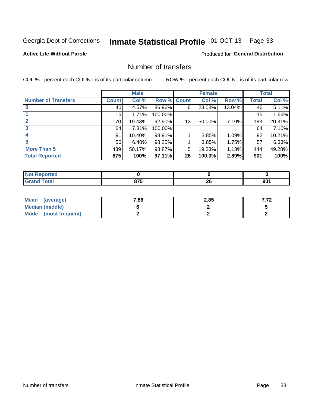## Inmate Statistical Profile 01-OCT-13 Page 33

### **Active Life Without Parole**

### **Produced for General Distribution**

## Number of transfers

COL % - percent each COUNT is of its particular column

|                            |         | <b>Male</b> |         |              | <b>Female</b> |        |              | <b>Total</b> |
|----------------------------|---------|-------------|---------|--------------|---------------|--------|--------------|--------------|
| <b>Number of Transfers</b> | Count l | Col %       | Row %   | <b>Count</b> | Col %         | Row %  | <b>Total</b> | Col %        |
|                            | 40 l    | 4.57%       | 86.96%  | 6            | 23.08%        | 13.04% | 46           | 5.11%        |
|                            | 15      | 1.71%       | 100.00% |              |               |        | 15           | 1.66%        |
|                            | 170     | 19.43%      | 92.90%  | 13           | 50.00%        | 7.10%  | 183          | 20.31%       |
| 3                          | 64      | 7.31%       | 100.00% |              |               |        | 64           | 7.10%        |
|                            | 91      | 10.40%      | 98.91%  |              | 3.85%         | 1.09%  | 92           | 10.21%       |
| 5                          | 56      | $6.40\%$    | 98.25%  |              | 3.85%         | 1.75%  | 57           | 6.33%        |
| <b>More Than 5</b>         | 439     | 50.17%      | 98.87%  | 5            | 19.23%        | 1.13%  | 444          | 49.28%       |
| <b>Total Reported</b>      | 875     | 100%        | 97.11%  | 26           | 100.0%        | 2.89%  | 901          | 100%         |

| <b>prted</b><br>NO |     |                 |                 |
|--------------------|-----|-----------------|-----------------|
| <sup>-</sup> otal  | ~~~ | nr.<br>ZV<br>__ | 90 <sub>1</sub> |

| Mean (average)       | 7.86 | 2.85 | ファヘ |
|----------------------|------|------|-----|
| Median (middle)      |      |      |     |
| Mode (most frequent) |      |      |     |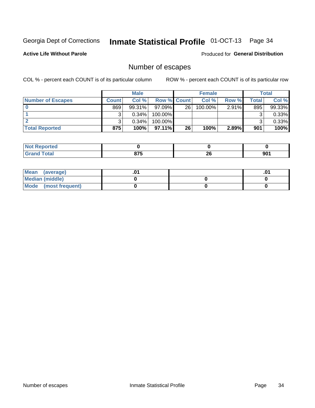## Inmate Statistical Profile 01-OCT-13 Page 34

**Active Life Without Parole** 

Produced for General Distribution

## Number of escapes

COL % - percent each COUNT is of its particular column

|                          |              | <b>Male</b> |                    |    | <b>Female</b> |          |       | Total  |
|--------------------------|--------------|-------------|--------------------|----|---------------|----------|-------|--------|
| <b>Number of Escapes</b> | <b>Count</b> | Col%        | <b>Row % Count</b> |    | Col %         | Row %    | Total | Col %  |
|                          | 869          | $99.31\%$   | $97.09\%$          | 26 | $100.00\%$    | $2.91\%$ | 895   | 99.33% |
|                          |              | 0.34%       | 100.00%            |    |               |          |       | 0.33%  |
|                          |              | 0.34%       | 100.00%            |    |               |          |       | 0.33%  |
| <b>Total Reported</b>    | 875          | 100%        | $97.11\%$          | 26 | 100%          | 2.89%    | 901   | 100%   |

| Reported<br><b>NOT</b><br> |       |     |     |
|----------------------------|-------|-----|-----|
| <b>Total</b>               | 07F   | oc. | nn/ |
| Grand                      | u 1 J | ZU  | ັບເ |

| Mean (average)       |  | .01 |
|----------------------|--|-----|
| Median (middle)      |  |     |
| Mode (most frequent) |  |     |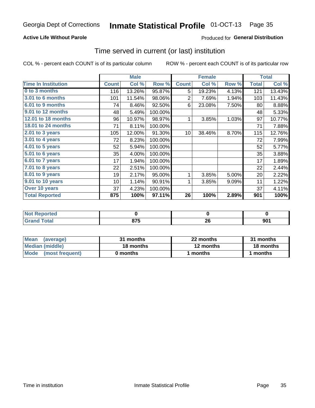#### Inmate Statistical Profile 01-OCT-13 Page 35

### **Active Life Without Parole**

### Produced for General Distribution

## Time served in current (or last) institution

COL % - percent each COUNT is of its particular column

|                            |              | <b>Male</b> |         |                 | <b>Female</b> |       |              | <b>Total</b> |
|----------------------------|--------------|-------------|---------|-----------------|---------------|-------|--------------|--------------|
| <b>Time In Institution</b> | <b>Count</b> | Col %       | Row %   | <b>Count</b>    | Col %         | Row % | <b>Total</b> | Col %        |
| 0 to 3 months              | 116          | 13.26%      | 95.87%  | 5               | 19.23%        | 4.13% | 121          | 13.43%       |
| <b>3.01 to 6 months</b>    | 101          | 11.54%      | 98.06%  | 2               | 7.69%         | 1.94% | 103          | 11.43%       |
| 6.01 to 9 months           | 74           | 8.46%       | 92.50%  | 6               | 23.08%        | 7.50% | 80           | 8.88%        |
| 9.01 to 12 months          | 48           | 5.49%       | 100.00% |                 |               |       | 48           | 5.33%        |
| 12.01 to 18 months         | 96           | 10.97%      | 98.97%  | 1               | 3.85%         | 1.03% | 97           | 10.77%       |
| <b>18.01 to 24 months</b>  | 71           | 8.11%       | 100.00% |                 |               |       | 71           | 7.88%        |
| $2.01$ to 3 years          | 105          | 12.00%      | 91.30%  | 10 <sup>1</sup> | 38.46%        | 8.70% | 115          | 12.76%       |
| $3.01$ to 4 years          | 72           | 8.23%       | 100.00% |                 |               |       | 72           | 7.99%        |
| 4.01 to 5 years            | 52           | 5.94%       | 100.00% |                 |               |       | 52           | 5.77%        |
| 5.01 to 6 years            | 35           | 4.00%       | 100.00% |                 |               |       | 35           | 3.88%        |
| 6.01 to 7 years            | 17           | 1.94%       | 100.00% |                 |               |       | 17           | 1.89%        |
| 7.01 to 8 years            | 22           | 2.51%       | 100.00% |                 |               |       | 22           | 2.44%        |
| 8.01 to 9 years            | 19           | 2.17%       | 95.00%  | 1               | 3.85%         | 5.00% | 20           | 2.22%        |
| 9.01 to 10 years           | 10           | 1.14%       | 90.91%  | 1               | 3.85%         | 9.09% | 11           | 1.22%        |
| Over 10 years              | 37           | 4.23%       | 100.00% |                 |               |       | 37           | 4.11%        |
| <b>Total Reported</b>      | 875          | 100%        | 97.11%  | 26              | 100%          | 2.89% | 901          | 100%         |

| <b>orted</b><br><b>NOT</b> |                    |               |     |
|----------------------------|--------------------|---------------|-----|
| $T0$ tal                   | <b>Q75</b><br>ט וט | 4 V<br>$\sim$ | 901 |

| <b>Mean</b><br>(average) | 31 months | 22 months | 31 months |  |
|--------------------------|-----------|-----------|-----------|--|
| Median (middle)          | 18 months | 12 months | 18 months |  |
| Mode (most frequent)     | 0 months  | 1 months  | 1 months  |  |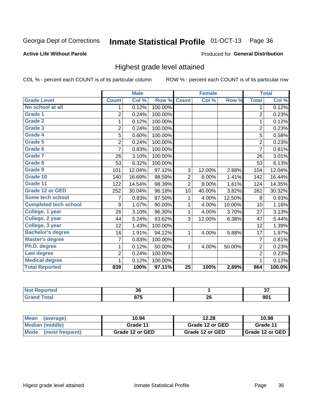#### Inmate Statistical Profile 01-OCT-13 Page 36

#### **Active Life Without Parole**

#### Produced for General Distribution

## Highest grade level attained

COL % - percent each COUNT is of its particular column

|                              |                | <b>Male</b> |         |                 | <b>Female</b> |        |                | <b>Total</b> |
|------------------------------|----------------|-------------|---------|-----------------|---------------|--------|----------------|--------------|
| <b>Grade Level</b>           | <b>Count</b>   | Col %       | Row %   | <b>Count</b>    | Col %         | Row %  | <b>Total</b>   | Col %        |
| No school at all             | 1              | 0.12%       | 100.00% |                 |               |        | 1              | 0.12%        |
| Grade 1                      | $\overline{2}$ | 0.24%       | 100.00% |                 |               |        | $\overline{c}$ | 0.23%        |
| <b>Grade 2</b>               | 1              | 0.12%       | 100.00% |                 |               |        | 1              | 0.12%        |
| Grade 3                      | $\overline{2}$ | 0.24%       | 100.00% |                 |               |        | $\overline{c}$ | 0.23%        |
| Grade 4                      | 5              | 0.60%       | 100.00% |                 |               |        | 5              | 0.58%        |
| Grade 5                      | $\overline{2}$ | 0.24%       | 100.00% |                 |               |        | $\overline{c}$ | 0.23%        |
| Grade 6                      | $\overline{7}$ | 0.83%       | 100.00% |                 |               |        | $\overline{7}$ | 0.81%        |
| Grade 7                      | 26             | 3.10%       | 100.00% |                 |               |        | 26             | 3.01%        |
| Grade 8                      | 53             | 6.32%       | 100.00% |                 |               |        | 53             | 6.13%        |
| Grade 9                      | 101            | 12.04%      | 97.12%  | 3               | 12.00%        | 2.88%  | 104            | 12.04%       |
| Grade 10                     | 140            | 16.69%      | 98.59%  | $\overline{c}$  | 8.00%         | 1.41%  | 142            | 16.44%       |
| Grade 11                     | 122            | 14.54%      | 98.39%  | $\overline{2}$  | 8.00%         | 1.61%  | 124            | 14.35%       |
| <b>Grade 12 or GED</b>       | 252            | 30.04%      | 96.18%  | 10              | 40.00%        | 3.82%  | 262            | 30.32%       |
| <b>Some tech school</b>      | 7              | 0.83%       | 87.50%  | 1               | 4.00%         | 12.50% | 8              | 0.93%        |
| <b>Completed tech school</b> | 9              | 1.07%       | 90.00%  | 1               | 4.00%         | 10.00% | 10             | 1.16%        |
| College, 1 year              | 26             | 3.10%       | 96.30%  | 1               | 4.00%         | 3.70%  | 27             | 3.13%        |
| College, 2 year              | 44             | 5.24%       | 93.62%  | 3               | 12.00%        | 6.38%  | 47             | 5.44%        |
| College, 3 year              | 12             | 1.43%       | 100.00% |                 |               |        | 12             | 1.39%        |
| <b>Bachelor's degree</b>     | 16             | 1.91%       | 94.12%  | 1               | 4.00%         | 5.88%  | 17             | 1.97%        |
| <b>Master's degree</b>       | $\overline{7}$ | 0.83%       | 100.00% |                 |               |        | $\overline{7}$ | 0.81%        |
| Ph.D. degree                 | 1              | 0.12%       | 50.00%  | 1               | 4.00%         | 50.00% | $\overline{2}$ | 0.23%        |
| Law degree                   | $\overline{2}$ | 0.24%       | 100.00% |                 |               |        | $\overline{2}$ | 0.23%        |
| <b>Medical degree</b>        |                | 0.12%       | 100.00% |                 |               |        |                | 0.12%        |
| <b>Total Reported</b>        | 839            | 100%        | 97.11%  | $\overline{25}$ | 100%          | 2.89%  | 864            | 100.0%       |

| ola (etol   | n,<br>ან                      |            | $\sim$<br>v, |
|-------------|-------------------------------|------------|--------------|
| <b>otal</b> | $\sim$ $\sim$ $\sim$<br>u 1 J | - 20<br>ZU | 901          |

| <b>Mean</b><br>(average)       | 10.94           | 12.28           | 10.98             |
|--------------------------------|-----------------|-----------------|-------------------|
| Median (middle)                | Grade 11        | Grade 12 or GED | Grade 11          |
| <b>Mode</b><br>(most frequent) | Grade 12 or GED | Grade 12 or GED | I Grade 12 or GED |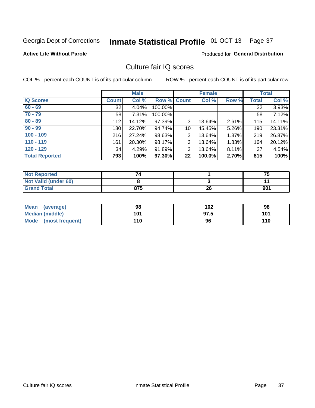# Inmate Statistical Profile 01-OCT-13 Page 37

## **Active Life Without Parole**

### **Produced for General Distribution**

# Culture fair IQ scores

COL % - percent each COUNT is of its particular column

|                       |              | <b>Male</b> |                    |                 | <b>Female</b> |       |              | <b>Total</b> |
|-----------------------|--------------|-------------|--------------------|-----------------|---------------|-------|--------------|--------------|
| <b>IQ Scores</b>      | <b>Count</b> | Col %       | <b>Row % Count</b> |                 | Col %         | Row % | <b>Total</b> | Col %        |
| $60 - 69$             | 32           | 4.04%       | 100.00%            |                 |               |       | 32           | 3.93%        |
| $70 - 79$             | 58           | 7.31%       | 100.00%            |                 |               |       | 58           | 7.12%        |
| $80 - 89$             | 112          | 14.12%      | 97.39%             | 3               | 13.64%        | 2.61% | 115          | 14.11%       |
| $90 - 99$             | 180          | 22.70%      | 94.74%             | 10 <sup>1</sup> | 45.45%        | 5.26% | 190          | 23.31%       |
| $100 - 109$           | 216          | 27.24%      | 98.63%             | 3               | 13.64%        | 1.37% | 219          | 26.87%       |
| $110 - 119$           | 161          | 20.30%      | 98.17%             | 3               | 13.64%        | 1.83% | 164          | 20.12%       |
| $120 - 129$           | 34           | 4.29%       | 91.89%             | 3               | 13.64%        | 8.11% | 37           | 4.54%        |
| <b>Total Reported</b> | 793          | 100%        | 97.30%             | 22              | 100.0%        | 2.70% | 815          | 100%         |

| <b>Not Reported</b>         |     |    | 75  |
|-----------------------------|-----|----|-----|
| <b>Not Valid (under 60)</b> |     |    |     |
| <b>Grand Total</b>          | 875 | 26 | 901 |

| Mean (average)       | 98  | 102  | 98  |
|----------------------|-----|------|-----|
| Median (middle)      | 101 | 97.5 | 101 |
| Mode (most frequent) | 110 | 96   | 110 |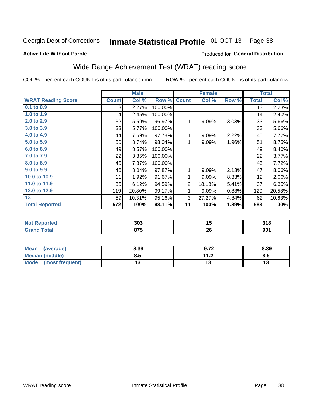#### **Inmate Statistical Profile 01-OCT-13** Page 38

#### **Active Life Without Parole**

# Produced for General Distribution

# Wide Range Achievement Test (WRAT) reading score

COL % - percent each COUNT is of its particular column

ROW % - percent each COUNT is of its particular row

 $\overline{26}$ 

 $\overline{13}$ 

|                           |              | <b>Male</b> |         |                | <b>Female</b> |       |              | <b>Total</b> |
|---------------------------|--------------|-------------|---------|----------------|---------------|-------|--------------|--------------|
| <b>WRAT Reading Score</b> | <b>Count</b> | Col %       | Row %   | <b>Count</b>   | Col %         | Row % | <b>Total</b> | Col %        |
| 0.1 to 0.9                | 13           | 2.27%       | 100.00% |                |               |       | 13           | 2.23%        |
| 1.0 to 1.9                | 14           | 2.45%       | 100.00% |                |               |       | 14           | 2.40%        |
| 2.0 to 2.9                | 32           | 5.59%       | 96.97%  | 1              | 9.09%         | 3.03% | 33           | 5.66%        |
| 3.0 to 3.9                | 33           | 5.77%       | 100.00% |                |               |       | 33           | 5.66%        |
| 4.0 to 4.9                | 44           | 7.69%       | 97.78%  | 1              | 9.09%         | 2.22% | 45           | 7.72%        |
| 5.0 to 5.9                | 50           | 8.74%       | 98.04%  | 1              | 9.09%         | 1.96% | 51           | 8.75%        |
| 6.0 to 6.9                | 49           | 8.57%       | 100.00% |                |               |       | 49           | 8.40%        |
| 7.0 to 7.9                | 22           | 3.85%       | 100.00% |                |               |       | 22           | 3.77%        |
| 8.0 to 8.9                | 45           | 7.87%       | 100.00% |                |               |       | 45           | 7.72%        |
| 9.0 to 9.9                | 46           | 8.04%       | 97.87%  | 1              | 9.09%         | 2.13% | 47           | 8.06%        |
| 10.0 to 10.9              | 11           | 1.92%       | 91.67%  | 1              | 9.09%         | 8.33% | 12           | 2.06%        |
| 11.0 to 11.9              | 35           | 6.12%       | 94.59%  | $\overline{2}$ | 18.18%        | 5.41% | 37           | 6.35%        |
| 12.0 to 12.9              | 119          | 20.80%      | 99.17%  | 1              | 9.09%         | 0.83% | 120          | 20.58%       |
| 13                        | 59           | 10.31%      | 95.16%  | $\mathbf{3}$   | 27.27%        | 4.84% | 62           | 10.63%       |
| <b>Total Reported</b>     | 572          | 100%        | 98.11%  | 11             | 100%          | 1.89% | 583          | 100%         |
|                           |              |             |         |                |               |       |              |              |
| <b>Not Reported</b>       |              | 303         |         |                | 15            |       |              | 318          |

|                   |      | 0. 72        |      |
|-------------------|------|--------------|------|
| Mean<br>(average) | 8.36 | J.I 4        | 8.39 |
| Median (middle)   |      | 11 J         |      |
|                   | 0.J  | $\mathbf{L}$ | o.u  |

 $\overline{875}$ 

 $\overline{13}$ 

**Grand Total** 

**Mode** 

(most frequent)

 $901$ 

 $\overline{13}$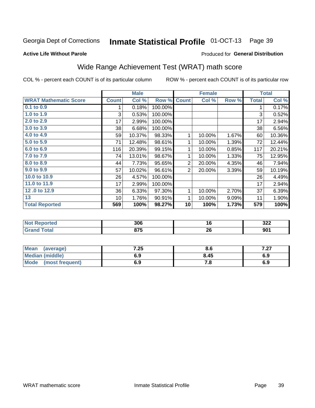#### Inmate Statistical Profile 01-OCT-13 Page 39

#### **Active Life Without Parole**

### Produced for General Distribution

# Wide Range Achievement Test (WRAT) math score

COL % - percent each COUNT is of its particular column

|                              |                 | <b>Male</b> |         |                | <b>Female</b> |       |              | <b>Total</b> |
|------------------------------|-----------------|-------------|---------|----------------|---------------|-------|--------------|--------------|
| <b>WRAT Mathematic Score</b> | <b>Count</b>    | Col %       | Row %   | <b>Count</b>   | Col %         | Row % | <b>Total</b> | Col %        |
| $0.1$ to $0.9$               | 1               | 0.18%       | 100.00% |                |               |       | 1            | 0.17%        |
| 1.0 to 1.9                   | 3               | 0.53%       | 100.00% |                |               |       | 3            | 0.52%        |
| 2.0 to 2.9                   | 17              | 2.99%       | 100.00% |                |               |       | 17           | 2.94%        |
| 3.0 to 3.9                   | 38              | 6.68%       | 100.00% |                |               |       | 38           | 6.56%        |
| 4.0 to 4.9                   | 59              | 10.37%      | 98.33%  | 1              | 10.00%        | 1.67% | 60           | 10.36%       |
| 5.0 to 5.9                   | 71              | 12.48%      | 98.61%  | $\mathbf{1}$   | 10.00%        | 1.39% | 72           | 12.44%       |
| 6.0 to 6.9                   | 116             | 20.39%      | 99.15%  | 1              | 10.00%        | 0.85% | 117          | 20.21%       |
| 7.0 to 7.9                   | 74              | 13.01%      | 98.67%  | 1              | 10.00%        | 1.33% | 75           | 12.95%       |
| 8.0 to 8.9                   | 44              | 7.73%       | 95.65%  | $\overline{2}$ | 20.00%        | 4.35% | 46           | 7.94%        |
| 9.0 to 9.9                   | 57              | 10.02%      | 96.61%  | $\overline{2}$ | 20.00%        | 3.39% | 59           | 10.19%       |
| 10.0 to 10.9                 | 26              | 4.57%       | 100.00% |                |               |       | 26           | 4.49%        |
| 11.0 to 11.9                 | 17              | 2.99%       | 100.00% |                |               |       | 17           | 2.94%        |
| 12.0 to 12.9                 | 36              | 6.33%       | 97.30%  | $\mathbf{1}$   | 10.00%        | 2.70% | 37           | 6.39%        |
| 13                           | 10 <sup>1</sup> | 1.76%       | 90.91%  | 1              | 10.00%        | 9.09% | 11           | 1.90%        |
| <b>Total Reported</b>        | 569             | 100%        | 98.27%  | 10             | 100%          | 1.73% | 579          | 100%         |
|                              |                 |             |         |                |               |       |              |              |

| <b>Not Reported</b> | 306  | 1 V | 322 |
|---------------------|------|-----|-----|
| <b>Total</b>        | 875  | oc. | 901 |
| 'Grand              | 01 J | ZO  |     |

| Mean<br>(average)    | 7.25 | o.o  | .   |
|----------------------|------|------|-----|
| Median (middle)      | 6.9  | 8.45 | 6.9 |
| Mode (most frequent) | 6.9  | 7. O | 6.9 |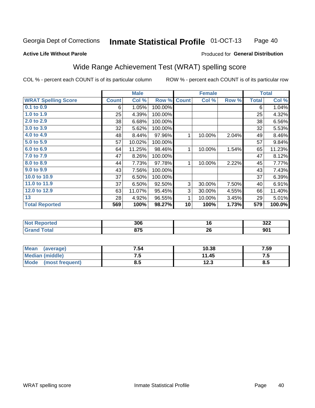#### **Inmate Statistical Profile 01-OCT-13** Page 40

#### **Active Life Without Parole**

### Produced for General Distribution

# Wide Range Achievement Test (WRAT) spelling score

COL % - percent each COUNT is of its particular column

| <b>WRAT Spelling Score</b><br>$0.1$ to $0.9$<br>1.0 to 1.9 | <b>Count</b><br>6 | Col %  | Row %   |              |        |       |              |        |
|------------------------------------------------------------|-------------------|--------|---------|--------------|--------|-------|--------------|--------|
|                                                            |                   |        |         | <b>Count</b> | Col %  | Row % | <b>Total</b> | Col %  |
|                                                            |                   | 1.05%  | 100.00% |              |        |       | 6            | 1.04%  |
|                                                            | 25                | 4.39%  | 100.00% |              |        |       | 25           | 4.32%  |
| 2.0 to 2.9                                                 | 38                | 6.68%  | 100.00% |              |        |       | 38           | 6.56%  |
| 3.0 to 3.9                                                 | 32                | 5.62%  | 100.00% |              |        |       | 32           | 5.53%  |
| 4.0 to 4.9                                                 | 48                | 8.44%  | 97.96%  | 1            | 10.00% | 2.04% | 49           | 8.46%  |
| 5.0 to 5.9                                                 | 57                | 10.02% | 100.00% |              |        |       | 57           | 9.84%  |
| 6.0 to 6.9                                                 | 64                | 11.25% | 98.46%  | 1            | 10.00% | 1.54% | 65           | 11.23% |
| 7.0 to 7.9                                                 | 47                | 8.26%  | 100.00% |              |        |       | 47           | 8.12%  |
| 8.0 to 8.9                                                 | 44                | 7.73%  | 97.78%  | $\mathbf{1}$ | 10.00% | 2.22% | 45           | 7.77%  |
| 9.0 to 9.9                                                 | 43                | 7.56%  | 100.00% |              |        |       | 43           | 7.43%  |
| 10.0 to 10.9                                               | 37                | 6.50%  | 100.00% |              |        |       | 37           | 6.39%  |
| 11.0 to 11.9                                               | 37                | 6.50%  | 92.50%  | 3            | 30.00% | 7.50% | 40           | 6.91%  |
| 12.0 to 12.9                                               | 63                | 11.07% | 95.45%  | 3            | 30.00% | 4.55% | 66           | 11.40% |
| 13                                                         | 28                | 4.92%  | 96.55%  | 1            | 10.00% | 3.45% | 29           | 5.01%  |
| <b>Total Reported</b>                                      | 569               | 100%   | 98.27%  | 10           | 100%   | 1.73% | 579          | 100.0% |

| <b>Not Reported</b> | 306  | י  | 322  |
|---------------------|------|----|------|
| <b>Total</b>        | 07E  | 26 | nn1  |
| <b>Grand</b>        | ט וס |    | JU I |

| <b>Mean</b><br>(average)       | 7.54 | 10.38        | 7.59 |
|--------------------------------|------|--------------|------|
| Median (middle)                | ن. ا | 11.45        | ن. ا |
| <b>Mode</b><br>(most frequent) | 8.5  | 122<br>1 Z.J | Ծ.J  |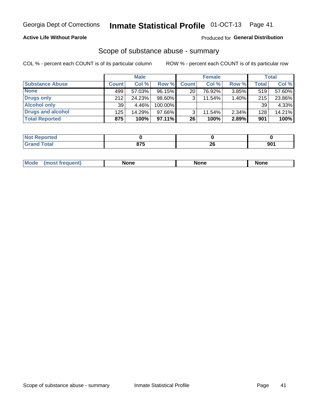# **Active Life Without Parole**

# Produced for General Distribution

# Scope of substance abuse - summary

COL % - percent each COUNT is of its particular column

|                        |              | <b>Male</b> |           |              | <b>Female</b> |       |              | <b>Total</b> |
|------------------------|--------------|-------------|-----------|--------------|---------------|-------|--------------|--------------|
| <b>Substance Abuse</b> | <b>Count</b> | Col %       | Row %     | <b>Count</b> | Col %         | Row % | <b>Total</b> | Col %        |
| <b>None</b>            | 499          | 57.03%      | 96.15%    | 20           | 76.92%        | 3.85% | 519          | 57.60%       |
| Drugs only             | 212          | 24.23%      | 98.60%    |              | 11.54%        | 1.40% | 215          | 23.86%       |
| <b>Alcohol only</b>    | 39           | 4.46%       | 100.00%   |              |               |       | 39           | 4.33%        |
| Drugs and alcohol      | 125          | 14.29%      | $97.66\%$ |              | 11.54%        | 2.34% | 128          | 14.21%       |
| <b>Total Reported</b>  | 875          | 100%        | $97.11\%$ | 26           | 100%          | 2.89% | 901          | 100%         |

| ' Not<br>rtea<br>æoo    |     |    |           |
|-------------------------|-----|----|-----------|
| <b>Total</b><br>' Grand | --- | ZU | nn.<br>Ju |

| Mode<br>None<br>None<br>None<br>quenu |
|---------------------------------------|
|---------------------------------------|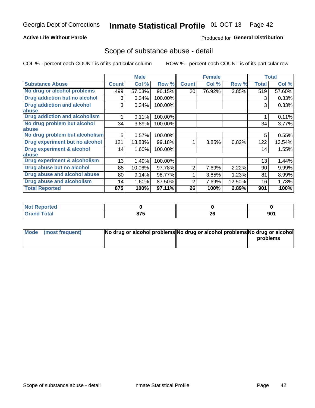# **Active Life Without Parole**

# Produced for General Distribution

# Scope of substance abuse - detail

COL % - percent each COUNT is of its particular column

|                                         |              | <b>Male</b> |         |              | <b>Female</b> |        |              | <b>Total</b> |
|-----------------------------------------|--------------|-------------|---------|--------------|---------------|--------|--------------|--------------|
| <b>Substance Abuse</b>                  | <b>Count</b> | Col %       | Row %   | <b>Count</b> | Col %         | Row %  | <b>Total</b> | Col %        |
| No drug or alcohol problems             | 499          | 57.03%      | 96.15%  | 20           | 76.92%        | 3.85%  | 519          | 57.60%       |
| Drug addiction but no alcohol           | 3            | 0.34%       | 100.00% |              |               |        | 3            | 0.33%        |
| <b>Drug addiction and alcohol</b>       | 3            | 0.34%       | 100.00% |              |               |        | 3            | 0.33%        |
| <b>labuse</b>                           |              |             |         |              |               |        |              |              |
| <b>Drug addiction and alcoholism</b>    |              | 0.11%       | 100.00% |              |               |        |              | 0.11%        |
| No drug problem but alcohol             | 34           | 3.89%       | 100.00% |              |               |        | 34           | 3.77%        |
| abuse                                   |              |             |         |              |               |        |              |              |
| No drug problem but alcoholism          | 5            | 0.57%       | 100.00% |              |               |        | 5            | 0.55%        |
| Drug experiment but no alcohol          | 121          | 13.83%      | 99.18%  |              | 3.85%         | 0.82%  | 122          | 13.54%       |
| <b>Drug experiment &amp; alcohol</b>    | 14           | 1.60%       | 100.00% |              |               |        | 14           | 1.55%        |
| abuse                                   |              |             |         |              |               |        |              |              |
| <b>Drug experiment &amp; alcoholism</b> | 13           | 1.49%       | 100.00% |              |               |        | 13           | 1.44%        |
| Drug abuse but no alcohol               | 88           | 10.06%      | 97.78%  | 2            | 7.69%         | 2.22%  | 90           | 9.99%        |
| Drug abuse and alcohol abuse            | 80           | 9.14%       | 98.77%  |              | 3.85%         | 1.23%  | 81           | 8.99%        |
| <b>Drug abuse and alcoholism</b>        | 14           | 1.60%       | 87.50%  | 2            | 7.69%         | 12.50% | 16           | 1.78%        |
| <b>Total Reported</b>                   | 875          | 100%        | 97.11%  | 26           | 100%          | 2.89%  | 901          | 100%         |

| ported<br><b>NA</b>    |                     |          |                    |
|------------------------|---------------------|----------|--------------------|
| $\sim$ $\sim$<br>_____ | 07E<br>. . J<br>$-$ | ኅር<br>ZU | <b>001</b><br>ו טכ |

| Mode (most frequent) | No drug or alcohol problems No drug or alcohol problems No drug or alcohol |          |
|----------------------|----------------------------------------------------------------------------|----------|
|                      |                                                                            | problems |
|                      |                                                                            |          |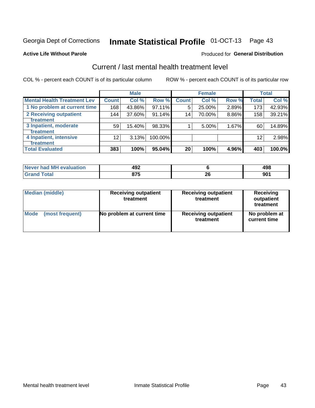# Inmate Statistical Profile 01-OCT-13 Page 43

#### **Active Life Without Parole**

### **Produced for General Distribution**

# Current / last mental health treatment level

COL % - percent each COUNT is of its particular column

|                                    |                 | <b>Male</b> |         |              | <b>Female</b> |       |                 | <b>Total</b> |
|------------------------------------|-----------------|-------------|---------|--------------|---------------|-------|-----------------|--------------|
| <b>Mental Health Treatment Lev</b> | <b>Count</b>    | Col %       | Row %   | <b>Count</b> | Col%          | Row % | <b>Total</b>    | Col %        |
| 1 No problem at current time       | 168             | 43.86%      | 97.11%  | 5            | 25.00%        | 2.89% | 173             | 42.93%       |
| 2 Receiving outpatient             | 144             | 37.60%      | 91.14%  | 14           | 70.00%        | 8.86% | 158             | 39.21%       |
| <b>Treatment</b>                   |                 |             |         |              |               |       |                 |              |
| 3 Inpatient, moderate              | 59              | 15.40%      | 98.33%  |              | 5.00%         | 1.67% | 60              | 14.89%       |
| <b>Treatment</b>                   |                 |             |         |              |               |       |                 |              |
| 4 Inpatient, intensive             | 12 <sub>2</sub> | 3.13%       | 100.00% |              |               |       | 12 <sup>2</sup> | 2.98%        |
| <b>Treatment</b>                   |                 |             |         |              |               |       |                 |              |
| <b>Total Evaluated</b>             | 383             | 100%        | 95.04%  | 20           | 100%          | 4.96% | 403             | 100.0%       |

| Never had MH evaluation | 492          |    | ៸៰៰<br>190      |
|-------------------------|--------------|----|-----------------|
| Total                   | 875<br>0 I J | ∠∪ | 90 <sup>′</sup> |

| <b>Median (middle)</b> | <b>Receiving outpatient</b><br>treatment | <b>Receiving outpatient</b><br>treatment | <b>Receiving</b><br>outpatient<br>treatment |  |  |
|------------------------|------------------------------------------|------------------------------------------|---------------------------------------------|--|--|
| <b>Mode</b>            | No problem at current time               | <b>Receiving outpatient</b>              | No problem at                               |  |  |
| (most frequent)        |                                          | treatment                                | current time                                |  |  |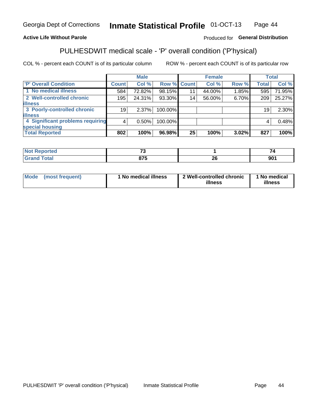#### **Inmate Statistical Profile 01-OCT-13** Page 44

# **Active Life Without Parole**

# Produced for General Distribution

# PULHESDWIT medical scale - 'P' overall condition ('P'hysical)

COL % - percent each COUNT is of its particular column

|                                  |         | <b>Male</b> |             |    | <b>Female</b> |       |              | <b>Total</b> |
|----------------------------------|---------|-------------|-------------|----|---------------|-------|--------------|--------------|
| 'P' Overall Condition            | Count l | Col %       | Row % Count |    | Col %         | Row % | <b>Total</b> | Col %        |
| 1 No medical illness             | 584     | 72.82%      | 98.15%      | 11 | 44.00%        | 1.85% | 595          | 71.95%       |
| 2 Well-controlled chronic        | 195     | 24.31%      | 93.30%      | 14 | 56.00%        | 6.70% | 209          | 25.27%       |
| <b>illness</b>                   |         |             |             |    |               |       |              |              |
| 3 Poorly-controlled chronic      | 19      | $2.37\%$    | 100.00%     |    |               |       | 19           | 2.30%        |
| <b>illness</b>                   |         |             |             |    |               |       |              |              |
| 4 Significant problems requiring | 4       | 0.50%       | 100.00%     |    |               |       | 4            | 0.48%        |
| special housing                  |         |             |             |    |               |       |              |              |
| <b>Total Reported</b>            | 802     | 100%        | 96.98%      | 25 | 100%          | 3.02% | 827          | 100%         |

| $\rightarrow$ |                                 |     |
|---------------|---------------------------------|-----|
| $\sim$        | - -<br>$\overline{\phantom{0}}$ | --- |

| Mode | (most frequent) | No medical illness | 2 Well-controlled chronic<br>illness | 1 No medical<br>illness |
|------|-----------------|--------------------|--------------------------------------|-------------------------|
|------|-----------------|--------------------|--------------------------------------|-------------------------|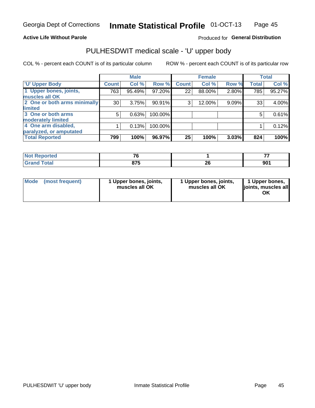## **Active Life Without Parole**

# Produced for General Distribution

# PULHESDWIT medical scale - 'U' upper body

COL % - percent each COUNT is of its particular column

|                              |              | <b>Male</b> |         |              | <b>Female</b> |       |              | <b>Total</b> |
|------------------------------|--------------|-------------|---------|--------------|---------------|-------|--------------|--------------|
| <b>'U' Upper Body</b>        | <b>Count</b> | Col %       | Row %   | <b>Count</b> | Col %         | Row % | <b>Total</b> | Col %        |
| 1 Upper bones, joints,       | 763          | 95.49%      | 97.20%  | 22           | 88.00%        | 2.80% | 785          | 95.27%       |
| muscles all OK               |              |             |         |              |               |       |              |              |
| 2 One or both arms minimally | 30           | 3.75%       | 90.91%  | 3            | 12.00%        | 9.09% | 33           | 4.00%        |
| limited                      |              |             |         |              |               |       |              |              |
| 3 One or both arms           | 5            | 0.63%       | 100.00% |              |               |       | 5            | 0.61%        |
| <b>moderately limited</b>    |              |             |         |              |               |       |              |              |
| 4 One arm disabled,          |              | 0.13%       | 100.00% |              |               |       |              | 0.12%        |
| paralyzed, or amputated      |              |             |         |              |               |       |              |              |
| <b>Total Reported</b>        | 799          | 100%        | 96.97%  | 25           | 100%          | 3.03% | 824          | 100%         |

| <b>Not Reported</b>              | $-$                |         | --  |
|----------------------------------|--------------------|---------|-----|
| <b>Total</b><br>Grar<br>UI di Iu | <b>Q75</b><br>נו נ | ^^<br>£ | 901 |

| <b>Mode</b> | (most frequent) | l Upper bones, joints,<br>muscles all OK | 1 Upper bones, joints,<br>muscles all OK | 1 Upper bones,<br>ljoints, muscles all |
|-------------|-----------------|------------------------------------------|------------------------------------------|----------------------------------------|
|-------------|-----------------|------------------------------------------|------------------------------------------|----------------------------------------|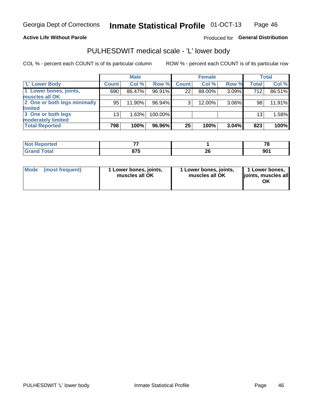## **Active Life Without Parole**

Produced for General Distribution

# PULHESDWIT medical scale - 'L' lower body

COL % - percent each COUNT is of its particular column

|                                             |              | <b>Male</b> |         |              | <b>Female</b> |          |              | Total  |
|---------------------------------------------|--------------|-------------|---------|--------------|---------------|----------|--------------|--------|
| 'L' Lower Body                              | <b>Count</b> | Col %       | Row %   | <b>Count</b> | Col %         | Row %    | <b>Total</b> | Col %  |
| 1 Lower bones, joints,<br>muscles all OK    | 690          | 86.47%      | 96.91%  | 22           | 88.00%        | 3.09%    | 712          | 86.51% |
| 2 One or both legs minimally<br>limited     | 95           | 11.90%      | 96.94%  | 3            | 12.00%        | $3.06\%$ | 98           | 11.91% |
| 3 One or both legs                          | 13           | 1.63%       | 100.00% |              |               |          | 13           | 1.58%  |
| moderately limited<br><b>Total Reported</b> | 798          | 100%        | 96.96%  | 25           | 100%          | 3.04%    | 823          | 100%   |

| тес | --  |                   | 70       |
|-----|-----|-------------------|----------|
|     | 07F | ^^<br>20.<br>$ -$ | nn<br>JU |

| <b>Mode</b> | (most frequent) | 1 Lower bones, joints,<br>muscles all OK | l Lower bones, joints,<br>muscles all OK | <b>1 Lower bones,</b><br>joints, muscles all<br>ΟK |
|-------------|-----------------|------------------------------------------|------------------------------------------|----------------------------------------------------|
|-------------|-----------------|------------------------------------------|------------------------------------------|----------------------------------------------------|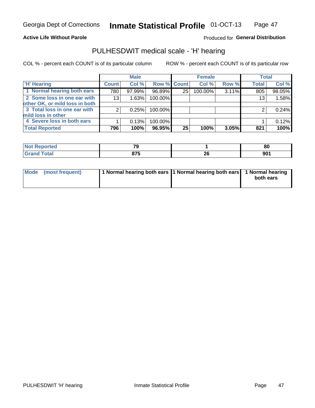### **Active Life Without Parole**

# Produced for General Distribution

# PULHESDWIT medical scale - 'H' hearing

COL % - percent each COUNT is of its particular column

|                                |                 | <b>Male</b> |                    |                 | <b>Female</b> |          | <b>Total</b> |        |
|--------------------------------|-----------------|-------------|--------------------|-----------------|---------------|----------|--------------|--------|
| <b>H' Hearing</b>              | <b>Count</b>    | Col %       | <b>Row % Count</b> |                 | Col %         | Row %    | <b>Total</b> | Col %  |
| 1 Normal hearing both ears     | 780             | 97.99%      | 96.89%             | 25              | 100.00%       | $3.11\%$ | 805          | 98.05% |
| 2 Some loss in one ear with    | 13 <sub>1</sub> | 1.63%       | 100.00%            |                 |               |          | 13           | 1.58%  |
| other OK, or mild loss in both |                 |             |                    |                 |               |          |              |        |
| 3 Total loss in one ear with   | 2               | 0.25%       | 100.00%            |                 |               |          | 2            | 0.24%  |
| mild loss in other             |                 |             |                    |                 |               |          |              |        |
| 4 Severe loss in both ears     |                 | 0.13%       | 100.00%            |                 |               |          |              | 0.12%  |
| <b>Total Reported</b>          | 796             | 100%        | 96.95%             | 25 <sub>1</sub> | 100%          | 3.05%    | 821          | 100%   |

|       | $\mathbf{r}$ |    | 80              |
|-------|--------------|----|-----------------|
| _____ | ---          | ״  | 00 <sub>1</sub> |
|       | . .          | ZU | JU .            |

| Mode (most frequent) | 1 Normal hearing both ears 1 Normal hearing both ears 1 Normal hearing | both ears |
|----------------------|------------------------------------------------------------------------|-----------|
|                      |                                                                        |           |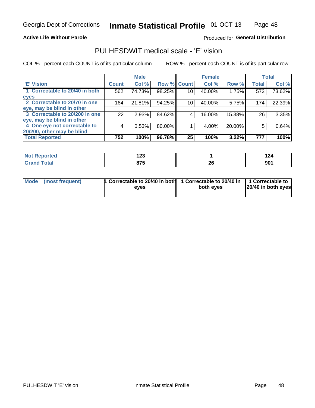### **Active Life Without Parole**

# Produced for General Distribution

# PULHESDWIT medical scale - 'E' vision

COL % - percent each COUNT is of its particular column

|                                |              | <b>Male</b> |        |              | <b>Female</b> |        |              | <b>Total</b> |
|--------------------------------|--------------|-------------|--------|--------------|---------------|--------|--------------|--------------|
| <b>E' Vision</b>               | <b>Count</b> | Col %       | Row %  | <b>Count</b> | Col %         | Row %  | <b>Total</b> | Col %        |
| 1 Correctable to 20/40 in both | 562          | 74.73%      | 98.25% | 10           | 40.00%        | 1.75%  | 572          | 73.62%       |
| eyes                           |              |             |        |              |               |        |              |              |
| 2 Correctable to 20/70 in one  | 164          | 21.81%      | 94.25% | 10           | 40.00%        | 5.75%  | 174          | 22.39%       |
| eye, may be blind in other     |              |             |        |              |               |        |              |              |
| 3 Correctable to 20/200 in one | 22           | 2.93%       | 84.62% |              | 16.00%        | 15.38% | 26           | 3.35%        |
| eye, may be blind in other     |              |             |        |              |               |        |              |              |
| 4 One eye not correctable to   | 4            | 0.53%       | 80.00% |              | 4.00%         | 20.00% | 5            | 0.64%        |
| 20/200, other may be blind     |              |             |        |              |               |        |              |              |
| <b>Total Reported</b>          | 752          | 100%        | 96.78% | 25           | 100%          | 3.22%  | 777          | 100%         |

| ాorted                 | د م<br>12J |     | .<br>144 |
|------------------------|------------|-----|----------|
| $f \wedge f \wedge f'$ | <b>07E</b> | oc. | 901      |
| υιαι                   | ט ו ט      | ZU  |          |

| Mode (most frequent) | 1 Correctable to 20/40 in both 1 Correctable to 20/40 in 1 Correctable to<br>eves | both eyes | 20/40 in both eyes |  |
|----------------------|-----------------------------------------------------------------------------------|-----------|--------------------|--|
|                      |                                                                                   |           |                    |  |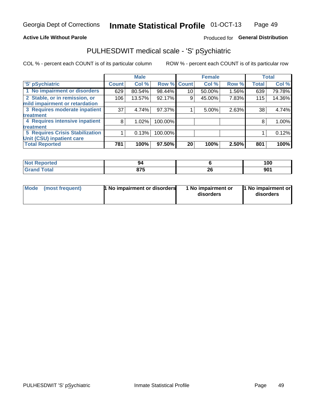## **Active Life Without Parole**

# Produced for General Distribution

# PULHESDWIT medical scale - 'S' pSychiatric

COL % - percent each COUNT is of its particular column

|                                        |              | <b>Male</b> |         |             | <b>Female</b> |       |              | <b>Total</b> |
|----------------------------------------|--------------|-------------|---------|-------------|---------------|-------|--------------|--------------|
| 'S' pSychiatric                        | <b>Count</b> | Col %       |         | Row % Count | Col %         | Row % | <b>Total</b> | Col %        |
| 1 No impairment or disorders           | 629          | 80.54%      | 98.44%  | 10          | 50.00%        | 1.56% | 639          | 79.78%       |
| 2 Stable, or in remission, or          | 106          | 13.57%      | 92.17%  | 9           | 45.00%        | 7.83% | 115          | 14.36%       |
| mild impairment or retardation         |              |             |         |             |               |       |              |              |
| 3 Requires moderate inpatient          | 37           | 4.74%       | 97.37%  |             | 5.00%         | 2.63% | 38           | 4.74%        |
| treatment                              |              |             |         |             |               |       |              |              |
| 4 Requires intensive inpatient         | 8            | $1.02\%$    | 100.00% |             |               |       | 8            | 1.00%        |
| treatment                              |              |             |         |             |               |       |              |              |
| <b>5 Requires Crisis Stabilization</b> |              | 0.13%       | 100.00% |             |               |       |              | 0.12%        |
| Unit (CSU) inpatient care              |              |             |         |             |               |       |              |              |
| <b>Total Reported</b>                  | 781          | 100%        | 97.50%  | 20          | 100%          | 2.50% | 801          | 100%         |

| <b>Reported</b><br>NOT |       |    | 100        |
|------------------------|-------|----|------------|
| <b>Total</b>           | 07F   | ^^ | <b>001</b> |
|                        | 0 I J | ZV | <u>JU</u>  |

| Mode            | <b>1 No impairment or disorders</b> | 1 No impairment or | 1 No impairment or |
|-----------------|-------------------------------------|--------------------|--------------------|
| (most frequent) |                                     | disorders          | disorders          |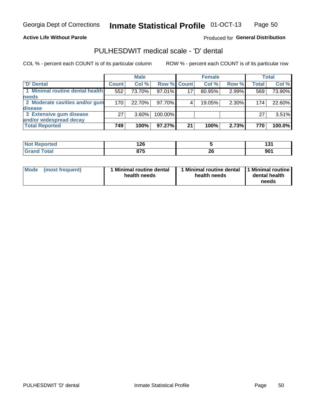# **Active Life Without Parole**

## Produced for General Distribution

# PULHESDWIT medical scale - 'D' dental

COL % - percent each COUNT is of its particular column

|                                 |              | <b>Male</b> |             |    | <b>Female</b> |       |              | Total  |
|---------------------------------|--------------|-------------|-------------|----|---------------|-------|--------------|--------|
| 'D' Dental                      | <b>Count</b> | Col %       | Row % Count |    | Col %         | Row % | <b>Total</b> | Col %  |
| 1 Minimal routine dental health | 552          | 73.70%      | 97.01%      | 17 | 80.95%        | 2.99% | 569          | 73.90% |
| <b>needs</b>                    |              |             |             |    |               |       |              |        |
| 2 Moderate cavities and/or gum  | 170          | 22.70%      | 97.70%      |    | 19.05%        | 2.30% | 174          | 22.60% |
| disease                         |              |             |             |    |               |       |              |        |
| 3 Extensive gum disease         | 27           | $3.60\%$    | 100.00%     |    |               |       | 27           | 3.51%  |
| and/or widespread decay         |              |             |             |    |               |       |              |        |
| <b>Total Reported</b>           | 749          | 100%        | $97.27\%$   | 21 | 100%          | 2.73% | 770          | 100.0% |

| <b>NOT Reported</b> | ላ ኅሮ<br>14 Y |          | . .<br>'' |
|---------------------|--------------|----------|-----------|
| <sup>-</sup> otal   | <b>Q75</b>   | ኅረ<br>ZQ | nn1<br>JL |

| Mode<br>(most frequent) | Minimal routine dental<br>health needs | <b>Minimal routine dental</b><br>health needs | 1 Minimal routine<br>dental health<br>needs |
|-------------------------|----------------------------------------|-----------------------------------------------|---------------------------------------------|
|-------------------------|----------------------------------------|-----------------------------------------------|---------------------------------------------|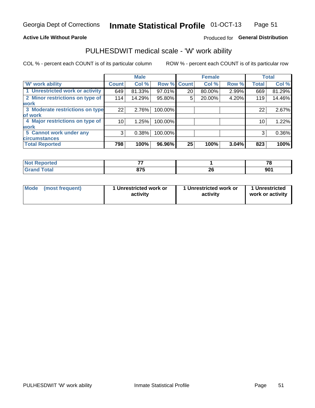## **Active Life Without Parole**

# Produced for General Distribution

# PULHESDWIT medical scale - 'W' work ability

COL % - percent each COUNT is of its particular column

|                                 |              | <b>Male</b> |         |             | <b>Female</b> |       |              | <b>Total</b> |
|---------------------------------|--------------|-------------|---------|-------------|---------------|-------|--------------|--------------|
| <b>W' work ability</b>          | <b>Count</b> | Col %       |         | Row % Count | Col %         | Row % | <b>Total</b> | Col %        |
| 1 Unrestricted work or activity | 649          | 81.33%      | 97.01%  | 20          | 80.00%        | 2.99% | 669          | 81.29%       |
| 2 Minor restrictions on type of | 114          | 14.29%      | 95.80%  | 5           | 20.00%        | 4.20% | 119          | 14.46%       |
| <b>work</b>                     |              |             |         |             |               |       |              |              |
| 3 Moderate restrictions on type | 22           | 2.76%       | 100.00% |             |               |       | 22           | 2.67%        |
| lof work                        |              |             |         |             |               |       |              |              |
| 4 Major restrictions on type of | 10           | 1.25%       | 100.00% |             |               |       | 10           | 1.22%        |
| <b>work</b>                     |              |             |         |             |               |       |              |              |
| 5 Cannot work under any         | 3            | 0.38%       | 100.00% |             |               |       | 3            | 0.36%        |
| <b>circumstances</b>            |              |             |         |             |               |       |              |              |
| <b>Total Reported</b>           | 798          | 100%        | 96.96%  | 25          | 100%          | 3.04% | 823          | 100%         |

| <b>Not Reported</b> | --         |         | $\rightarrow$ |
|---------------------|------------|---------|---------------|
| <b>Grand Total</b>  | 07E<br>, , | ሳሪ<br>∼ | 901           |

| Mode            | 1 Unrestricted work or | 1 Unrestricted work or | 1 Unrestricted   |
|-----------------|------------------------|------------------------|------------------|
| (most frequent) | activity               | activity               | work or activity |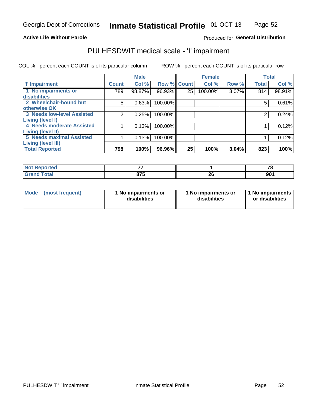# **Active Life Without Parole**

## Produced for General Distribution

# PULHESDWIT medical scale - 'I' impairment

|                                                              |              | <b>Male</b> |             |    | <b>Female</b> |       |              | <b>Total</b> |
|--------------------------------------------------------------|--------------|-------------|-------------|----|---------------|-------|--------------|--------------|
| <b>T' Impairment</b>                                         | <b>Count</b> | Col %       | Row % Count |    | Col %         | Row % | <b>Total</b> | Col %        |
| 1 No impairments or<br>disabilities                          | 789          | 98.87%      | 96.93%      | 25 | 100.00%       | 3.07% | 814          | 98.91%       |
| 2 Wheelchair-bound but                                       | 5            | 0.63%       | 100.00%     |    |               |       | 5            | 0.61%        |
| otherwise OK<br><b>3 Needs low-level Assisted</b>            | 2            | 0.25%       | 100.00%     |    |               |       | 2            | 0.24%        |
| Living (level I)<br>4 Needs moderate Assisted                |              | 0.13%       | 100.00%     |    |               |       |              | 0.12%        |
| <b>Living (level II)</b>                                     |              |             |             |    |               |       |              |              |
| <b>5 Needs maximal Assisted</b><br><b>Living (level III)</b> |              | 0.13%       | 100.00%     |    |               |       |              | 0.12%        |
| <b>Total Reported</b>                                        | 798          | 100%        | 96.96%      | 25 | 100%          | 3.04% | 823          | 100%         |

| د مقدم<br><b>eported</b><br>N | --                      |           | $\rightarrow$<br>. u |
|-------------------------------|-------------------------|-----------|----------------------|
| $\sim$<br>_____               | $\sim$<br>0 I J<br>$ -$ | oc.<br>ZU | 901                  |

| Mode | (most frequent) | 1 No impairments or<br>disabilities | 1 No impairments or<br>disabilities | 1 No impairments<br>or disabilities |
|------|-----------------|-------------------------------------|-------------------------------------|-------------------------------------|
|------|-----------------|-------------------------------------|-------------------------------------|-------------------------------------|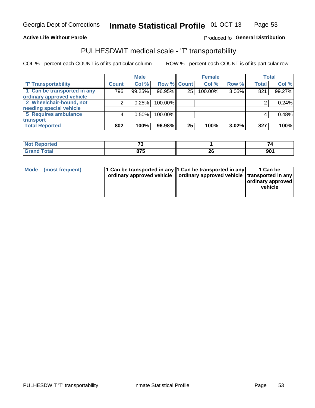### **Active Life Without Parole**

# Produced fo General Distribution

# PULHESDWIT medical scale - 'T' transportability

COL % - percent each COUNT is of its particular column

|                             |              | <b>Male</b> |             |    | <b>Female</b> |       |              | <b>Total</b> |
|-----------------------------|--------------|-------------|-------------|----|---------------|-------|--------------|--------------|
| <b>T' Transportability</b>  | <b>Count</b> | Col %       | Row % Count |    | Col %         | Row % | <b>Total</b> | Col %        |
| 1 Can be transported in any | 796          | 99.25%      | 96.95%      | 25 | 100.00%       | 3.05% | 821          | 99.27%       |
| ordinary approved vehicle   |              |             |             |    |               |       |              |              |
| 2 Wheelchair-bound, not     |              | 0.25%       | 100.00%     |    |               |       |              | 0.24%        |
| needing special vehicle     |              |             |             |    |               |       |              |              |
| 5 Requires ambulance        |              | 0.50%       | 100.00%     |    |               |       |              | 0.48%        |
| transport                   |              |             |             |    |               |       |              |              |
| <b>Total Reported</b>       | 802          | 100%        | 96.98%      | 25 | 100%          | 3.02% | 827          | 100%         |

| Reported    | --           |                | _       |
|-------------|--------------|----------------|---------|
| <b>otal</b> | ~~~<br>0 I J | ^^<br>ZU<br>__ | ົ<br>JV |

| Mode (most frequent) | 1 Can be transported in any 1 Can be transported in any | ordinary approved vehicle   ordinary approved vehicle   transported in any | 1 Can be<br>ordinary approved<br>vehicle |
|----------------------|---------------------------------------------------------|----------------------------------------------------------------------------|------------------------------------------|
|                      |                                                         |                                                                            |                                          |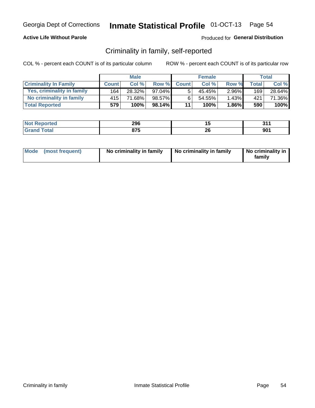# **Active Life Without Parole**

# Produced for General Distribution

# Criminality in family, self-reported

COL % - percent each COUNT is of its particular column

|                              | <b>Male</b>  |        | <b>Female</b> |              |           | Total    |       |        |
|------------------------------|--------------|--------|---------------|--------------|-----------|----------|-------|--------|
| <b>Criminality In Family</b> | <b>Count</b> | Col %  | Row %         | <b>Count</b> | Col %     | Row %    | Total | Col %  |
| Yes, criminality in family   | 164          | 28.32% | $97.04\%$     | 5            | 45.45%    | $2.96\%$ | 169   | 28.64% |
| No criminality in family     | 415'         | 71.68% | 98.57%        | 6            | $54.55\%$ | 1.43%    | 421   | 71.36% |
| <b>Total Reported</b>        | 579'         | 100%   | $98.14\%$     | 11           | 100%      | $1.86\%$ | 590   | 100%   |

| <b>Reported</b><br>NO | 296   |    | 54,<br>.        |
|-----------------------|-------|----|-----------------|
| <b>otal</b>           | 97F   | nr | nn <sub>1</sub> |
| ______                | U I J | ZU | JV I            |

|  | Mode (most frequent) | No criminality in family | No criminality in family | No criminality in<br>family |
|--|----------------------|--------------------------|--------------------------|-----------------------------|
|--|----------------------|--------------------------|--------------------------|-----------------------------|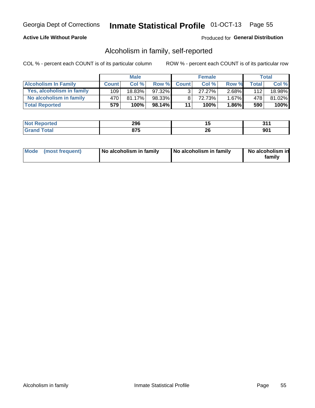# **Active Life Without Parole**

# Produced for General Distribution

# Alcoholism in family, self-reported

COL % - percent each COUNT is of its particular column

|                             | <b>Male</b>  |           | <b>Female</b> |                |        | Total    |              |        |
|-----------------------------|--------------|-----------|---------------|----------------|--------|----------|--------------|--------|
| <b>Alcoholism In Family</b> | <b>Count</b> | Col%      | Row %         | <b>Count</b>   | Col%   | Row %    | <b>Total</b> | Col %  |
| Yes, alcoholism in family   | 109          | $18.83\%$ | 97.32%        |                | 27.27% | $2.68\%$ | 112          | 18.98% |
| No alcoholism in family     | 470          | 81.17%    | 98.33%        | 8 <sub>1</sub> | 72.73% | $1.67\%$ | 478          | 81.02% |
| <b>Total Reported</b>       | 579          | 100%      | 98.14%        | 11             | 100%   | $1.86\%$ | 590          | 100%   |

| المصائحت<br><b>ceported</b><br>N. | 296          | . .<br>. .      | ົ<br>- -  |
|-----------------------------------|--------------|-----------------|-----------|
| <b>otal</b>                       | 875<br>0 I J | n,<br>ZV<br>___ | nr.<br>JU |

|  | Mode (most frequent) | No alcoholism in family | No alcoholism in family | No alcoholism in<br>family |
|--|----------------------|-------------------------|-------------------------|----------------------------|
|--|----------------------|-------------------------|-------------------------|----------------------------|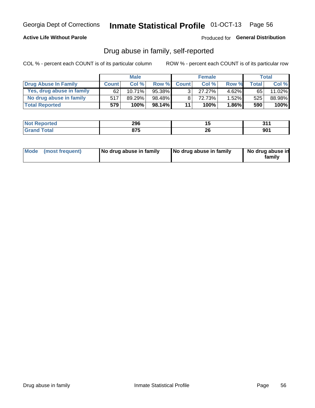# **Active Life Without Parole**

# Produced for General Distribution

# Drug abuse in family, self-reported

COL % - percent each COUNT is of its particular column

|                           | <b>Male</b>  |        | <b>Female</b> |                |        | Total    |              |        |
|---------------------------|--------------|--------|---------------|----------------|--------|----------|--------------|--------|
| Drug Abuse In Family      | <b>Count</b> | Col %  | Row %         | <b>Count</b>   | Col %  | Row %    | <b>Total</b> | Col %  |
| Yes, drug abuse in family | 62           | 10.71% | 95.38%        | 3 <sup>1</sup> | 27.27% | $4.62\%$ | 65           | 11.02% |
| No drug abuse in family   | 517          | 89.29% | 98.48%        | 8              | 72.73% | 1.52%    | 525          | 88.98% |
| <b>Total Reported</b>     | 579'         | 100%   | $98.14\%$     | 11             | 100%   | $1.86\%$ | 590          | 100%   |

| <b>Not Reported</b> | 296   | . . | 54  |
|---------------------|-------|-----|-----|
| <b>Total</b>        | 07E   | ZU  | nn. |
| <b>'Grand</b> `     | 0 I J |     | JU  |

|  | Mode (most frequent) | No drug abuse in family | No drug abuse in family | No drug abuse in<br>family |
|--|----------------------|-------------------------|-------------------------|----------------------------|
|--|----------------------|-------------------------|-------------------------|----------------------------|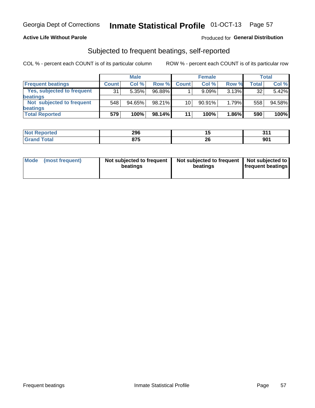# **Active Life Without Parole**

# Produced for General Distribution

# Subjected to frequent beatings, self-reported

COL % - percent each COUNT is of its particular column

|                            |              | <b>Male</b> |        |              | <b>Female</b> |       |       | Total  |
|----------------------------|--------------|-------------|--------|--------------|---------------|-------|-------|--------|
| <b>Frequent beatings</b>   | <b>Count</b> | Col %       | Row %  | <b>Count</b> | Col %         | Row % | Total | Col %  |
| Yes, subjected to frequent | 31           | 5.35%       | 96.88% |              | 9.09%         | 3.13% | 32    | 5.42%  |
| beatings                   |              |             |        |              |               |       |       |        |
| Not subjected to frequent  | 548          | 94.65%      | 98.21% | 10           | $90.91\%$     | 1.79% | 558   | 94.58% |
| beatings                   |              |             |        |              |               |       |       |        |
| <b>Total Reported</b>      | 579          | 100%        | 98.14% | 11           | 100%          | 1.86% | 590   | 100%   |

| <b>Not Reported</b> | 296                |          | 244 |
|---------------------|--------------------|----------|-----|
| <b>Total</b>        | <b>Q75</b><br>ט וס | ^^<br>20 | 901 |

| Mode (most frequent) | Not subjected to frequent<br>beatings | Not subjected to frequent<br>beatings | Not subjected to<br><b>frequent beatings</b> |
|----------------------|---------------------------------------|---------------------------------------|----------------------------------------------|
|                      |                                       |                                       |                                              |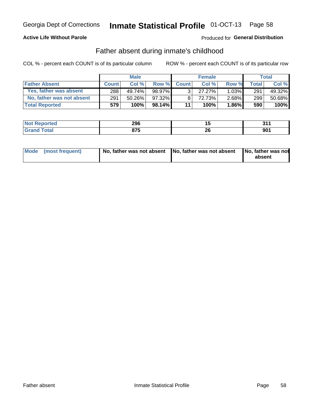# **Active Life Without Parole**

# Produced for General Distribution

# Father absent during inmate's childhood

COL % - percent each COUNT is of its particular column

|                           | <b>Male</b>  |        | <b>Female</b> |                |        | Total    |              |        |
|---------------------------|--------------|--------|---------------|----------------|--------|----------|--------------|--------|
| <b>Father Absent</b>      | <b>Count</b> | Col%   | Row %         | <b>Count</b>   | Col%   | Row %    | <b>Total</b> | Col %  |
| Yes, father was absent    | 288          | 49.74% | 98.97%        | 3 <sup>1</sup> | 27.27% | $1.03\%$ | 291          | 49.32% |
| No, father was not absent | 291          | 50.26% | 97.32%        | 8              | 72.73% | $2.68\%$ | 299          | 50.68% |
| <b>Total Reported</b>     | 579          | 100%   | $98.14\%$     | 11             | 100%   | $1.86\%$ | 590          | 100%   |

| <b>Not Reported</b> | 296   | w  | 244<br>. . |
|---------------------|-------|----|------------|
| <b>Total</b>        | 875   | ZU | 901        |
| <b>Grand</b>        | 0 I J | __ |            |

|  | Mode (most frequent) | No, father was not absent No, father was not absent |  | No, father was not<br>absent |
|--|----------------------|-----------------------------------------------------|--|------------------------------|
|--|----------------------|-----------------------------------------------------|--|------------------------------|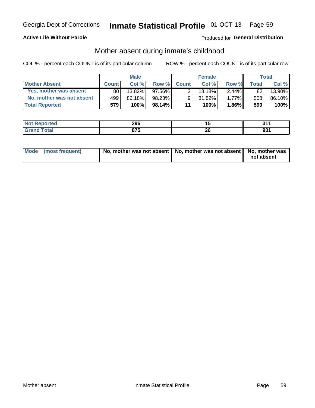# **Active Life Without Parole**

# Produced for General Distribution

# Mother absent during inmate's childhood

COL % - percent each COUNT is of its particular column

|                           | <b>Male</b>  |        | <b>Female</b> |              |        | Total    |       |        |
|---------------------------|--------------|--------|---------------|--------------|--------|----------|-------|--------|
| <b>Mother Absent</b>      | <b>Count</b> | Col%   | Row %         | <b>Count</b> | Col%   | Row %    | Total | Col %  |
| Yes, mother was absent    | 80           | 13.82% | $97.56\%$     | ◠            | 18.18% | $2.44\%$ | 82    | 13.90% |
| No, mother was not absent | 499          | 86.18% | 98.23%        | 9            | 81.82% | $1.77\%$ | 508   | 86.10% |
| <b>Total Reported</b>     | 579'         | 100%   | $98.14\%$     | 11           | 100%   | $1.86\%$ | 590   | 100%   |

| <b>Not Reported</b> | 296        |    | 244<br>JI. |
|---------------------|------------|----|------------|
| <b>Total</b>        | <b>875</b> | ኅር | nn-        |
|                     | 0 I J      | zo | JU L       |

| Mode (most frequent) | No, mother was not absent   No, mother was not absent   No, mother was | not absent |
|----------------------|------------------------------------------------------------------------|------------|
|----------------------|------------------------------------------------------------------------|------------|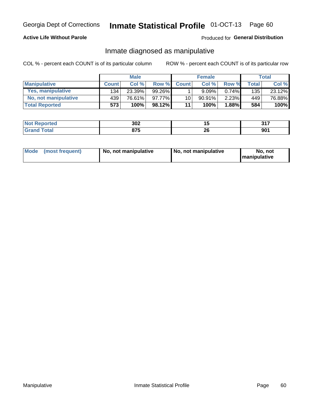# **Active Life Without Parole**

# Produced for General Distribution

# Inmate diagnosed as manipulative

COL % - percent each COUNT is of its particular column

|                          | <b>Male</b>  |        | <b>Female</b> |              |          | Total    |              |        |
|--------------------------|--------------|--------|---------------|--------------|----------|----------|--------------|--------|
| <b>Manipulative</b>      | <b>Count</b> | Col %  | Row %         | <b>Count</b> | Col %    | Row %    | <b>Total</b> | Col %  |
| <b>Yes, manipulative</b> | 134          | 23.39% | 99.26%        |              | $9.09\%$ | $0.74\%$ | 135          | 23.12% |
| No, not manipulative     | 439          | 76.61% | 97.77%I       | 10           | 90.91%   | 2.23%    | 449          | 76.88% |
| <b>Total Reported</b>    | 573          | 100%   | $98.12\%$     | 11           | 100%     | 1.88%    | 584          | 100%   |

| <b>Not</b><br><b>Reported</b> | 302  | יי  | 247<br> |
|-------------------------------|------|-----|---------|
| 'otal                         | 875  | ne. | nn4     |
| Gran                          | ט וט | ∠∪  | JU.     |

| <b>Mode</b><br>(most frequent) | No, not manipulative | No, not manipulative | No. not<br><b>I</b> manipulative |
|--------------------------------|----------------------|----------------------|----------------------------------|
|--------------------------------|----------------------|----------------------|----------------------------------|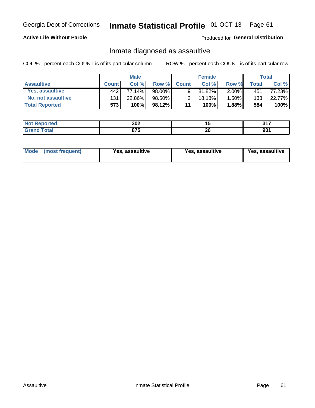# Inmate Statistical Profile 01-OCT-13 Page 61

# **Active Life Without Parole**

## Produced for General Distribution

# Inmate diagnosed as assaultive

COL % - percent each COUNT is of its particular column

|                       | <b>Male</b>  |        | <b>Female</b> |              |             | Total    |       |                 |
|-----------------------|--------------|--------|---------------|--------------|-------------|----------|-------|-----------------|
| <b>Assaultive</b>     | <b>Count</b> | Col%   | Row %         | <b>Count</b> | Col %       | Row %    | Total | Col %           |
| Yes, assaultive       | 442          | 77.14% | 98.00%        | 9            | 81.82%      | $2.00\%$ | 451   | 77.23% <b>I</b> |
| No, not assaultive    | 131          | 22.86% | 98.50%        | 2            | $18.18\%$ . | 1.50%    | 133   | 22.77%          |
| <b>Total Reported</b> | 573          | 100%   | 98.12%        | 11           | 100%        | 1.88%    | 584   | 100%            |

| <b>Not Reported</b> | 302   | 1 v | 247 |
|---------------------|-------|-----|-----|
| <b>Total</b>        | 975   | n,  | nn. |
|                     | 0 I J | 20  | JU  |

| Mode (most frequent)<br>Yes, assaultive | Yes, assaultive | <b>Yes, assaultive</b> |
|-----------------------------------------|-----------------|------------------------|
|-----------------------------------------|-----------------|------------------------|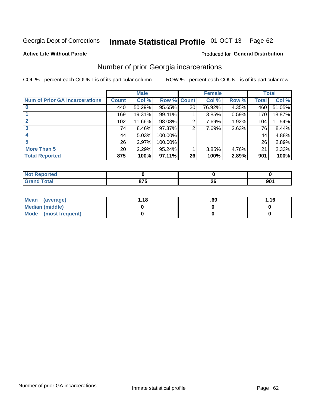#### Inmate Statistical Profile 01-OCT-13 Page 62

#### **Active Life Without Parole**

### Produced for General Distribution

# Number of prior Georgia incarcerations

COL % - percent each COUNT is of its particular column

|                                       |              | <b>Male</b> |           |                 | <b>Female</b> |       |       | <b>Total</b> |
|---------------------------------------|--------------|-------------|-----------|-----------------|---------------|-------|-------|--------------|
| <b>Num of Prior GA Incarcerations</b> | <b>Count</b> | Col %       | Row %     | <b>Count</b>    | Col %         | Row % | Total | Col %        |
|                                       | 440          | 50.29%      | 95.65%    | 20 <sub>1</sub> | 76.92%        | 4.35% | 460   | 51.05%       |
|                                       | 169          | 19.31%      | 99.41%    |                 | 3.85%         | 0.59% | 170   | 18.87%       |
|                                       | 102          | 11.66%      | 98.08%    | 2               | 7.69%         | 1.92% | 104   | 11.54%       |
| 3                                     | 74           | 8.46%       | $97.37\%$ | 2               | 7.69%         | 2.63% | 76    | 8.44%        |
|                                       | 44           | 5.03%       | 100.00%   |                 |               |       | 44    | 4.88%        |
|                                       | 26           | 2.97%       | 100.00%   |                 |               |       | 26    | 2.89%        |
| <b>More Than 5</b>                    | 20           | 2.29%       | $95.24\%$ |                 | 3.85%         | 4.76% | 21    | 2.33%        |
| <b>Total Reported</b>                 | 875          | 100%        | $97.11\%$ | 26              | 100%          | 2.89% | 901   | 100%         |

| orted<br>N       |     |    |            |
|------------------|-----|----|------------|
| <b>c</b> otal    | --- | ^^ | <b>001</b> |
| $\mathbf{v}$ and | о.  | -- | งบ         |

| Mean (average)       | l.18 | .69 | 1.16 |
|----------------------|------|-----|------|
| Median (middle)      |      |     |      |
| Mode (most frequent) |      |     |      |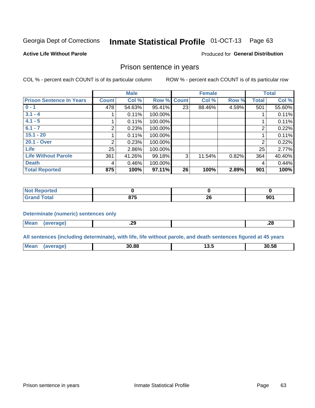#### Inmate Statistical Profile 01-OCT-13 Page 63

#### **Active Life Without Parole**

### Produced for General Distribution

# Prison sentence in years

COL % - percent each COUNT is of its particular column

ROW % - percent each COUNT is of its particular row

|                                 |              | <b>Male</b> |         |              | <b>Female</b> |       |                | <b>Total</b> |
|---------------------------------|--------------|-------------|---------|--------------|---------------|-------|----------------|--------------|
| <b>Prison Sentence In Years</b> | <b>Count</b> | Col %       | Row %   | <b>Count</b> | Col %         | Row % | <b>Total</b>   | Col %        |
| $0 - 1$                         | 478          | 54.63%      | 95.41%  | 23           | 88.46%        | 4.59% | 501            | 55.60%       |
| $3.1 - 4$                       |              | 0.11%       | 100.00% |              |               |       |                | 0.11%        |
| $4.1 - 5$                       |              | 0.11%       | 100.00% |              |               |       |                | 0.11%        |
| $6.1 - 7$                       | 2            | 0.23%       | 100.00% |              |               |       | 2              | 0.22%        |
| $15.1 - 20$                     |              | 0.11%       | 100.00% |              |               |       |                | 0.11%        |
| 20.1 - Over                     | 2            | 0.23%       | 100.00% |              |               |       | $\overline{2}$ | 0.22%        |
| <b>Life</b>                     | 25           | 2.86%       | 100.00% |              |               |       | 25             | 2.77%        |
| <b>Life Without Parole</b>      | 361          | 41.26%      | 99.18%  | 3            | 11.54%        | 0.82% | 364            | 40.40%       |
| <b>Death</b>                    | 4            | 0.46%       | 100.00% |              |               |       | 4              | 0.44%        |
| <b>Total Reported</b>           | 875          | 100%        | 97.11%  | 26           | 100%          | 2.89% | 901            | 100%         |

| m.<br>тео |                 |               |                        |
|-----------|-----------------|---------------|------------------------|
| $\sim$    | $\sim$<br>0 I J | ^^<br>~<br>__ | nn1<br>50 <sub>1</sub> |

### **Determinate (numeric) sentences only**

| <b>Mean</b> | <b>Arana</b> | .29<br>__ | ״<br>ە∡. |
|-------------|--------------|-----------|----------|

#### All sentences (including determinate), with life, life without parole, and death sentences figured at 45 years

| M | 30.88 | . പ. | 30.58 |
|---|-------|------|-------|
|   |       |      |       |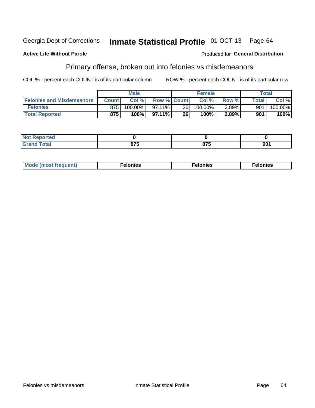#### **Active Life Without Parole**

### Produced for General Distribution

# Primary offense, broken out into felonies vs misdemeanors

COL % - percent each COUNT is of its particular column

|                                  |              | <b>Male</b> |                    |      | <b>Female</b> |       |              | Total   |
|----------------------------------|--------------|-------------|--------------------|------|---------------|-------|--------------|---------|
| <b>Felonies and Misdemeanors</b> | <b>Count</b> | Col%        | <b>Row % Count</b> |      | Col%          | Row % | <b>Total</b> | Col %   |
| <b>Felonies</b>                  | 875          | 100.00%     | $97.11\%$          | 26 l | 100.00%       | 2.89% | 901          | 100.00% |
| <b>Total Reported</b>            | 875          | $100\%$     | $97.11\%$          | 26   | 100%          | 2.89% | 901          | 100%    |

| <b>Not Reported</b>          |                 |            |     |
|------------------------------|-----------------|------------|-----|
| <b>Total</b><br>Grand<br>uuu | $- - -$<br>,, , | 07E<br>. . | 901 |

| $Mc$<br>equent)<br>нез<br>$\sim$<br>. | onies<br>. | <b>onies</b><br>. |
|---------------------------------------|------------|-------------------|
|---------------------------------------|------------|-------------------|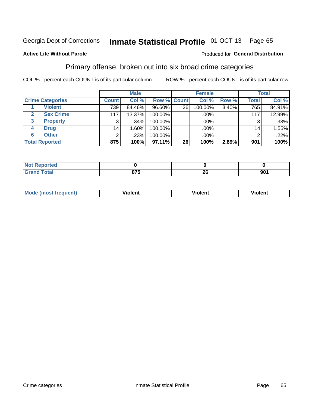#### Inmate Statistical Profile 01-OCT-13 Page 65

### **Active Life Without Parole**

### Produced for General Distribution

# Primary offense, broken out into six broad crime categories

COL % - percent each COUNT is of its particular column

|                         |                 | <b>Male</b> |           |                    | <b>Female</b> |       |                 | <b>Total</b> |
|-------------------------|-----------------|-------------|-----------|--------------------|---------------|-------|-----------------|--------------|
| <b>Crime Categories</b> | <b>Count</b>    | Col %       |           | <b>Row % Count</b> | Col %         | Row % | <b>Total</b>    | Col %        |
| <b>Violent</b>          | 739             | 84.46%      | $96.60\%$ | 26                 | 100.00%       | 3.40% | 765             | 84.91%       |
| <b>Sex Crime</b>        | 117             | 13.37%      | 100.00%   |                    | .00%          |       | 117             | 12.99%       |
| 3<br><b>Property</b>    | 3               | .34%        | 100.00%   |                    | .00%          |       | 3               | .33%         |
| <b>Drug</b><br>4        | 14 <sub>1</sub> | $.60\%$     | 100.00%   |                    | .00%          |       | 14 <sub>1</sub> | 1.55%        |
| <b>Other</b><br>6       | $\overline{2}$  | .23%        | 100.00%   |                    | .00%          |       | 2               | $.22\%$      |
| <b>Total Reported</b>   | 875             | 100%        | $97.11\%$ | 26                 | 100%          | 2.89% | 901             | 100%         |

| <b>Not Reported</b> |            |    |     |
|---------------------|------------|----|-----|
| Total               | 875<br>,,, | ZU | 901 |

| М | ,,, | - -- -<br>וחו | m |
|---|-----|---------------|---|
|   |     |               |   |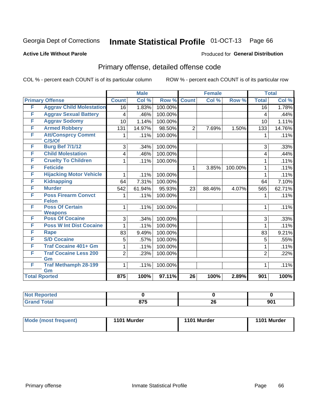# Inmate Statistical Profile 01-OCT-13 Page 66

### **Active Life Without Parole**

### Produced for General Distribution

# Primary offense, detailed offense code

COL % - percent each COUNT is of its particular column

|                      |                                            |                 | <b>Male</b> |         |                 | <b>Female</b> |         |                 | <b>Total</b> |
|----------------------|--------------------------------------------|-----------------|-------------|---------|-----------------|---------------|---------|-----------------|--------------|
|                      | <b>Primary Offense</b>                     | <b>Count</b>    | Col %       | Row %   | <b>Count</b>    | Col %         | Row %   | <b>Total</b>    | Col %        |
| F                    | <b>Aggrav Child Molestation</b>            | 16              | 1.83%       | 100.00% |                 |               |         | $\overline{16}$ | 1.78%        |
| F                    | <b>Aggrav Sexual Battery</b>               | 4               | .46%        | 100.00% |                 |               |         | 4               | .44%         |
| F                    | <b>Aggrav Sodomy</b>                       | 10              | 1.14%       | 100.00% |                 |               |         | 10              | 1.11%        |
| F                    | <b>Armed Robbery</b>                       | 131             | 14.97%      | 98.50%  | $\overline{2}$  | 7.69%         | 1.50%   | 133             | 14.76%       |
| F                    | <b>Att/Consprcy Commt</b><br>C/S/Of        | 1               | .11%        | 100.00% |                 |               |         | 1               | .11%         |
| F                    | <b>Burg Bef 7/1/12</b>                     | 3               | .34%        | 100.00% |                 |               |         | 3               | .33%         |
| F                    | <b>Child Molestation</b>                   | 4               | .46%        | 100.00% |                 |               |         | 4               | .44%         |
| F                    | <b>Cruelty To Children</b>                 | 1               | .11%        | 100.00% |                 |               |         | 1               | .11%         |
| F                    | <b>Feticide</b>                            |                 |             |         | 1               | 3.85%         | 100.00% | 1               | .11%         |
| F                    | <b>Hijacking Motor Vehicle</b>             | 1               | .11%        | 100.00% |                 |               |         | 1               | .11%         |
| F                    | <b>Kidnapping</b>                          | 64              | 7.31%       | 100.00% |                 |               |         | 64              | 7.10%        |
| F                    | <b>Murder</b>                              | 542             | 61.94%      | 95.93%  | 23              | 88.46%        | 4.07%   | 565             | 62.71%       |
| F                    | <b>Poss Firearm Convct</b><br><b>Felon</b> | 1               | .11%        | 100.00% |                 |               |         | 1               | .11%         |
| F                    | <b>Poss Of Certain</b><br><b>Weapons</b>   | 1               | .11%        | 100.00% |                 |               |         | 1               | .11%         |
| F                    | <b>Poss Of Cocaine</b>                     | 3               | .34%        | 100.00% |                 |               |         | 3               | .33%         |
| F                    | <b>Poss W Int Dist Cocaine</b>             | 1               | .11%        | 100.00% |                 |               |         | 1               | .11%         |
| F                    | <b>Rape</b>                                | $\overline{83}$ | 9.49%       | 100.00% |                 |               |         | 83              | 9.21%        |
| F                    | <b>S/D Cocaine</b>                         | 5               | .57%        | 100.00% |                 |               |         | 5               | .55%         |
| F                    | <b>Traf Cocaine 401+ Gm</b>                | 1               | .11%        | 100.00% |                 |               |         | 1               | .11%         |
| F                    | <b>Traf Cocaine Less 200</b><br>Gm         | $\overline{2}$  | .23%        | 100.00% |                 |               |         | $\overline{2}$  | .22%         |
| F                    | <b>Traf Methamph 28-199</b><br>Gm          | 1               | .11%        | 100.00% |                 |               |         | 1               | .11%         |
| <b>Total Rported</b> |                                            | 875             | 100%        | 97.11%  | $\overline{26}$ | 100%          | 2.89%   | 901             | 100%         |

| oorted<br>NI. |       |    |     |
|---------------|-------|----|-----|
| <b>otal</b>   | 07E   | 26 | nn- |
| _____         | 0 I J |    | ุฮบ |

| <b>Mode (most frequent)</b> | 1101 Murder | 1101 Murder | 1101 Murder |
|-----------------------------|-------------|-------------|-------------|
|                             |             |             |             |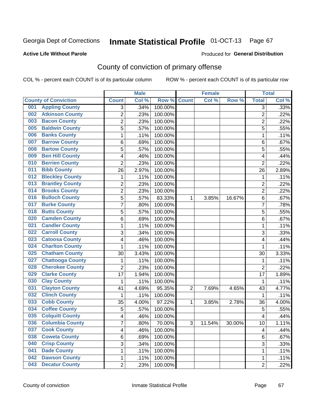### **Active Life Without Parole**

### Produced for **General Distribution**

# County of conviction of primary offense

|                                |                | <b>Male</b> |                  |                | <b>Female</b> |        |                | <b>Total</b> |
|--------------------------------|----------------|-------------|------------------|----------------|---------------|--------|----------------|--------------|
| <b>County of Conviction</b>    | <b>Count</b>   | Col %       | Row <sup>%</sup> | <b>Count</b>   | Col %         | Row %  | <b>Total</b>   | Col %        |
| <b>Appling County</b><br>001   | 3              | .34%        | 100.00%          |                |               |        | 3              | .33%         |
| <b>Atkinson County</b><br>002  | $\overline{2}$ | .23%        | 100.00%          |                |               |        | $\overline{2}$ | .22%         |
| <b>Bacon County</b><br>003     | 2              | .23%        | 100.00%          |                |               |        | 2              | .22%         |
| <b>Baldwin County</b><br>005   | $\overline{5}$ | .57%        | 100.00%          |                |               |        | $\overline{5}$ | .55%         |
| <b>Banks County</b><br>006     | 1              | .11%        | 100.00%          |                |               |        | $\mathbf{1}$   | .11%         |
| <b>Barrow County</b><br>007    | 6              | .69%        | 100.00%          |                |               |        | 6              | .67%         |
| <b>Bartow County</b><br>008    | 5              | .57%        | 100.00%          |                |               |        | 5              | .55%         |
| <b>Ben Hill County</b><br>009  | 4              | .46%        | 100.00%          |                |               |        | 4              | .44%         |
| <b>Berrien County</b><br>010   | $\overline{2}$ | .23%        | 100.00%          |                |               |        | $\overline{2}$ | .22%         |
| <b>Bibb County</b><br>011      | 26             | 2.97%       | 100.00%          |                |               |        | 26             | 2.89%        |
| <b>Bleckley County</b><br>012  | 1              | .11%        | 100.00%          |                |               |        | 1              | .11%         |
| <b>Brantley County</b><br>013  | $\overline{2}$ | .23%        | 100.00%          |                |               |        | $\overline{c}$ | .22%         |
| <b>Brooks County</b><br>014    | $\overline{2}$ | .23%        | 100.00%          |                |               |        | $\overline{2}$ | .22%         |
| <b>Bulloch County</b><br>016   | 5              | .57%        | 83.33%           | 1              | 3.85%         | 16.67% | 6              | .67%         |
| <b>Burke County</b><br>017     | $\overline{7}$ | .80%        | 100.00%          |                |               |        | $\overline{7}$ | .78%         |
| <b>Butts County</b><br>018     | 5              | .57%        | 100.00%          |                |               |        | 5              | .55%         |
| <b>Camden County</b><br>020    | 6              | .69%        | 100.00%          |                |               |        | 6              | .67%         |
| <b>Candler County</b><br>021   | 1              | .11%        | 100.00%          |                |               |        | 1              | .11%         |
| <b>Carroll County</b><br>022   | 3              | .34%        | 100.00%          |                |               |        | 3              | .33%         |
| <b>Catoosa County</b><br>023   | 4              | .46%        | 100.00%          |                |               |        | 4              | .44%         |
| <b>Charlton County</b><br>024  | 1              | .11%        | 100.00%          |                |               |        | 1              | .11%         |
| <b>Chatham County</b><br>025   | 30             | 3.43%       | 100.00%          |                |               |        | 30             | 3.33%        |
| <b>Chattooga County</b><br>027 | 1              | .11%        | 100.00%          |                |               |        | 1              | .11%         |
| <b>Cherokee County</b><br>028  | $\overline{2}$ | .23%        | 100.00%          |                |               |        | $\overline{2}$ | .22%         |
| <b>Clarke County</b><br>029    | 17             | 1.94%       | 100.00%          |                |               |        | 17             | 1.89%        |
| <b>Clay County</b><br>030      | 1              | .11%        | 100.00%          |                |               |        | 1              | .11%         |
| <b>Clayton County</b><br>031   | 41             | 4.69%       | 95.35%           | $\overline{2}$ | 7.69%         | 4.65%  | 43             | 4.77%        |
| <b>Clinch County</b><br>032    | 1              | .11%        | 100.00%          |                |               |        | 1              | .11%         |
| <b>Cobb County</b><br>033      | 35             | 4.00%       | 97.22%           | 1              | 3.85%         | 2.78%  | 36             | 4.00%        |
| <b>Coffee County</b><br>034    | 5              | .57%        | 100.00%          |                |               |        | 5              | .55%         |
| <b>Colquitt County</b><br>035  | 4              | .46%        | 100.00%          |                |               |        | 4              | .44%         |
| 036 Columbia County            | 7              | .80%        | 70.00%           | З              | 11.54%        | 30.00% | 10             | 1.11%        |
| <b>Cook County</b><br>037      | 4              | .46%        | 100.00%          |                |               |        | 4              | .44%         |
| 038<br><b>Coweta County</b>    | 6              | .69%        | 100.00%          |                |               |        | 6              | .67%         |
| <b>Crisp County</b><br>040     | 3              | .34%        | 100.00%          |                |               |        | 3              | .33%         |
| <b>Dade County</b><br>041      | 1              | .11%        | 100.00%          |                |               |        | $\mathbf{1}$   | .11%         |
| <b>Dawson County</b><br>042    | 1              | .11%        | 100.00%          |                |               |        | 1              | .11%         |
| <b>Decatur County</b><br>043   | $\overline{2}$ | .23%        | 100.00%          |                |               |        | $\overline{2}$ | .22%         |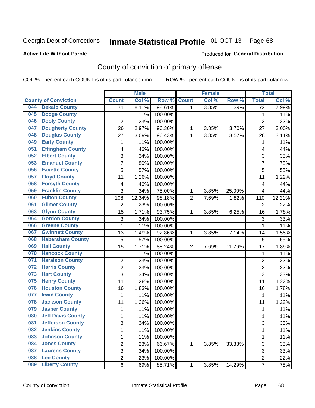#### **Active Life Without Parole**

# Produced for **General Distribution**

# County of conviction of primary offense

|     |                             |                 | <b>Male</b> |         |                | <b>Female</b> |        |                         | <b>Total</b> |
|-----|-----------------------------|-----------------|-------------|---------|----------------|---------------|--------|-------------------------|--------------|
|     | <b>County of Conviction</b> | <b>Count</b>    | Col %       | Row %   | <b>Count</b>   | Col %         | Row %  | <b>Total</b>            | Col %        |
| 044 | <b>Dekalb County</b>        | $\overline{71}$ | 8.11%       | 98.61%  | 1              | 3.85%         | 1.39%  | $\overline{72}$         | 7.99%        |
| 045 | <b>Dodge County</b>         | 1               | .11%        | 100.00% |                |               |        | 1                       | .11%         |
| 046 | <b>Dooly County</b>         | $\overline{c}$  | .23%        | 100.00% |                |               |        | $\overline{2}$          | .22%         |
| 047 | <b>Dougherty County</b>     | 26              | 2.97%       | 96.30%  | 1              | 3.85%         | 3.70%  | 27                      | 3.00%        |
| 048 | <b>Douglas County</b>       | 27              | 3.09%       | 96.43%  | $\mathbf{1}$   | 3.85%         | 3.57%  | 28                      | 3.11%        |
| 049 | <b>Early County</b>         | 1               | .11%        | 100.00% |                |               |        | 1                       | .11%         |
| 051 | <b>Effingham County</b>     | 4               | .46%        | 100.00% |                |               |        | 4                       | .44%         |
| 052 | <b>Elbert County</b>        | $\overline{3}$  | .34%        | 100.00% |                |               |        | $\sqrt{3}$              | .33%         |
| 053 | <b>Emanuel County</b>       | 7               | .80%        | 100.00% |                |               |        | 7                       | .78%         |
| 056 | <b>Fayette County</b>       | $\overline{5}$  | .57%        | 100.00% |                |               |        | 5                       | .55%         |
| 057 | <b>Floyd County</b>         | 11              | 1.26%       | 100.00% |                |               |        | 11                      | 1.22%        |
| 058 | <b>Forsyth County</b>       | 4               | .46%        | 100.00% |                |               |        | 4                       | .44%         |
| 059 | <b>Franklin County</b>      | 3               | .34%        | 75.00%  | $\mathbf{1}$   | 3.85%         | 25.00% | $\overline{\mathbf{4}}$ | .44%         |
| 060 | <b>Fulton County</b>        | 108             | 12.34%      | 98.18%  | $\overline{2}$ | 7.69%         | 1.82%  | 110                     | 12.21%       |
| 061 | <b>Gilmer County</b>        | $\overline{2}$  | .23%        | 100.00% |                |               |        | $\overline{2}$          | .22%         |
| 063 | <b>Glynn County</b>         | 15              | 1.71%       | 93.75%  | 1              | 3.85%         | 6.25%  | 16                      | 1.78%        |
| 064 | <b>Gordon County</b>        | 3               | .34%        | 100.00% |                |               |        | 3                       | .33%         |
| 066 | <b>Greene County</b>        | 1               | .11%        | 100.00% |                |               |        | 1                       | .11%         |
| 067 | <b>Gwinnett County</b>      | 13              | 1.49%       | 92.86%  | 1              | 3.85%         | 7.14%  | 14                      | 1.55%        |
| 068 | <b>Habersham County</b>     | 5               | .57%        | 100.00% |                |               |        | $\sqrt{5}$              | .55%         |
| 069 | <b>Hall County</b>          | 15              | 1.71%       | 88.24%  | $\overline{2}$ | 7.69%         | 11.76% | 17                      | 1.89%        |
| 070 | <b>Hancock County</b>       | 1               | .11%        | 100.00% |                |               |        | $\mathbf{1}$            | .11%         |
| 071 | <b>Haralson County</b>      | $\overline{2}$  | .23%        | 100.00% |                |               |        | $\overline{2}$          | .22%         |
| 072 | <b>Harris County</b>        | $\overline{2}$  | .23%        | 100.00% |                |               |        | $\overline{2}$          | .22%         |
| 073 | <b>Hart County</b>          | 3               | .34%        | 100.00% |                |               |        | 3                       | .33%         |
| 075 | <b>Henry County</b>         | 11              | 1.26%       | 100.00% |                |               |        | 11                      | 1.22%        |
| 076 | <b>Houston County</b>       | 16              | 1.83%       | 100.00% |                |               |        | 16                      | 1.78%        |
| 077 | <b>Irwin County</b>         | 1               | .11%        | 100.00% |                |               |        | 1                       | .11%         |
| 078 | <b>Jackson County</b>       | 11              | 1.26%       | 100.00% |                |               |        | 11                      | 1.22%        |
| 079 | <b>Jasper County</b>        | 1               | .11%        | 100.00% |                |               |        | $\mathbf{1}$            | .11%         |
| 080 | <b>Jeff Davis County</b>    | 1               | .11%        | 100.00% |                |               |        | 1                       | .11%         |
| 081 | <b>Jefferson County</b>     | 3               | .34%        | 100.00% |                |               |        | 3                       | .33%         |
| 082 | <b>Jenkins County</b>       | 1               | .11%        | 100.00% |                |               |        | 1                       | .11%         |
| 083 | <b>Johnson County</b>       | 1               | .11%        | 100.00% |                |               |        | 1                       | .11%         |
| 084 | <b>Jones County</b>         | $\overline{c}$  | .23%        | 66.67%  | 1              | 3.85%         | 33.33% | 3                       | .33%         |
| 087 | <b>Laurens County</b>       | 3               | .34%        | 100.00% |                |               |        | 3                       | .33%         |
| 088 | <b>Lee County</b>           | $\overline{2}$  | .23%        | 100.00% |                |               |        | $\overline{2}$          | .22%         |
| 089 | <b>Liberty County</b>       | 6               | .69%        | 85.71%  | 1              | 3.85%         | 14.29% | $\overline{7}$          | .78%         |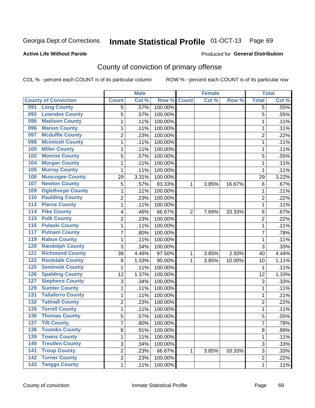#### **Active Life Without Parole**

# Produced for **General Distribution**

# County of conviction of primary offense

|                  |                             |                | <b>Male</b> |                  |                | <b>Female</b> |        |                | <b>Total</b> |
|------------------|-----------------------------|----------------|-------------|------------------|----------------|---------------|--------|----------------|--------------|
|                  | <b>County of Conviction</b> | <b>Count</b>   | Col %       | Row <sup>%</sup> | <b>Count</b>   | Col %         | Row %  | <b>Total</b>   | Col%         |
| 091              | <b>Long County</b>          | 5              | .57%        | 100.00%          |                |               |        | 5              | .55%         |
| 092              | <b>Lowndes County</b>       | 5              | .57%        | 100.00%          |                |               |        | 5              | .55%         |
| 095              | <b>Madison County</b>       | 1              | .11%        | 100.00%          |                |               |        | 1              | .11%         |
| 096              | <b>Marion County</b>        | 1              | .11%        | 100.00%          |                |               |        | 1              | .11%         |
| 097              | <b>Mcduffie County</b>      | 2              | .23%        | 100.00%          |                |               |        | $\overline{2}$ | .22%         |
| 098              | <b>Mcintosh County</b>      | 1              | .11%        | 100.00%          |                |               |        | $\mathbf{1}$   | .11%         |
| 100              | <b>Miller County</b>        | 1              | .11%        | 100.00%          |                |               |        | 1              | .11%         |
| 102              | <b>Monroe County</b>        | 5              | .57%        | 100.00%          |                |               |        | 5              | .55%         |
| 104              | <b>Morgan County</b>        | 1              | .11%        | 100.00%          |                |               |        | 1              | .11%         |
| 105              | <b>Murray County</b>        | 1              | .11%        | 100.00%          |                |               |        | 1              | .11%         |
| 106              | <b>Muscogee County</b>      | 29             | 3.31%       | 100.00%          |                |               |        | 29             | 3.22%        |
| 107              | <b>Newton County</b>        | 5              | .57%        | 83.33%           | 1              | 3.85%         | 16.67% | 6              | .67%         |
| 109              | <b>Oglethorpe County</b>    | 1              | .11%        | 100.00%          |                |               |        | 1              | .11%         |
| 110              | <b>Paulding County</b>      | 2              | .23%        | 100.00%          |                |               |        | $\overline{2}$ | .22%         |
| $\overline{113}$ | <b>Pierce County</b>        | 1              | .11%        | 100.00%          |                |               |        | $\mathbf{1}$   | .11%         |
| 114              | <b>Pike County</b>          | 4              | .46%        | 66.67%           | $\overline{2}$ | 7.69%         | 33.33% | 6              | .67%         |
| $\overline{115}$ | <b>Polk County</b>          | $\overline{2}$ | .23%        | 100.00%          |                |               |        | $\overline{2}$ | .22%         |
| $\overline{116}$ | <b>Pulaski County</b>       | 1              | .11%        | 100.00%          |                |               |        | 1              | .11%         |
| 117              | <b>Putnam County</b>        | $\overline{7}$ | .80%        | 100.00%          |                |               |        | $\overline{7}$ | .78%         |
| 119              | <b>Rabun County</b>         | 1              | .11%        | 100.00%          |                |               |        | $\mathbf{1}$   | .11%         |
| 120              | <b>Randolph County</b>      | 3              | .34%        | 100.00%          |                |               |        | 3              | .33%         |
| $\overline{121}$ | <b>Richmond County</b>      | 39             | 4.46%       | 97.50%           | 1              | 3.85%         | 2.50%  | 40             | 4.44%        |
| 122              | <b>Rockdale County</b>      | 9              | 1.03%       | 90.00%           | 1              | 3.85%         | 10.00% | 10             | 1.11%        |
| 125              | <b>Seminole County</b>      | 1              | .11%        | 100.00%          |                |               |        | 1              | .11%         |
| 126              | <b>Spalding County</b>      | 12             | 1.37%       | 100.00%          |                |               |        | 12             | 1.33%        |
| 127              | <b>Stephens County</b>      | 3              | .34%        | 100.00%          |                |               |        | 3              | .33%         |
| 129              | <b>Sumter County</b>        | 1              | .11%        | 100.00%          |                |               |        | 1              | .11%         |
| 131              | <b>Taliaferro County</b>    | 1              | .11%        | 100.00%          |                |               |        | $\mathbf{1}$   | .11%         |
| 132              | <b>Tattnall County</b>      | 2              | .23%        | 100.00%          |                |               |        | 2              | .22%         |
| 135              | <b>Terrell County</b>       | 1              | .11%        | 100.00%          |                |               |        | $\mathbf{1}$   | .11%         |
| 136              | <b>Thomas County</b>        | 5              | .57%        | 100.00%          |                |               |        | 5              | .55%         |
|                  | 137 Tift County             | 7              | .80%        | 100.00%          |                |               |        | $\prime$       | .78%         |
| 138              | <b>Toombs County</b>        | 8              | .91%        | 100.00%          |                |               |        | 8              | .89%         |
| 139              | <b>Towns County</b>         | 1              | .11%        | 100.00%          |                |               |        | $\mathbf{1}$   | .11%         |
| 140              | <b>Treutlen County</b>      | 3              | .34%        | 100.00%          |                |               |        | 3              | .33%         |
| 141              | <b>Troup County</b>         | $\overline{2}$ | .23%        | 66.67%           | 1              | 3.85%         | 33.33% | $\overline{3}$ | .33%         |
| 142              | <b>Turner County</b>        | $\overline{2}$ | .23%        | 100.00%          |                |               |        | $\overline{2}$ | .22%         |
| 143              | <b>Twiggs County</b>        | $\mathbf{1}$   | .11%        | 100.00%          |                |               |        | 1              | .11%         |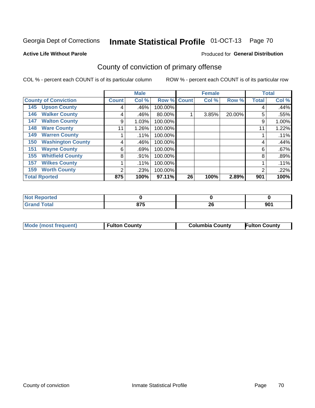#### **Active Life Without Parole**

### Produced for **General Distribution**

# County of conviction of primary offense

|                                 |              | <b>Male</b> |             |    | <b>Female</b> |        |              | <b>Total</b> |
|---------------------------------|--------------|-------------|-------------|----|---------------|--------|--------------|--------------|
| <b>County of Conviction</b>     | <b>Count</b> | Col %       | Row % Count |    | Col %         | Row %  | <b>Total</b> | Col %        |
| <b>Upson County</b><br>145      | 4            | .46%        | 100.00%     |    |               |        | 4            | $.44\%$      |
| <b>Walker County</b><br>146     | 4            | .46%        | 80.00%      |    | 3.85%         | 20.00% | 5            | .55%         |
| <b>Walton County</b><br>147     | 9            | 1.03%       | 100.00%     |    |               |        | 9            | 1.00%        |
| <b>Ware County</b><br>148       | 11           | 1.26%       | 100.00%     |    |               |        | 11           | 1.22%        |
| <b>Warren County</b><br>149     |              | .11%        | 100.00%     |    |               |        |              | .11%         |
| <b>Washington County</b><br>150 | 4            | .46%        | 100.00%     |    |               |        | 4            | .44%         |
| <b>Wayne County</b><br>151      | 6            | .69%        | 100.00%     |    |               |        | 6            | .67%         |
| <b>Whitfield County</b><br>155  | 8            | .91%        | 100.00%     |    |               |        | 8            | .89%         |
| <b>Wilkes County</b><br>157     |              | .11%        | 100.00%     |    |               |        |              | .11%         |
| <b>Worth County</b><br>159      | 2            | .23%        | 100.00%     |    |               |        | 2            | .22%         |
| <b>Total Rported</b>            | 875          | 100%        | 97.11%      | 26 | 100%          | 2.89%  | 901          | 100%         |

| rted<br><b>NOT</b> |       |    |    |
|--------------------|-------|----|----|
| <b>otal</b>        | 07E   | Zu | ΩΩ |
| $\sim$             | 0 I J |    | Ju |

| <b>Mode (most frequent)</b><br><b>Fulton County</b> | <b>Columbia County</b> | <b>Fulton County</b> |
|-----------------------------------------------------|------------------------|----------------------|
|-----------------------------------------------------|------------------------|----------------------|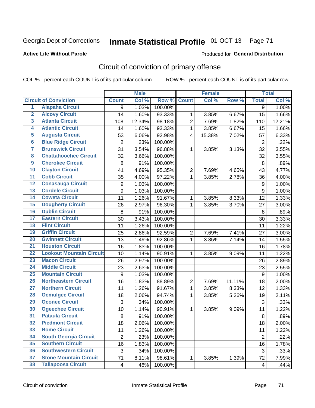### **Active Life Without Parole**

# Produced for **General Distribution**

# Circuit of conviction of primary offense

|                         |                                 |                  | <b>Male</b> |         |                | <b>Female</b> |        |                | <b>Total</b> |
|-------------------------|---------------------------------|------------------|-------------|---------|----------------|---------------|--------|----------------|--------------|
|                         | <b>Circuit of Conviction</b>    | <b>Count</b>     | Col %       | Row %   | <b>Count</b>   | Col %         | Row %  | <b>Total</b>   | Col %        |
| 1                       | <b>Alapaha Circuit</b>          | 9                | 1.03%       | 100.00% |                |               |        | $\overline{9}$ | 1.00%        |
| $\overline{2}$          | <b>Alcovy Circuit</b>           | 14               | 1.60%       | 93.33%  | 1              | 3.85%         | 6.67%  | 15             | 1.66%        |
| $\overline{\mathbf{3}}$ | <b>Atlanta Circuit</b>          | 108              | 12.34%      | 98.18%  | $\overline{2}$ | 7.69%         | 1.82%  | 110            | 12.21%       |
| 4                       | <b>Atlantic Circuit</b>         | 14               | 1.60%       | 93.33%  | $\mathbf{1}$   | 3.85%         | 6.67%  | 15             | 1.66%        |
| $\overline{5}$          | <b>Augusta Circuit</b>          | 53               | 6.06%       | 92.98%  | 4              | 15.38%        | 7.02%  | 57             | 6.33%        |
| $\overline{6}$          | <b>Blue Ridge Circuit</b>       | $\overline{2}$   | .23%        | 100.00% |                |               |        | $\overline{2}$ | .22%         |
| 7                       | <b>Brunswick Circuit</b>        | 31               | 3.54%       | 96.88%  | 1              | 3.85%         | 3.13%  | 32             | 3.55%        |
| 8                       | <b>Chattahoochee Circuit</b>    | 32               | 3.66%       | 100.00% |                |               |        | 32             | 3.55%        |
| $\overline{9}$          | <b>Cherokee Circuit</b>         | 8                | .91%        | 100.00% |                |               |        | 8              | .89%         |
| 10                      | <b>Clayton Circuit</b>          | 41               | 4.69%       | 95.35%  | $\overline{2}$ | 7.69%         | 4.65%  | 43             | 4.77%        |
| $\overline{11}$         | <b>Cobb Circuit</b>             | 35               | 4.00%       | 97.22%  | $\mathbf{1}$   | 3.85%         | 2.78%  | 36             | 4.00%        |
| $\overline{12}$         | <b>Conasauga Circuit</b>        | 9                | 1.03%       | 100.00% |                |               |        | 9              | 1.00%        |
| $\overline{13}$         | <b>Cordele Circuit</b>          | 9                | 1.03%       | 100.00% |                |               |        | 9              | 1.00%        |
| $\overline{14}$         | <b>Coweta Circuit</b>           | 11               | 1.26%       | 91.67%  | $\mathbf{1}$   | 3.85%         | 8.33%  | 12             | 1.33%        |
| $\overline{15}$         | <b>Dougherty Circuit</b>        | 26               | 2.97%       | 96.30%  | 1              | 3.85%         | 3.70%  | 27             | 3.00%        |
| 16                      | <b>Dublin Circuit</b>           | 8                | .91%        | 100.00% |                |               |        | 8              | .89%         |
| $\overline{17}$         | <b>Eastern Circuit</b>          | 30               | 3.43%       | 100.00% |                |               |        | 30             | 3.33%        |
| 18                      | <b>Flint Circuit</b>            | 11               | 1.26%       | 100.00% |                |               |        | 11             | 1.22%        |
| 19                      | <b>Griffin Circuit</b>          | 25               | 2.86%       | 92.59%  | $\overline{c}$ | 7.69%         | 7.41%  | 27             | 3.00%        |
| 20                      | <b>Gwinnett Circuit</b>         | 13               | 1.49%       | 92.86%  | 1              | 3.85%         | 7.14%  | 14             | 1.55%        |
| $\overline{21}$         | <b>Houston Circuit</b>          | 16               | 1.83%       | 100.00% |                |               |        | 16             | 1.78%        |
| $\overline{22}$         | <b>Lookout Mountain Circuit</b> | 10               | 1.14%       | 90.91%  | $\mathbf{1}$   | 3.85%         | 9.09%  | 11             | 1.22%        |
| 23                      | <b>Macon Circuit</b>            | 26               | 2.97%       | 100.00% |                |               |        | 26             | 2.89%        |
| $\overline{24}$         | <b>Middle Circuit</b>           | 23               | 2.63%       | 100.00% |                |               |        | 23             | 2.55%        |
| $\overline{25}$         | <b>Mountain Circuit</b>         | 9                | 1.03%       | 100.00% |                |               |        | 9              | 1.00%        |
| 26                      | <b>Northeastern Circuit</b>     | 16               | 1.83%       | 88.89%  | 2              | 7.69%         | 11.11% | 18             | 2.00%        |
| $\overline{27}$         | <b>Northern Circuit</b>         | 11               | 1.26%       | 91.67%  | $\mathbf{1}$   | 3.85%         | 8.33%  | 12             | 1.33%        |
| 28                      | <b>Ocmulgee Circuit</b>         | 18               | 2.06%       | 94.74%  | 1              | 3.85%         | 5.26%  | 19             | 2.11%        |
| 29                      | <b>Oconee Circuit</b>           | 3                | .34%        | 100.00% |                |               |        | $\mathfrak{S}$ | .33%         |
| 30                      | <b>Ogeechee Circuit</b>         | 10               | 1.14%       | 90.91%  | 1              | 3.85%         | 9.09%  | 11             | 1.22%        |
| $\overline{31}$         | <b>Pataula Circuit</b>          | 8                | .91%        | 100.00% |                |               |        | 8              | .89%         |
| 32                      | <b>Piedmont Circuit</b>         | 18               | 2.06%       | 100.00% |                |               |        | 18             | 2.00%        |
| 33                      | <b>Rome Circuit</b>             | 11               | 1.26%       | 100.00% |                |               |        | 11             | 1.22%        |
| 34                      | <b>South Georgia Circuit</b>    | $\boldsymbol{2}$ | .23%        | 100.00% |                |               |        | $\overline{2}$ | .22%         |
| 35                      | <b>Southern Circuit</b>         | 16               | 1.83%       | 100.00% |                |               |        | 16             | 1.78%        |
| 36                      | <b>Southwestern Circuit</b>     | 3                | .34%        | 100.00% |                |               |        | 3              | .33%         |
| 37                      | <b>Stone Mountain Circuit</b>   | 71               | 8.11%       | 98.61%  | 1              | 3.85%         | 1.39%  | 72             | 7.99%        |
| 38                      | <b>Tallapoosa Circuit</b>       | 4                | .46%        | 100.00% |                |               |        | $\overline{4}$ | .44%         |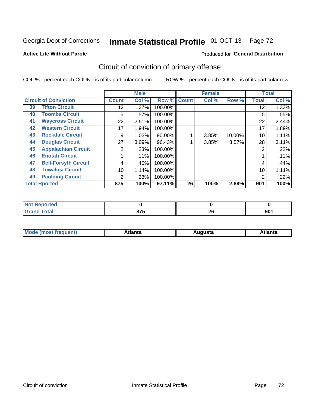#### **Active Life Without Parole**

### Produced for **General Distribution**

# Circuit of conviction of primary offense

|    |                              |              | <b>Male</b> |         |              | <b>Female</b> |        |              | <b>Total</b> |
|----|------------------------------|--------------|-------------|---------|--------------|---------------|--------|--------------|--------------|
|    | <b>Circuit of Conviction</b> | <b>Count</b> | Col %       | Row %   | <b>Count</b> | Col %         | Row %  | <b>Total</b> | Col %        |
| 39 | <b>Tifton Circuit</b>        | 12           | 1.37%       | 100.00% |              |               |        | 12           | 1.33%        |
| 40 | <b>Toombs Circuit</b>        | 5            | .57%        | 100.00% |              |               |        | 5            | .55%         |
| 41 | <b>Waycross Circuit</b>      | 22           | 2.51%       | 100.00% |              |               |        | 22           | 2.44%        |
| 42 | <b>Western Circuit</b>       | 17           | 1.94%       | 100.00% |              |               |        | 17           | 1.89%        |
| 43 | <b>Rockdale Circuit</b>      | 9            | 1.03%       | 90.00%  |              | 3.85%         | 10.00% | 10           | 1.11%        |
| 44 | <b>Douglas Circuit</b>       | 27           | 3.09%       | 96.43%  |              | 3.85%         | 3.57%  | 28           | 3.11%        |
| 45 | <b>Appalachian Circuit</b>   | 2            | .23%        | 100.00% |              |               |        | 2            | .22%         |
| 46 | <b>Enotah Circuit</b>        |              | .11%        | 100.00% |              |               |        |              | .11%         |
| 47 | <b>Bell-Forsyth Circuit</b>  | 4            | .46%        | 100.00% |              |               |        | 4            | .44%         |
| 48 | <b>Towaliga Circuit</b>      | 10           | 1.14%       | 100.00% |              |               |        | 10           | 1.11%        |
| 49 | <b>Paulding Circuit</b>      | 2            | .23%        | 100.00% |              |               |        | 2            | .22%         |
|    | <b>Total Rported</b>         | 875          | 100%        | 97.11%  | 26           | 100%          | 2.89%  | 901          | 100%         |

| .<br>eportea |                  |    |            |
|--------------|------------------|----|------------|
| <b>otal</b>  | 0.7 <sub>F</sub> | ሳሪ | <b>001</b> |
| $\sim$       | ,, ,,            | ZU | JU         |

| М<br>. In n tr<br>.<br>.<br>wanta<br>Πū<br>31.<br>$\sim$ $\sim$ $\sim$ |
|------------------------------------------------------------------------|
|------------------------------------------------------------------------|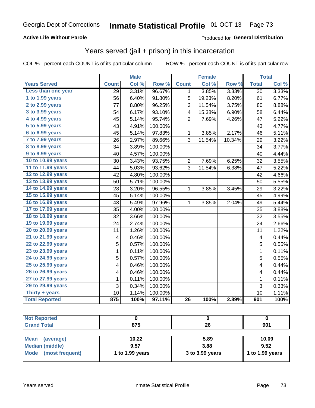#### **Active Life Without Parole**

### Produced for **General Distribution**

## Years served (jail + prison) in this incarceration

|                        |                         | <b>Male</b> |         |                 | <b>Female</b> |        |                         | <b>Total</b> |
|------------------------|-------------------------|-------------|---------|-----------------|---------------|--------|-------------------------|--------------|
| <b>Years Served</b>    | <b>Count</b>            | Col %       | Row %   | <b>Count</b>    | Col %         | Row %  | <b>Total</b>            | Col %        |
| Less than one year     | 29                      | 3.31%       | 96.67%  | $\mathbf{1}$    | 3.85%         | 3.33%  | 30                      | 3.33%        |
| 1 to 1.99 years        | 56                      | 6.40%       | 91.80%  | 5               | 19.23%        | 8.20%  | 61                      | 6.77%        |
| 2 to 2.99 years        | 77                      | 8.80%       | 96.25%  | 3               | 11.54%        | 3.75%  | 80                      | 8.88%        |
| 3 to 3.99 years        | 54                      | 6.17%       | 93.10%  | 4               | 15.38%        | 6.90%  | 58                      | 6.44%        |
| 4 to 4.99 years        | 45                      | 5.14%       | 95.74%  | $\overline{2}$  | 7.69%         | 4.26%  | 47                      | 5.22%        |
| 5 to 5.99 years        | 43                      | 4.91%       | 100.00% |                 |               |        | 43                      | 4.77%        |
| 6 to 6.99 years        | 45                      | 5.14%       | 97.83%  | $\mathbf 1$     | 3.85%         | 2.17%  | 46                      | 5.11%        |
| 7 to 7.99 years        | 26                      | 2.97%       | 89.66%  | 3               | 11.54%        | 10.34% | 29                      | 3.22%        |
| <b>8 to 8.99 years</b> | 34                      | 3.89%       | 100.00% |                 |               |        | 34                      | 3.77%        |
| 9 to 9.99 years        | 40                      | 4.57%       | 100.00% |                 |               |        | 40                      | 4.44%        |
| 10 to 10.99 years      | 30                      | 3.43%       | 93.75%  | $\overline{2}$  | 7.69%         | 6.25%  | 32                      | 3.55%        |
| 11 to 11.99 years      | 44                      | 5.03%       | 93.62%  | 3               | 11.54%        | 6.38%  | 47                      | 5.22%        |
| 12 to 12.99 years      | 42                      | 4.80%       | 100.00% |                 |               |        | 42                      | 4.66%        |
| 13 to 13.99 years      | 50                      | 5.71%       | 100.00% |                 |               |        | 50                      | 5.55%        |
| 14 to 14.99 years      | 28                      | 3.20%       | 96.55%  | $\mathbf 1$     | 3.85%         | 3.45%  | 29                      | 3.22%        |
| 15 to 15.99 years      | 45                      | 5.14%       | 100.00% |                 |               |        | 45                      | 4.99%        |
| 16 to 16.99 years      | 48                      | 5.49%       | 97.96%  | $\mathbf{1}$    | 3.85%         | 2.04%  | 49                      | 5.44%        |
| 17 to 17.99 years      | 35                      | 4.00%       | 100.00% |                 |               |        | 35                      | 3.88%        |
| 18 to 18.99 years      | 32                      | 3.66%       | 100.00% |                 |               |        | 32                      | 3.55%        |
| 19 to 19.99 years      | 24                      | 2.74%       | 100.00% |                 |               |        | 24                      | 2.66%        |
| 20 to 20.99 years      | 11                      | 1.26%       | 100.00% |                 |               |        | 11                      | 1.22%        |
| 21 to 21.99 years      | 4                       | 0.46%       | 100.00% |                 |               |        | $\overline{\mathbf{4}}$ | 0.44%        |
| 22 to 22.99 years      | 5                       | 0.57%       | 100.00% |                 |               |        | 5                       | 0.55%        |
| 23 to 23.99 years      | $\mathbf 1$             | 0.11%       | 100.00% |                 |               |        | $\mathbf{1}$            | 0.11%        |
| 24 to 24.99 years      | 5                       | 0.57%       | 100.00% |                 |               |        | 5                       | 0.55%        |
| 25 to 25.99 years      | 4                       | 0.46%       | 100.00% |                 |               |        | $\overline{\mathbf{4}}$ | 0.44%        |
| 26 to 26.99 years      | $\overline{\mathbf{4}}$ | 0.46%       | 100.00% |                 |               |        | 4                       | 0.44%        |
| 27 to 27.99 years      | $\mathbf 1$             | 0.11%       | 100.00% |                 |               |        | $\mathbf 1$             | 0.11%        |
| 29 to 29.99 years      | 3                       | 0.34%       | 100.00% |                 |               |        | 3                       | 0.33%        |
| Thirty + years         | 10                      | 1.14%       | 100.00% |                 |               |        | 10                      | 1.11%        |
| <b>Total Reported</b>  | 875                     | 100%        | 97.11%  | $\overline{26}$ | 100%          | 2.89%  | 901                     | 100%         |

| <b>Not Reported</b>      |                 |                 |                 |
|--------------------------|-----------------|-----------------|-----------------|
| <b>Grand Total</b>       | 875             | 26              | 901             |
|                          |                 |                 |                 |
| <b>Mean</b><br>(average) | 10.22           | 5.89            | 10.09           |
| <b>Median (middle)</b>   | 9.57            | 3.88            | 9.52            |
| Mode (most frequent)     | 1 to 1.99 years | 3 to 3.99 years | 1 to 1.99 years |
|                          |                 |                 |                 |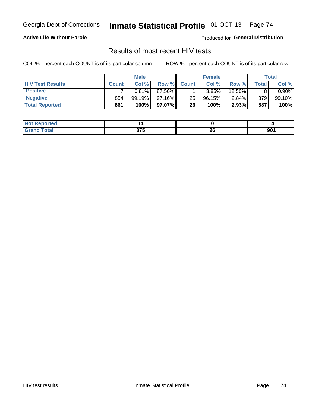#### **Active Life Without Parole**

Produced for **General Distribution**

## Results of most recent HIV tests

|                         |              | <b>Male</b> |        |              | <b>Female</b> |          |             | Total    |
|-------------------------|--------------|-------------|--------|--------------|---------------|----------|-------------|----------|
| <b>HIV Test Results</b> | <b>Count</b> | Col%        | Row %I | <b>Count</b> | Col %         | Row %    | $\tau$ otal | Col %    |
| <b>Positive</b>         |              | 0.81%       | 87.50% |              | 3.85%         | 12.50%   |             | $0.90\%$ |
| <b>Negative</b>         | 854          | 99.19%      | 97.16% | 25           | 96.15%        | $2.84\%$ | 879         | 99.10%   |
| <b>Total Reported</b>   | 861          | 100%        | 97.07% | 26           | 100%          | 2.93%    | 887         | 100%     |

| <b>Not Reported</b> | ,,,   |    | z   |
|---------------------|-------|----|-----|
| int                 | 97F   | ጎር | 901 |
| . c2emm             | o / J | ZO |     |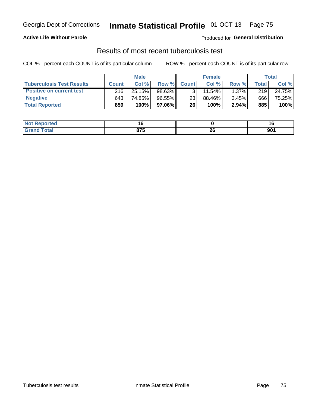#### **Active Life Without Parole**

Produced for **General Distribution**

### Results of most recent tuberculosis test

|                                  |              | <b>Male</b> |         |              | <b>Female</b> |       |       | Total  |
|----------------------------------|--------------|-------------|---------|--------------|---------------|-------|-------|--------|
| <b>Tuberculosis Test Results</b> | <b>Count</b> | Col%        | Row %I  | <b>Count</b> | Col%          | Row % | Total | Col %  |
| <b>Positive on current test</b>  | 216          | 25.15%      | 98.63%  |              | 11.54%        | 1.37% | 219   | 24.75% |
| <b>Negative</b>                  | 643          | 74.85%      | 96.55%  | 23           | 88.46%        | 3.45% | 666   | 75.25% |
| <b>Total Reported</b>            | 859          | 100%        | 97.06%1 | 26           | 100%          | 2.94% | 885   | 100%   |

| <b>Not Reported</b> |       |    |      |
|---------------------|-------|----|------|
| <b>Total</b>        | ヘラビ   | ^^ | nn.  |
|                     | 0 I J | ZU | ו טכ |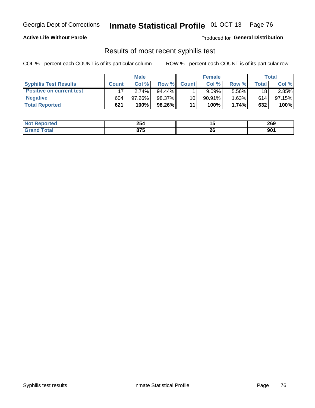#### **Active Life Without Parole**

Produced for **General Distribution**

### Results of most recent syphilis test

|                                 |              | <b>Male</b> |           |                 | <b>Female</b> |          |         | Total  |
|---------------------------------|--------------|-------------|-----------|-----------------|---------------|----------|---------|--------|
| <b>Syphilis Test Results</b>    | <b>Count</b> | Col%        | Row %     | <b>Count</b>    | Col %         | Row %    | Total i | Col %  |
| <b>Positive on current test</b> |              | 2.74%       | $94.44\%$ |                 | 9.09%         | 5.56%    | 18      | 2.85%  |
| <b>Negative</b>                 | 604          | $97.26\%$   | 98.37%    | 10 <sup>1</sup> | $90.91\%$     | $1.63\%$ | 614     | 97.15% |
| <b>Total Reported</b>           | 621          | $100\%$     | 98.26%    | 11              | 100%          | 1.74%    | 632     | 100%   |

| <b>Not Reported</b> | 254          |           | 269 |
|---------------------|--------------|-----------|-----|
| <b>Total</b>        | 07E<br>o / J | nr.<br>ZU | 901 |